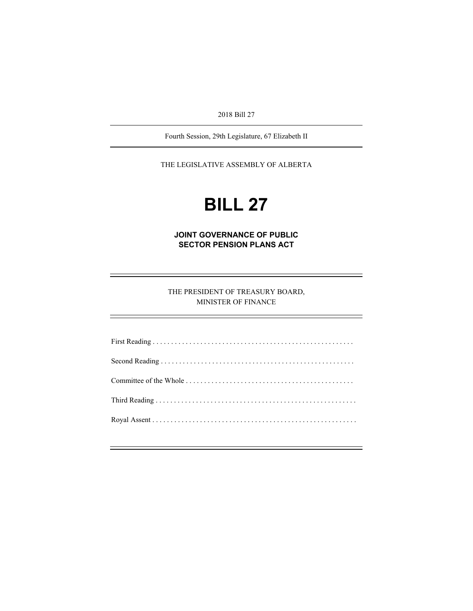2018 Bill 27

Fourth Session, 29th Legislature, 67 Elizabeth II

THE LEGISLATIVE ASSEMBLY OF ALBERTA

# **BILL 27**

**JOINT GOVERNANCE OF PUBLIC SECTOR PENSION PLANS ACT** 

THE PRESIDENT OF TREASURY BOARD, MINISTER OF FINANCE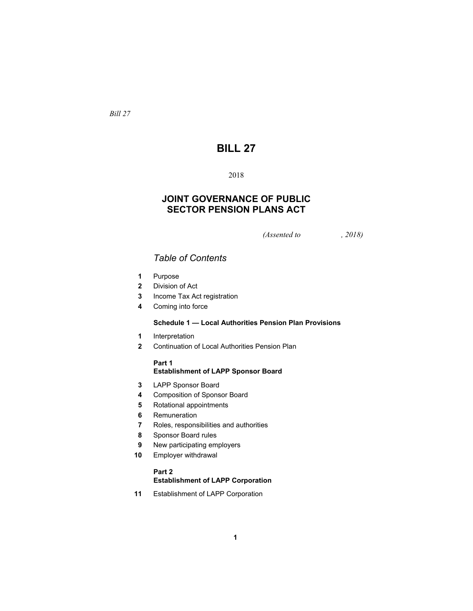*Bill 27* 

# **BILL 27**

# 

# **JOINT GOVERNANCE OF PUBLIC SECTOR PENSION PLANS ACT**

*(Assented to , 2018)* 

# *Table of Contents*

- Purpose
- Division of Act
- Income Tax Act registration
- Coming into force

# **Schedule 1 — Local Authorities Pension Plan Provisions**

- Interpretation
- Continuation of Local Authorities Pension Plan

# **Part 1**

# **Establishment of LAPP Sponsor Board**

- LAPP Sponsor Board
- Composition of Sponsor Board
- Rotational appointments
- Remuneration
- Roles, responsibilities and authorities
- Sponsor Board rules
- New participating employers
- Employer withdrawal

# **Part 2**

# **Establishment of LAPP Corporation**

Establishment of LAPP Corporation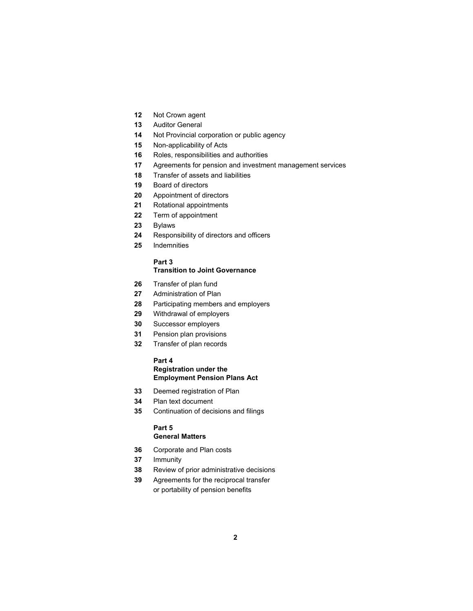- Not Crown agent
- Auditor General
- Not Provincial corporation or public agency
- Non-applicability of Acts
- Roles, responsibilities and authorities
- Agreements for pension and investment management services
- Transfer of assets and liabilities
- Board of directors
- Appointment of directors
- Rotational appointments
- Term of appointment
- Bylaws
- Responsibility of directors and officers
- Indemnities

# **Part 3**

#### **Transition to Joint Governance**

- Transfer of plan fund
- Administration of Plan
- Participating members and employers
- Withdrawal of employers
- Successor employers
- Pension plan provisions
- Transfer of plan records

# **Part 4 Registration under the Employment Pension Plans Act**

- Deemed registration of Plan
- Plan text document
- Continuation of decisions and filings

# **Part 5 General Matters**

- Corporate and Plan costs
- Immunity
- Review of prior administrative decisions
- Agreements for the reciprocal transfer or portability of pension benefits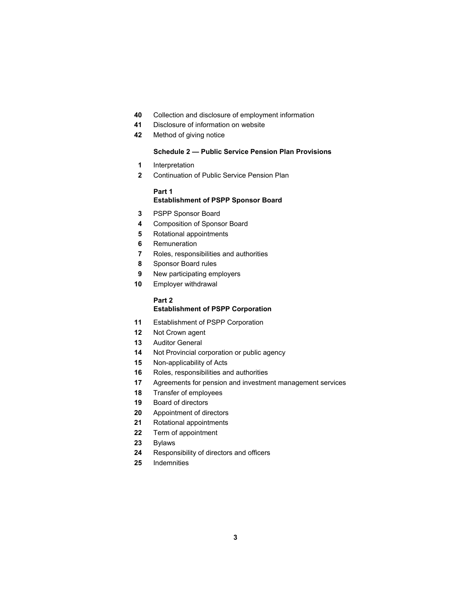- Collection and disclosure of employment information
- Disclosure of information on website
- Method of giving notice

# **Schedule 2 — Public Service Pension Plan Provisions**

- Interpretation
- Continuation of Public Service Pension Plan

# **Part 1**

# **Establishment of PSPP Sponsor Board**

- PSPP Sponsor Board
- Composition of Sponsor Board
- Rotational appointments
- Remuneration
- Roles, responsibilities and authorities
- Sponsor Board rules
- New participating employers
- Employer withdrawal

# **Part 2**

#### **Establishment of PSPP Corporation**

- Establishment of PSPP Corporation
- Not Crown agent
- Auditor General
- Not Provincial corporation or public agency
- Non-applicability of Acts
- Roles, responsibilities and authorities
- Agreements for pension and investment management services
- Transfer of employees
- Board of directors
- Appointment of directors
- Rotational appointments
- Term of appointment
- Bylaws
- Responsibility of directors and officers
- Indemnities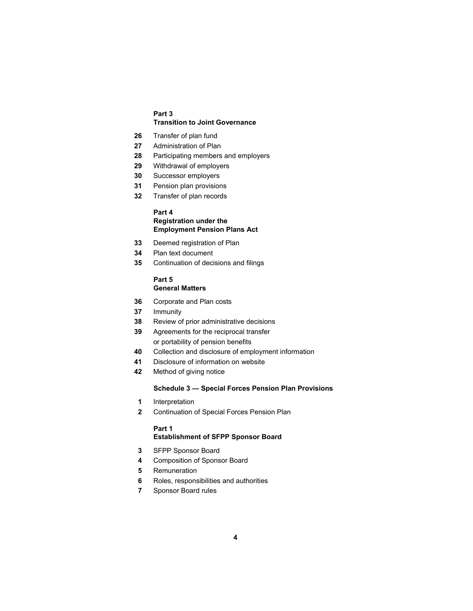# **Part 3 Transition to Joint Governance**

- Transfer of plan fund
- Administration of Plan
- Participating members and employers
- Withdrawal of employers
- Successor employers
- Pension plan provisions
- Transfer of plan records

# **Part 4**

# **Registration under the Employment Pension Plans Act**

- Deemed registration of Plan
- Plan text document
- Continuation of decisions and filings

#### **Part 5 General Matters**

- Corporate and Plan costs
- Immunity
- Review of prior administrative decisions
- Agreements for the reciprocal transfer or portability of pension benefits
- Collection and disclosure of employment information
- Disclosure of information on website
- Method of giving notice

#### **Schedule 3 — Special Forces Pension Plan Provisions**

- Interpretation
- Continuation of Special Forces Pension Plan

# **Part 1 Establishment of SFPP Sponsor Board**

- SFPP Sponsor Board
- Composition of Sponsor Board
- Remuneration
- Roles, responsibilities and authorities
- Sponsor Board rules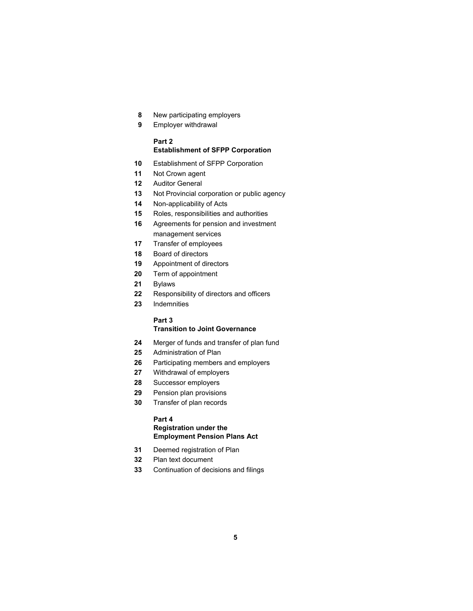- New participating employers
- Employer withdrawal

# **Part 2**

# **Establishment of SFPP Corporation**

- Establishment of SFPP Corporation
- Not Crown agent
- Auditor General
- Not Provincial corporation or public agency
- Non-applicability of Acts
- Roles, responsibilities and authorities
- Agreements for pension and investment management services
- Transfer of employees
- Board of directors
- Appointment of directors
- Term of appointment
- Bylaws
- Responsibility of directors and officers
- Indemnities

#### **Part 3**

# **Transition to Joint Governance**

- Merger of funds and transfer of plan fund
- Administration of Plan
- Participating members and employers
- Withdrawal of employers
- Successor employers
- Pension plan provisions
- Transfer of plan records

# **Part 4**

# **Registration under the Employment Pension Plans Act**

- Deemed registration of Plan
- Plan text document
- Continuation of decisions and filings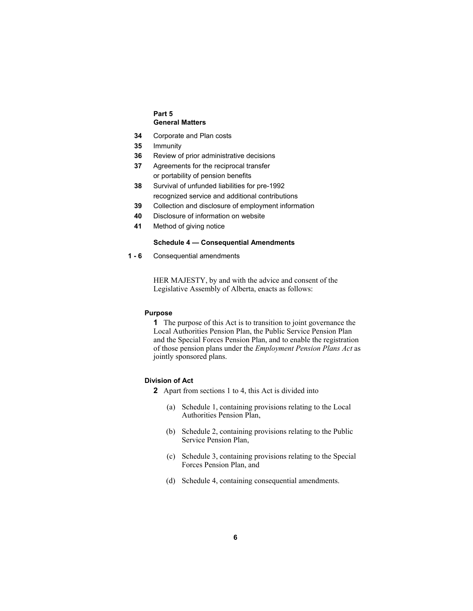## **Part 5 General Matters**

- **34** Corporate and Plan costs
- **35** Immunity
- **36** Review of prior administrative decisions
- **37** Agreements for the reciprocal transfer or portability of pension benefits
- **38** Survival of unfunded liabilities for pre-1992 recognized service and additional contributions
- **39** Collection and disclosure of employment information
- **40** Disclosure of information on website
- **41** Method of giving notice

# **Schedule 4 — Consequential Amendments**

**1 - 6** Consequential amendments

HER MAJESTY, by and with the advice and consent of the Legislative Assembly of Alberta, enacts as follows:

# **Purpose**

**1** The purpose of this Act is to transition to joint governance the Local Authorities Pension Plan, the Public Service Pension Plan and the Special Forces Pension Plan, and to enable the registration of those pension plans under the *Employment Pension Plans Act* as jointly sponsored plans.

## **Division of Act**

- **2** Apart from sections 1 to 4, this Act is divided into
	- (a) Schedule 1, containing provisions relating to the Local Authorities Pension Plan,
	- (b) Schedule 2, containing provisions relating to the Public Service Pension Plan,
	- (c) Schedule 3, containing provisions relating to the Special Forces Pension Plan, and
	- (d) Schedule 4, containing consequential amendments.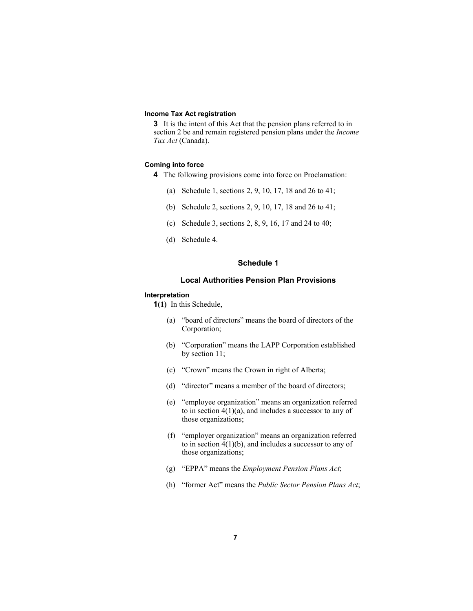# **Income Tax Act registration**

**3** It is the intent of this Act that the pension plans referred to in section 2 be and remain registered pension plans under the *Income Tax Act* (Canada).

# **Coming into force**

- **4** The following provisions come into force on Proclamation:
	- (a) Schedule 1, sections 2, 9, 10, 17, 18 and 26 to 41;
	- (b) Schedule 2, sections 2, 9, 10, 17, 18 and 26 to 41;
	- (c) Schedule 3, sections 2, 8, 9, 16, 17 and 24 to 40;
	- (d) Schedule 4.

# **Schedule 1**

# **Local Authorities Pension Plan Provisions**

#### **Interpretation**

**1(1)** In this Schedule,

- (a) "board of directors" means the board of directors of the Corporation;
- (b) "Corporation" means the LAPP Corporation established by section 11;
- (c) "Crown" means the Crown in right of Alberta;
- (d) "director" means a member of the board of directors;
- (e) "employee organization" means an organization referred to in section  $4(1)(a)$ , and includes a successor to any of those organizations;
- (f) "employer organization" means an organization referred to in section 4(1)(b), and includes a successor to any of those organizations;
- (g) "EPPA" means the *Employment Pension Plans Act*;
- (h) "former Act" means the *Public Sector Pension Plans Act*;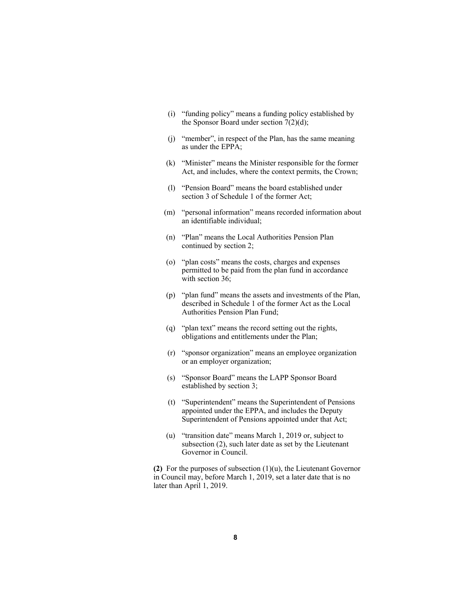- (i) "funding policy" means a funding policy established by the Sponsor Board under section  $7(2)(d)$ ;
- (j) "member", in respect of the Plan, has the same meaning as under the EPPA;
- (k) "Minister" means the Minister responsible for the former Act, and includes, where the context permits, the Crown;
- (l) "Pension Board" means the board established under section 3 of Schedule 1 of the former Act;
- (m) "personal information" means recorded information about an identifiable individual;
- (n) "Plan" means the Local Authorities Pension Plan continued by section 2;
- (o) "plan costs" means the costs, charges and expenses permitted to be paid from the plan fund in accordance with section 36;
- (p) "plan fund" means the assets and investments of the Plan, described in Schedule 1 of the former Act as the Local Authorities Pension Plan Fund;
- (q) "plan text" means the record setting out the rights, obligations and entitlements under the Plan;
- (r) "sponsor organization" means an employee organization or an employer organization;
- (s) "Sponsor Board" means the LAPP Sponsor Board established by section 3;
- (t) "Superintendent" means the Superintendent of Pensions appointed under the EPPA, and includes the Deputy Superintendent of Pensions appointed under that Act;
- (u) "transition date" means March 1, 2019 or, subject to subsection (2), such later date as set by the Lieutenant Governor in Council.

**(2)** For the purposes of subsection (1)(u), the Lieutenant Governor in Council may, before March 1, 2019, set a later date that is no later than April 1, 2019.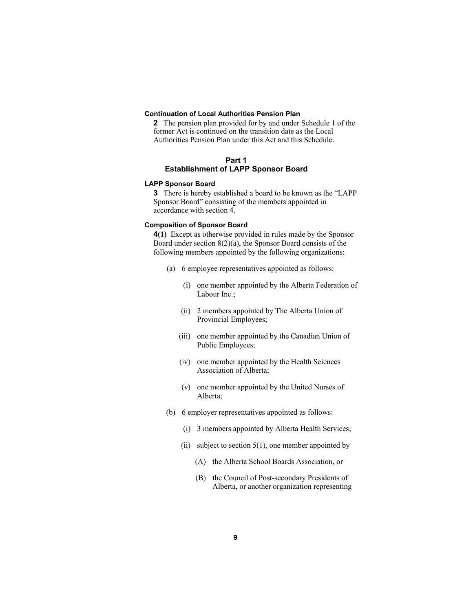#### **Continuation of Local Authorities Pension Plan**

**2** The pension plan provided for by and under Schedule 1 of the former Act is continued on the transition date as the Local Authorities Pension Plan under this Act and this Schedule.

# **Part 1 Establishment of LAPP Sponsor Board**

#### **LAPP Sponsor Board**

**3** There is hereby established a board to be known as the "LAPP Sponsor Board" consisting of the members appointed in accordance with section 4.

# **Composition of Sponsor Board**

**4(1)** Except as otherwise provided in rules made by the Sponsor Board under section 8(2)(a), the Sponsor Board consists of the following members appointed by the following organizations:

- (a) 6 employee representatives appointed as follows:
	- (i) one member appointed by the Alberta Federation of Labour Inc.;
	- (ii) 2 members appointed by The Alberta Union of Provincial Employees;
	- (iii) one member appointed by the Canadian Union of Public Employees;
	- (iv) one member appointed by the Health Sciences Association of Alberta;
	- (v) one member appointed by the United Nurses of Alberta;
- (b) 6 employer representatives appointed as follows:
	- (i) 3 members appointed by Alberta Health Services;
	- (ii) subject to section  $5(1)$ , one member appointed by
		- (A) the Alberta School Boards Association, or
		- (B) the Council of Post-secondary Presidents of Alberta, or another organization representing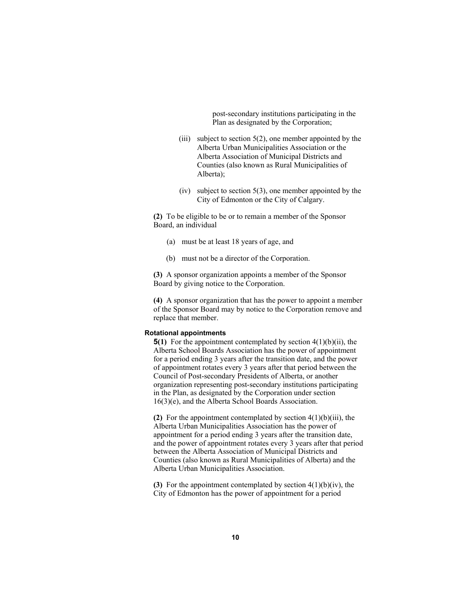post-secondary institutions participating in the Plan as designated by the Corporation;

- (iii) subject to section  $5(2)$ , one member appointed by the Alberta Urban Municipalities Association or the Alberta Association of Municipal Districts and Counties (also known as Rural Municipalities of Alberta);
- $(iv)$  subject to section 5(3), one member appointed by the City of Edmonton or the City of Calgary.

**(2)** To be eligible to be or to remain a member of the Sponsor Board, an individual

- (a) must be at least 18 years of age, and
- (b) must not be a director of the Corporation.

**(3)** A sponsor organization appoints a member of the Sponsor Board by giving notice to the Corporation.

**(4)** A sponsor organization that has the power to appoint a member of the Sponsor Board may by notice to the Corporation remove and replace that member.

#### **Rotational appointments**

**5(1)** For the appointment contemplated by section 4(1)(b)(ii), the Alberta School Boards Association has the power of appointment for a period ending 3 years after the transition date, and the power of appointment rotates every 3 years after that period between the Council of Post-secondary Presidents of Alberta, or another organization representing post-secondary institutions participating in the Plan, as designated by the Corporation under section 16(3)(e), and the Alberta School Boards Association.

**(2)** For the appointment contemplated by section 4(1)(b)(iii), the Alberta Urban Municipalities Association has the power of appointment for a period ending 3 years after the transition date, and the power of appointment rotates every 3 years after that period between the Alberta Association of Municipal Districts and Counties (also known as Rural Municipalities of Alberta) and the Alberta Urban Municipalities Association.

**(3)** For the appointment contemplated by section 4(1)(b)(iv), the City of Edmonton has the power of appointment for a period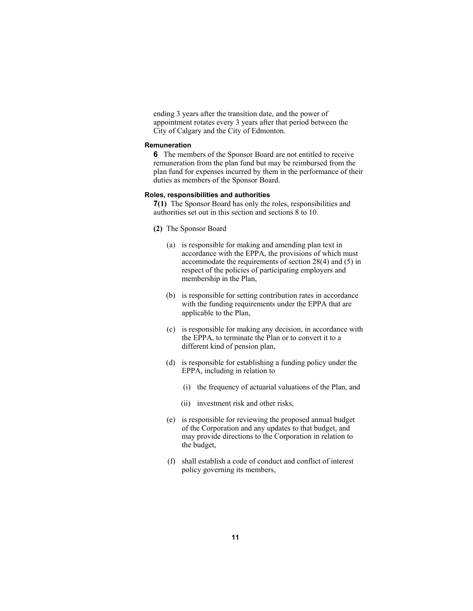ending 3 years after the transition date, and the power of appointment rotates every 3 years after that period between the City of Calgary and the City of Edmonton.

#### **Remuneration**

**6** The members of the Sponsor Board are not entitled to receive remuneration from the plan fund but may be reimbursed from the plan fund for expenses incurred by them in the performance of their duties as members of the Sponsor Board.

#### **Roles, responsibilities and authorities**

**7(1)** The Sponsor Board has only the roles, responsibilities and authorities set out in this section and sections 8 to 10.

- **(2)** The Sponsor Board
	- (a) is responsible for making and amending plan text in accordance with the EPPA, the provisions of which must accommodate the requirements of section 28(4) and (5) in respect of the policies of participating employers and membership in the Plan,
	- (b) is responsible for setting contribution rates in accordance with the funding requirements under the EPPA that are applicable to the Plan,
	- (c) is responsible for making any decision, in accordance with the EPPA, to terminate the Plan or to convert it to a different kind of pension plan,
	- (d) is responsible for establishing a funding policy under the EPPA, including in relation to
		- (i) the frequency of actuarial valuations of the Plan, and
		- (ii) investment risk and other risks,
	- (e) is responsible for reviewing the proposed annual budget of the Corporation and any updates to that budget, and may provide directions to the Corporation in relation to the budget,
	- (f) shall establish a code of conduct and conflict of interest policy governing its members,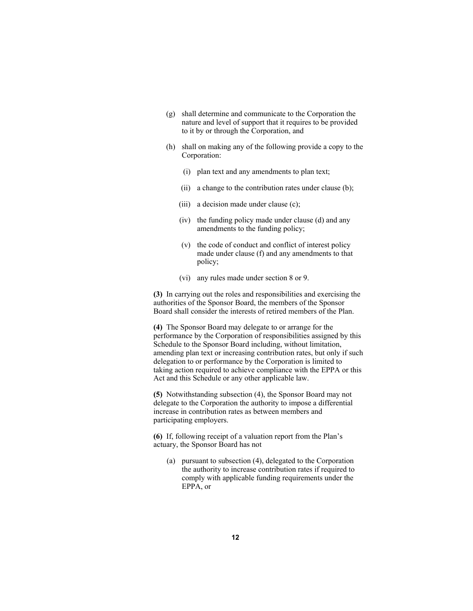- (g) shall determine and communicate to the Corporation the nature and level of support that it requires to be provided to it by or through the Corporation, and
- (h) shall on making any of the following provide a copy to the Corporation:
	- (i) plan text and any amendments to plan text;
	- (ii) a change to the contribution rates under clause (b);
	- (iii) a decision made under clause (c);
	- (iv) the funding policy made under clause (d) and any amendments to the funding policy;
	- (v) the code of conduct and conflict of interest policy made under clause (f) and any amendments to that policy;
	- (vi) any rules made under section 8 or 9.

**(3)** In carrying out the roles and responsibilities and exercising the authorities of the Sponsor Board, the members of the Sponsor Board shall consider the interests of retired members of the Plan.

**(4)** The Sponsor Board may delegate to or arrange for the performance by the Corporation of responsibilities assigned by this Schedule to the Sponsor Board including, without limitation, amending plan text or increasing contribution rates, but only if such delegation to or performance by the Corporation is limited to taking action required to achieve compliance with the EPPA or this Act and this Schedule or any other applicable law.

**(5)** Notwithstanding subsection (4), the Sponsor Board may not delegate to the Corporation the authority to impose a differential increase in contribution rates as between members and participating employers.

**(6)** If, following receipt of a valuation report from the Plan's actuary, the Sponsor Board has not

 (a) pursuant to subsection (4), delegated to the Corporation the authority to increase contribution rates if required to comply with applicable funding requirements under the EPPA, or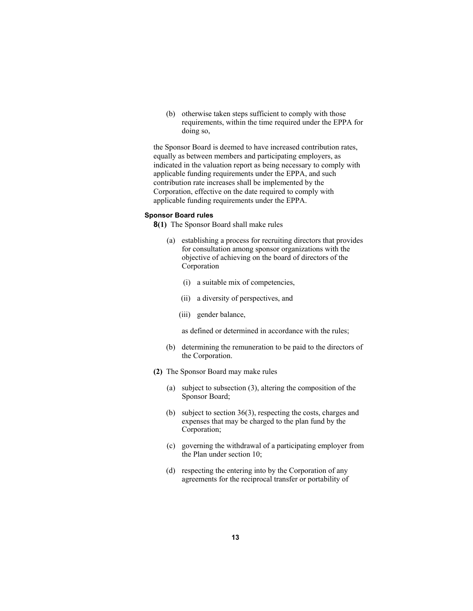(b) otherwise taken steps sufficient to comply with those requirements, within the time required under the EPPA for doing so,

the Sponsor Board is deemed to have increased contribution rates, equally as between members and participating employers, as indicated in the valuation report as being necessary to comply with applicable funding requirements under the EPPA, and such contribution rate increases shall be implemented by the Corporation, effective on the date required to comply with applicable funding requirements under the EPPA.

#### **Sponsor Board rules**

**8(1)** The Sponsor Board shall make rules

- (a) establishing a process for recruiting directors that provides for consultation among sponsor organizations with the objective of achieving on the board of directors of the Corporation
	- (i) a suitable mix of competencies,
	- (ii) a diversity of perspectives, and
	- (iii) gender balance,

as defined or determined in accordance with the rules;

- (b) determining the remuneration to be paid to the directors of the Corporation.
- **(2)** The Sponsor Board may make rules
	- (a) subject to subsection (3), altering the composition of the Sponsor Board;
	- (b) subject to section 36(3), respecting the costs, charges and expenses that may be charged to the plan fund by the Corporation;
	- (c) governing the withdrawal of a participating employer from the Plan under section 10;
	- (d) respecting the entering into by the Corporation of any agreements for the reciprocal transfer or portability of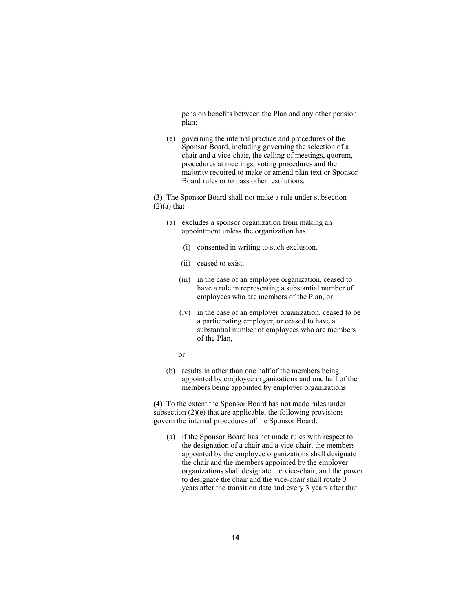pension benefits between the Plan and any other pension plan;

 (e) governing the internal practice and procedures of the Sponsor Board, including governing the selection of a chair and a vice-chair, the calling of meetings, quorum, procedures at meetings, voting procedures and the majority required to make or amend plan text or Sponsor Board rules or to pass other resolutions.

**(3)** The Sponsor Board shall not make a rule under subsection  $(2)(a)$  that

- (a) excludes a sponsor organization from making an appointment unless the organization has
	- (i) consented in writing to such exclusion,
	- (ii) ceased to exist,
	- (iii) in the case of an employee organization, ceased to have a role in representing a substantial number of employees who are members of the Plan, or
	- (iv) in the case of an employer organization, ceased to be a participating employer, or ceased to have a substantial number of employees who are members of the Plan,
- or
	- (b) results in other than one half of the members being appointed by employee organizations and one half of the members being appointed by employer organizations.

**(4)** To the extent the Sponsor Board has not made rules under subsection  $(2)(e)$  that are applicable, the following provisions govern the internal procedures of the Sponsor Board:

 (a) if the Sponsor Board has not made rules with respect to the designation of a chair and a vice-chair, the members appointed by the employee organizations shall designate the chair and the members appointed by the employer organizations shall designate the vice-chair, and the power to designate the chair and the vice-chair shall rotate 3 years after the transition date and every 3 years after that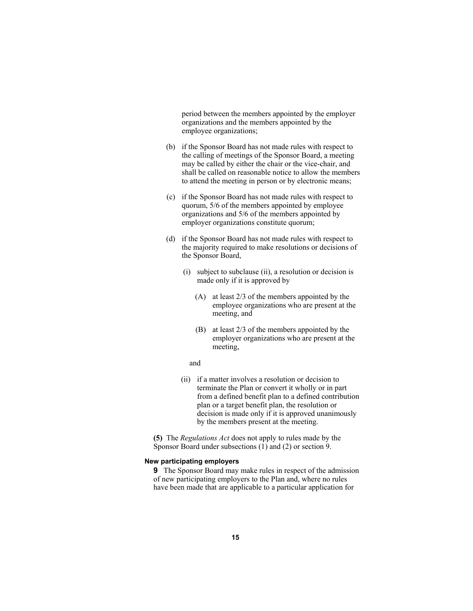period between the members appointed by the employer organizations and the members appointed by the employee organizations;

- (b) if the Sponsor Board has not made rules with respect to the calling of meetings of the Sponsor Board, a meeting may be called by either the chair or the vice-chair, and shall be called on reasonable notice to allow the members to attend the meeting in person or by electronic means;
- (c) if the Sponsor Board has not made rules with respect to quorum, 5/6 of the members appointed by employee organizations and 5/6 of the members appointed by employer organizations constitute quorum;
- (d) if the Sponsor Board has not made rules with respect to the majority required to make resolutions or decisions of the Sponsor Board,
	- (i) subject to subclause (ii), a resolution or decision is made only if it is approved by
		- (A) at least 2/3 of the members appointed by the employee organizations who are present at the meeting, and
		- (B) at least 2/3 of the members appointed by the employer organizations who are present at the meeting,

#### and

 (ii) if a matter involves a resolution or decision to terminate the Plan or convert it wholly or in part from a defined benefit plan to a defined contribution plan or a target benefit plan, the resolution or decision is made only if it is approved unanimously by the members present at the meeting.

**(5)** The *Regulations Act* does not apply to rules made by the Sponsor Board under subsections (1) and (2) or section 9.

#### **New participating employers**

**9** The Sponsor Board may make rules in respect of the admission of new participating employers to the Plan and, where no rules have been made that are applicable to a particular application for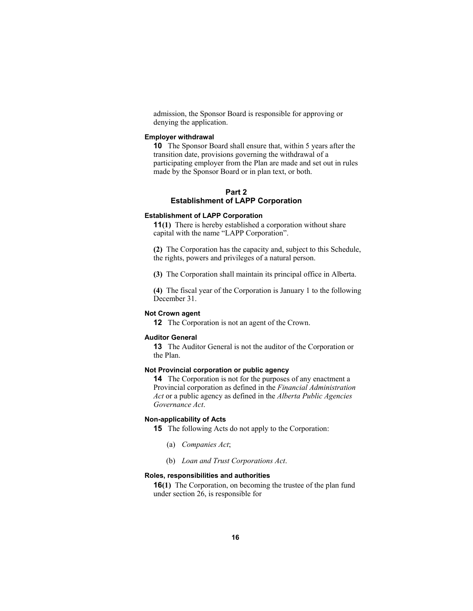admission, the Sponsor Board is responsible for approving or denying the application.

# **Employer withdrawal**

**10** The Sponsor Board shall ensure that, within 5 years after the transition date, provisions governing the withdrawal of a participating employer from the Plan are made and set out in rules made by the Sponsor Board or in plan text, or both.

# **Part 2 Establishment of LAPP Corporation**

# **Establishment of LAPP Corporation**

**11(1)** There is hereby established a corporation without share capital with the name "LAPP Corporation".

**(2)** The Corporation has the capacity and, subject to this Schedule, the rights, powers and privileges of a natural person.

**(3)** The Corporation shall maintain its principal office in Alberta.

**(4)** The fiscal year of the Corporation is January 1 to the following December 31.

#### **Not Crown agent**

**12** The Corporation is not an agent of the Crown.

#### **Auditor General**

**13** The Auditor General is not the auditor of the Corporation or the Plan.

#### **Not Provincial corporation or public agency**

**14** The Corporation is not for the purposes of any enactment a Provincial corporation as defined in the *Financial Administration Act* or a public agency as defined in the *Alberta Public Agencies Governance Act*.

#### **Non-applicability of Acts**

**15** The following Acts do not apply to the Corporation:

- (a) *Companies Act*;
- (b) *Loan and Trust Corporations Act*.

# **Roles, responsibilities and authorities**

**16(1)** The Corporation, on becoming the trustee of the plan fund under section 26, is responsible for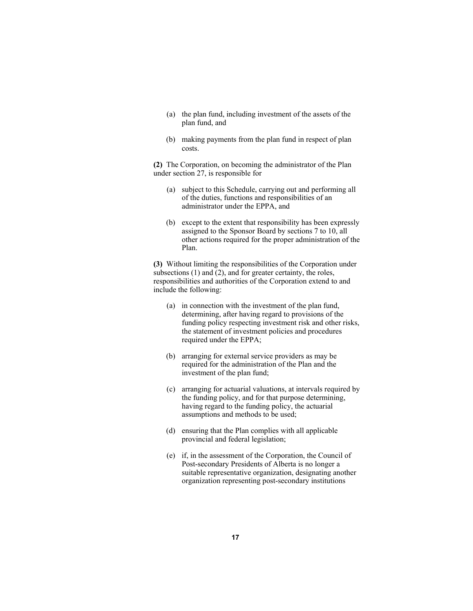- (a) the plan fund, including investment of the assets of the plan fund, and
- (b) making payments from the plan fund in respect of plan costs.

**(2)** The Corporation, on becoming the administrator of the Plan under section 27, is responsible for

- (a) subject to this Schedule, carrying out and performing all of the duties, functions and responsibilities of an administrator under the EPPA, and
- (b) except to the extent that responsibility has been expressly assigned to the Sponsor Board by sections 7 to 10, all other actions required for the proper administration of the Plan.

**(3)** Without limiting the responsibilities of the Corporation under subsections (1) and (2), and for greater certainty, the roles, responsibilities and authorities of the Corporation extend to and include the following:

- (a) in connection with the investment of the plan fund, determining, after having regard to provisions of the funding policy respecting investment risk and other risks, the statement of investment policies and procedures required under the EPPA;
- (b) arranging for external service providers as may be required for the administration of the Plan and the investment of the plan fund;
- (c) arranging for actuarial valuations, at intervals required by the funding policy, and for that purpose determining, having regard to the funding policy, the actuarial assumptions and methods to be used;
- (d) ensuring that the Plan complies with all applicable provincial and federal legislation;
- (e) if, in the assessment of the Corporation, the Council of Post-secondary Presidents of Alberta is no longer a suitable representative organization, designating another organization representing post-secondary institutions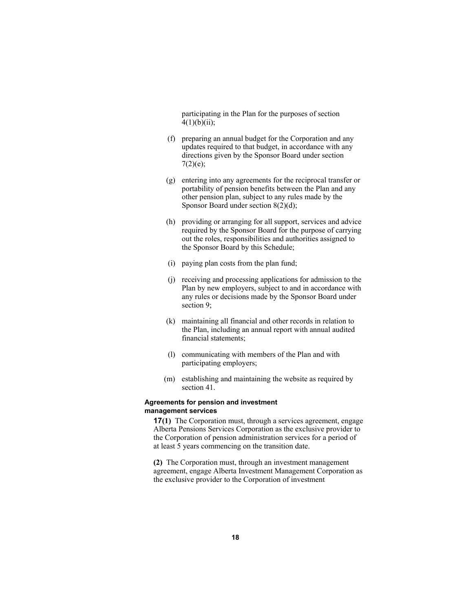participating in the Plan for the purposes of section  $4(1)(b)(ii)$ ;

- (f) preparing an annual budget for the Corporation and any updates required to that budget, in accordance with any directions given by the Sponsor Board under section  $7(2)(e);$
- (g) entering into any agreements for the reciprocal transfer or portability of pension benefits between the Plan and any other pension plan, subject to any rules made by the Sponsor Board under section 8(2)(d);
- (h) providing or arranging for all support, services and advice required by the Sponsor Board for the purpose of carrying out the roles, responsibilities and authorities assigned to the Sponsor Board by this Schedule;
- (i) paying plan costs from the plan fund;
- (j) receiving and processing applications for admission to the Plan by new employers, subject to and in accordance with any rules or decisions made by the Sponsor Board under section 9;
- (k) maintaining all financial and other records in relation to the Plan, including an annual report with annual audited financial statements;
- (l) communicating with members of the Plan and with participating employers;
- (m) establishing and maintaining the website as required by section 41.

# **Agreements for pension and investment management services**

**17(1)** The Corporation must, through a services agreement, engage Alberta Pensions Services Corporation as the exclusive provider to the Corporation of pension administration services for a period of at least 5 years commencing on the transition date.

**(2)** The Corporation must, through an investment management agreement, engage Alberta Investment Management Corporation as the exclusive provider to the Corporation of investment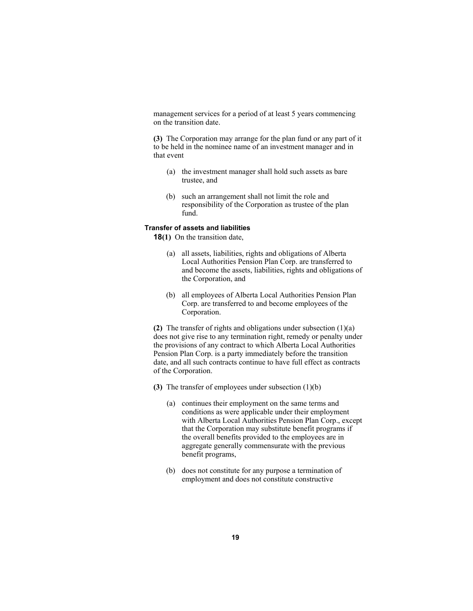management services for a period of at least 5 years commencing on the transition date.

**(3)** The Corporation may arrange for the plan fund or any part of it to be held in the nominee name of an investment manager and in that event

- (a) the investment manager shall hold such assets as bare trustee, and
- (b) such an arrangement shall not limit the role and responsibility of the Corporation as trustee of the plan fund.

#### **Transfer of assets and liabilities**

**18(1)** On the transition date,

- (a) all assets, liabilities, rights and obligations of Alberta Local Authorities Pension Plan Corp. are transferred to and become the assets, liabilities, rights and obligations of the Corporation, and
- (b) all employees of Alberta Local Authorities Pension Plan Corp. are transferred to and become employees of the Corporation.

**(2)** The transfer of rights and obligations under subsection (1)(a) does not give rise to any termination right, remedy or penalty under the provisions of any contract to which Alberta Local Authorities Pension Plan Corp. is a party immediately before the transition date, and all such contracts continue to have full effect as contracts of the Corporation.

- **(3)** The transfer of employees under subsection (1)(b)
	- (a) continues their employment on the same terms and conditions as were applicable under their employment with Alberta Local Authorities Pension Plan Corp., except that the Corporation may substitute benefit programs if the overall benefits provided to the employees are in aggregate generally commensurate with the previous benefit programs,
	- (b) does not constitute for any purpose a termination of employment and does not constitute constructive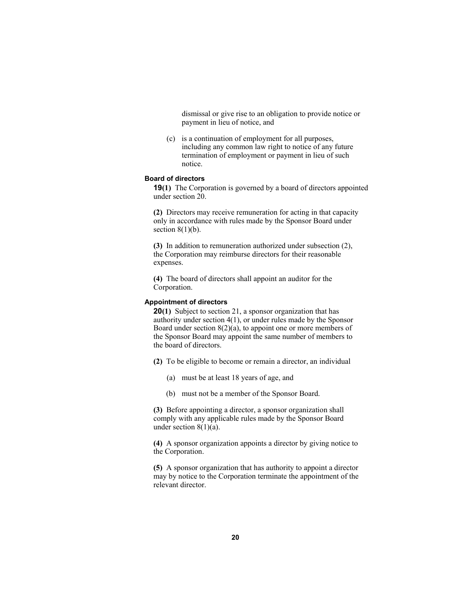dismissal or give rise to an obligation to provide notice or payment in lieu of notice, and

 (c) is a continuation of employment for all purposes, including any common law right to notice of any future termination of employment or payment in lieu of such notice.

# **Board of directors**

**19(1)** The Corporation is governed by a board of directors appointed under section 20.

**(2)** Directors may receive remuneration for acting in that capacity only in accordance with rules made by the Sponsor Board under section  $8(1)(b)$ .

**(3)** In addition to remuneration authorized under subsection (2), the Corporation may reimburse directors for their reasonable expenses.

**(4)** The board of directors shall appoint an auditor for the Corporation.

# **Appointment of directors**

**20(1)** Subject to section 21, a sponsor organization that has authority under section 4(1), or under rules made by the Sponsor Board under section 8(2)(a), to appoint one or more members of the Sponsor Board may appoint the same number of members to the board of directors.

- **(2)** To be eligible to become or remain a director, an individual
	- (a) must be at least 18 years of age, and
	- (b) must not be a member of the Sponsor Board.

**(3)** Before appointing a director, a sponsor organization shall comply with any applicable rules made by the Sponsor Board under section  $8(1)(a)$ .

**(4)** A sponsor organization appoints a director by giving notice to the Corporation.

**(5)** A sponsor organization that has authority to appoint a director may by notice to the Corporation terminate the appointment of the relevant director.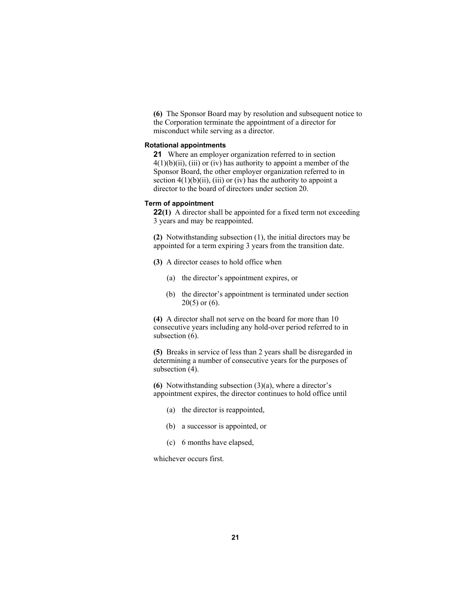**(6)** The Sponsor Board may by resolution and subsequent notice to the Corporation terminate the appointment of a director for misconduct while serving as a director.

#### **Rotational appointments**

**21** Where an employer organization referred to in section  $4(1)(b)(ii)$ , (iii) or (iv) has authority to appoint a member of the Sponsor Board, the other employer organization referred to in section  $4(1)(b)(ii)$ , (iii) or (iv) has the authority to appoint a director to the board of directors under section 20.

#### **Term of appointment**

**22(1)** A director shall be appointed for a fixed term not exceeding 3 years and may be reappointed.

**(2)** Notwithstanding subsection (1), the initial directors may be appointed for a term expiring 3 years from the transition date.

- **(3)** A director ceases to hold office when
	- (a) the director's appointment expires, or
	- (b) the director's appointment is terminated under section  $20(5)$  or  $(6)$ .

**(4)** A director shall not serve on the board for more than 10 consecutive years including any hold-over period referred to in subsection  $(6)$ .

**(5)** Breaks in service of less than 2 years shall be disregarded in determining a number of consecutive years for the purposes of subsection  $(4)$ .

**(6)** Notwithstanding subsection (3)(a), where a director's appointment expires, the director continues to hold office until

- (a) the director is reappointed,
- (b) a successor is appointed, or
- (c) 6 months have elapsed,

whichever occurs first.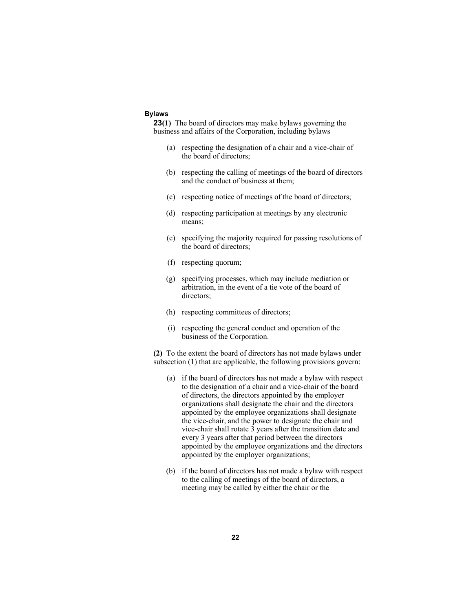## **Bylaws**

**23(1)** The board of directors may make bylaws governing the business and affairs of the Corporation, including bylaws

- (a) respecting the designation of a chair and a vice-chair of the board of directors;
- (b) respecting the calling of meetings of the board of directors and the conduct of business at them;
- (c) respecting notice of meetings of the board of directors;
- (d) respecting participation at meetings by any electronic means;
- (e) specifying the majority required for passing resolutions of the board of directors;
- (f) respecting quorum;
- (g) specifying processes, which may include mediation or arbitration, in the event of a tie vote of the board of directors;
- (h) respecting committees of directors;
- (i) respecting the general conduct and operation of the business of the Corporation.

**(2)** To the extent the board of directors has not made bylaws under subsection (1) that are applicable, the following provisions govern:

- (a) if the board of directors has not made a bylaw with respect to the designation of a chair and a vice-chair of the board of directors, the directors appointed by the employer organizations shall designate the chair and the directors appointed by the employee organizations shall designate the vice-chair, and the power to designate the chair and vice-chair shall rotate 3 years after the transition date and every 3 years after that period between the directors appointed by the employee organizations and the directors appointed by the employer organizations;
- (b) if the board of directors has not made a bylaw with respect to the calling of meetings of the board of directors, a meeting may be called by either the chair or the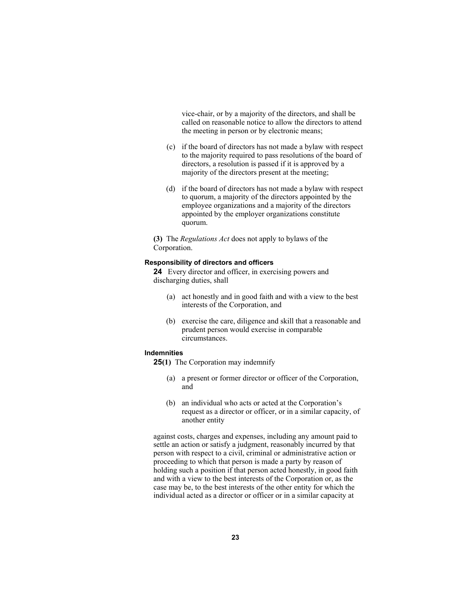vice-chair, or by a majority of the directors, and shall be called on reasonable notice to allow the directors to attend the meeting in person or by electronic means;

- (c) if the board of directors has not made a bylaw with respect to the majority required to pass resolutions of the board of directors, a resolution is passed if it is approved by a majority of the directors present at the meeting;
- (d) if the board of directors has not made a bylaw with respect to quorum, a majority of the directors appointed by the employee organizations and a majority of the directors appointed by the employer organizations constitute quorum.

**(3)** The *Regulations Act* does not apply to bylaws of the Corporation.

#### **Responsibility of directors and officers**

**24** Every director and officer, in exercising powers and discharging duties, shall

- (a) act honestly and in good faith and with a view to the best interests of the Corporation, and
- (b) exercise the care, diligence and skill that a reasonable and prudent person would exercise in comparable circumstances.

#### **Indemnities**

- **25(1)** The Corporation may indemnify
	- (a) a present or former director or officer of the Corporation, and
	- (b) an individual who acts or acted at the Corporation's request as a director or officer, or in a similar capacity, of another entity

against costs, charges and expenses, including any amount paid to settle an action or satisfy a judgment, reasonably incurred by that person with respect to a civil, criminal or administrative action or proceeding to which that person is made a party by reason of holding such a position if that person acted honestly, in good faith and with a view to the best interests of the Corporation or, as the case may be, to the best interests of the other entity for which the individual acted as a director or officer or in a similar capacity at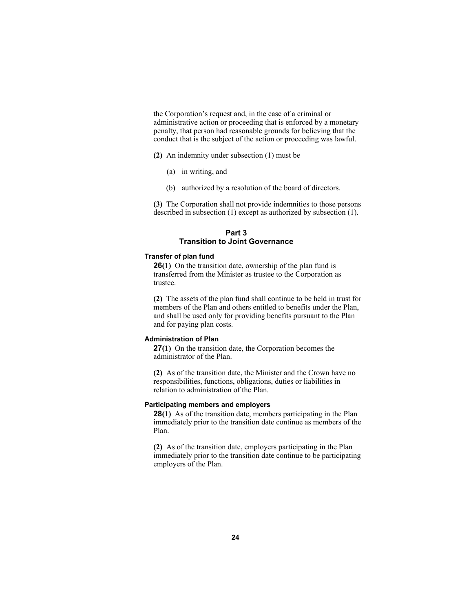the Corporation's request and, in the case of a criminal or administrative action or proceeding that is enforced by a monetary penalty, that person had reasonable grounds for believing that the conduct that is the subject of the action or proceeding was lawful.

- **(2)** An indemnity under subsection (1) must be
	- (a) in writing, and
	- (b) authorized by a resolution of the board of directors.

**(3)** The Corporation shall not provide indemnities to those persons described in subsection (1) except as authorized by subsection (1).

# **Part 3 Transition to Joint Governance**

#### **Transfer of plan fund**

**26(1)** On the transition date, ownership of the plan fund is transferred from the Minister as trustee to the Corporation as trustee.

**(2)** The assets of the plan fund shall continue to be held in trust for members of the Plan and others entitled to benefits under the Plan, and shall be used only for providing benefits pursuant to the Plan and for paying plan costs.

# **Administration of Plan**

**27(1)** On the transition date, the Corporation becomes the administrator of the Plan.

**(2)** As of the transition date, the Minister and the Crown have no responsibilities, functions, obligations, duties or liabilities in relation to administration of the Plan.

#### **Participating members and employers**

**28(1)** As of the transition date, members participating in the Plan immediately prior to the transition date continue as members of the Plan.

**(2)** As of the transition date, employers participating in the Plan immediately prior to the transition date continue to be participating employers of the Plan.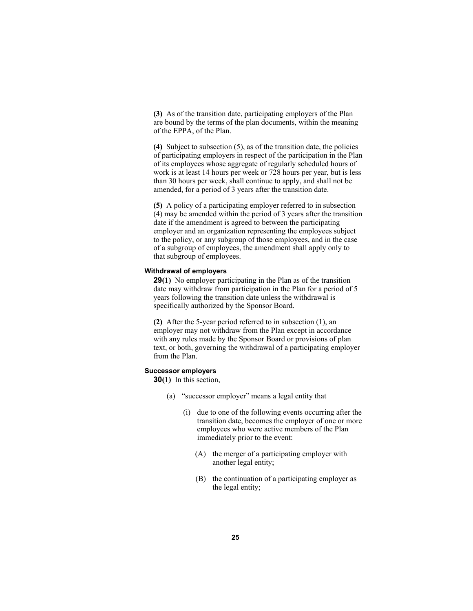**(3)** As of the transition date, participating employers of the Plan are bound by the terms of the plan documents, within the meaning of the EPPA, of the Plan.

**(4)** Subject to subsection (5), as of the transition date, the policies of participating employers in respect of the participation in the Plan of its employees whose aggregate of regularly scheduled hours of work is at least 14 hours per week or 728 hours per year, but is less than 30 hours per week, shall continue to apply, and shall not be amended, for a period of 3 years after the transition date.

**(5)** A policy of a participating employer referred to in subsection (4) may be amended within the period of 3 years after the transition date if the amendment is agreed to between the participating employer and an organization representing the employees subject to the policy, or any subgroup of those employees, and in the case of a subgroup of employees, the amendment shall apply only to that subgroup of employees.

# **Withdrawal of employers**

**29(1)** No employer participating in the Plan as of the transition date may withdraw from participation in the Plan for a period of 5 years following the transition date unless the withdrawal is specifically authorized by the Sponsor Board.

**(2)** After the 5-year period referred to in subsection (1), an employer may not withdraw from the Plan except in accordance with any rules made by the Sponsor Board or provisions of plan text, or both, governing the withdrawal of a participating employer from the Plan.

#### **Successor employers**

**30(1)** In this section,

- (a) "successor employer" means a legal entity that
	- (i) due to one of the following events occurring after the transition date, becomes the employer of one or more employees who were active members of the Plan immediately prior to the event:
		- (A) the merger of a participating employer with another legal entity;
		- (B) the continuation of a participating employer as the legal entity;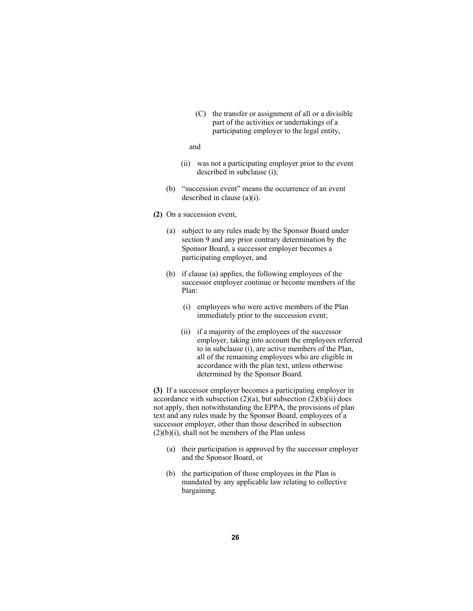(C) the transfer or assignment of all or a divisible part of the activities or undertakings of a participating employer to the legal entity,

#### and

- (ii) was not a participating employer prior to the event described in subclause (i);
- (b) "succession event" means the occurrence of an event described in clause (a)(i).
- **(2)** On a succession event,
	- (a) subject to any rules made by the Sponsor Board under section 9 and any prior contrary determination by the Sponsor Board, a successor employer becomes a participating employer, and
	- (b) if clause (a) applies, the following employees of the successor employer continue or become members of the Plan:
		- (i) employees who were active members of the Plan immediately prior to the succession event;
		- (ii) if a majority of the employees of the successor employer, taking into account the employees referred to in subclause (i), are active members of the Plan, all of the remaining employees who are eligible in accordance with the plan text, unless otherwise determined by the Sponsor Board.

**(3)** If a successor employer becomes a participating employer in accordance with subsection  $(2)(a)$ , but subsection  $(2)(b)(ii)$  does not apply, then notwithstanding the EPPA, the provisions of plan text and any rules made by the Sponsor Board, employees of a successor employer, other than those described in subsection  $(2)(b)(i)$ , shall not be members of the Plan unless

- (a) their participation is approved by the successor employer and the Sponsor Board, or
- (b) the participation of those employees in the Plan is mandated by any applicable law relating to collective bargaining.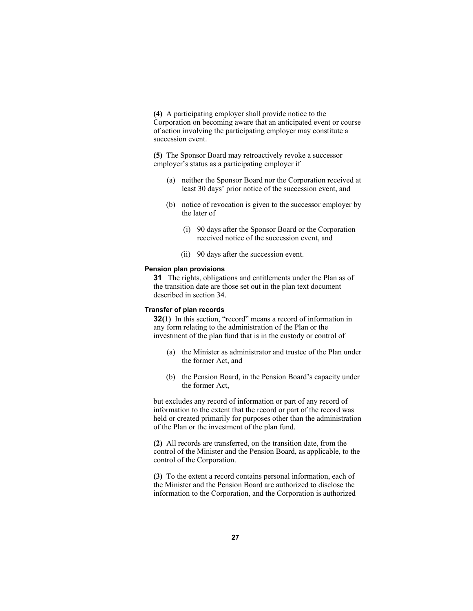**(4)** A participating employer shall provide notice to the Corporation on becoming aware that an anticipated event or course of action involving the participating employer may constitute a succession event.

**(5)** The Sponsor Board may retroactively revoke a successor employer's status as a participating employer if

- (a) neither the Sponsor Board nor the Corporation received at least 30 days' prior notice of the succession event, and
- (b) notice of revocation is given to the successor employer by the later of
	- (i) 90 days after the Sponsor Board or the Corporation received notice of the succession event, and
	- (ii) 90 days after the succession event.

#### **Pension plan provisions**

**31** The rights, obligations and entitlements under the Plan as of the transition date are those set out in the plan text document described in section 34.

# **Transfer of plan records**

**32(1)** In this section, "record" means a record of information in any form relating to the administration of the Plan or the investment of the plan fund that is in the custody or control of

- (a) the Minister as administrator and trustee of the Plan under the former Act, and
- (b) the Pension Board, in the Pension Board's capacity under the former Act,

but excludes any record of information or part of any record of information to the extent that the record or part of the record was held or created primarily for purposes other than the administration of the Plan or the investment of the plan fund.

**(2)** All records are transferred, on the transition date, from the control of the Minister and the Pension Board, as applicable, to the control of the Corporation.

**(3)** To the extent a record contains personal information, each of the Minister and the Pension Board are authorized to disclose the information to the Corporation, and the Corporation is authorized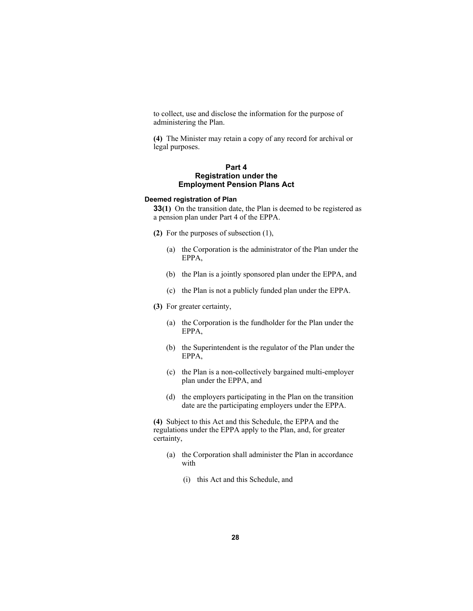to collect, use and disclose the information for the purpose of administering the Plan.

**(4)** The Minister may retain a copy of any record for archival or legal purposes.

# **Part 4 Registration under the Employment Pension Plans Act**

#### **Deemed registration of Plan**

**33(1)** On the transition date, the Plan is deemed to be registered as a pension plan under Part 4 of the EPPA.

- **(2)** For the purposes of subsection (1),
	- (a) the Corporation is the administrator of the Plan under the EPPA,
	- (b) the Plan is a jointly sponsored plan under the EPPA, and
	- (c) the Plan is not a publicly funded plan under the EPPA.
- **(3)** For greater certainty,
	- (a) the Corporation is the fundholder for the Plan under the EPPA,
	- (b) the Superintendent is the regulator of the Plan under the EPPA,
	- (c) the Plan is a non-collectively bargained multi-employer plan under the EPPA, and
	- (d) the employers participating in the Plan on the transition date are the participating employers under the EPPA.

**(4)** Subject to this Act and this Schedule, the EPPA and the regulations under the EPPA apply to the Plan, and, for greater certainty,

- (a) the Corporation shall administer the Plan in accordance with
	- (i) this Act and this Schedule, and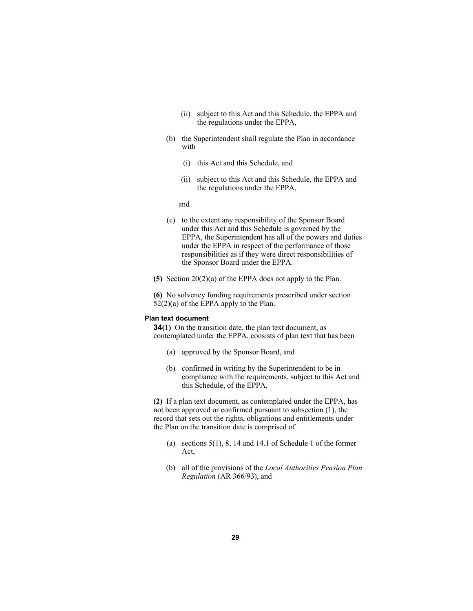- (ii) subject to this Act and this Schedule, the EPPA and the regulations under the EPPA,
- (b) the Superintendent shall regulate the Plan in accordance with
	- (i) this Act and this Schedule, and
	- (ii) subject to this Act and this Schedule, the EPPA and the regulations under the EPPA,

and

- (c) to the extent any responsibility of the Sponsor Board under this Act and this Schedule is governed by the EPPA, the Superintendent has all of the powers and duties under the EPPA in respect of the performance of those responsibilities as if they were direct responsibilities of the Sponsor Board under the EPPA.
- **(5)** Section 20(2)(a) of the EPPA does not apply to the Plan.

**(6)** No solvency funding requirements prescribed under section  $52(2)(a)$  of the EPPA apply to the Plan.

# **Plan text document**

**34(1)** On the transition date, the plan text document, as contemplated under the EPPA, consists of plan text that has been

- (a) approved by the Sponsor Board, and
- (b) confirmed in writing by the Superintendent to be in compliance with the requirements, subject to this Act and this Schedule, of the EPPA.

**(2)** If a plan text document, as contemplated under the EPPA, has not been approved or confirmed pursuant to subsection (1), the record that sets out the rights, obligations and entitlements under the Plan on the transition date is comprised of

- (a) sections 5(1), 8, 14 and 14.1 of Schedule 1 of the former Act,
- (b) all of the provisions of the *Local Authorities Pension Plan Regulation* (AR 366/93), and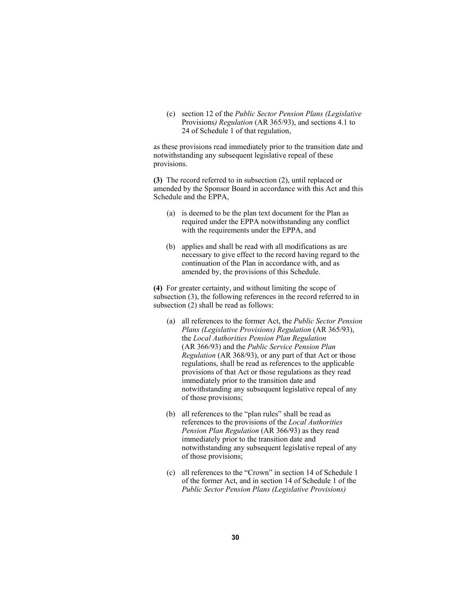(c) section 12 of the *Public Sector Pension Plans (Legislative*  Provisions*) Regulation* (AR 365/93), and sections 4.1 to 24 of Schedule 1 of that regulation,

as these provisions read immediately prior to the transition date and notwithstanding any subsequent legislative repeal of these provisions.

**(3)** The record referred to in subsection (2), until replaced or amended by the Sponsor Board in accordance with this Act and this Schedule and the EPPA,

- (a) is deemed to be the plan text document for the Plan as required under the EPPA notwithstanding any conflict with the requirements under the EPPA, and
- (b) applies and shall be read with all modifications as are necessary to give effect to the record having regard to the continuation of the Plan in accordance with, and as amended by, the provisions of this Schedule.

**(4)** For greater certainty, and without limiting the scope of subsection (3), the following references in the record referred to in subsection (2) shall be read as follows:

- (a) all references to the former Act, the *Public Sector Pension Plans (Legislative Provisions) Regulation* (AR 365/93), the *Local Authorities Pension Plan Regulation* (AR 366/93) and the *Public Service Pension Plan Regulation* (AR 368/93), or any part of that Act or those regulations, shall be read as references to the applicable provisions of that Act or those regulations as they read immediately prior to the transition date and notwithstanding any subsequent legislative repeal of any of those provisions;
- (b) all references to the "plan rules" shall be read as references to the provisions of the *Local Authorities Pension Plan Regulation* (AR 366/93) as they read immediately prior to the transition date and notwithstanding any subsequent legislative repeal of any of those provisions;
- (c) all references to the "Crown" in section 14 of Schedule 1 of the former Act, and in section 14 of Schedule 1 of the *Public Sector Pension Plans (Legislative Provisions)*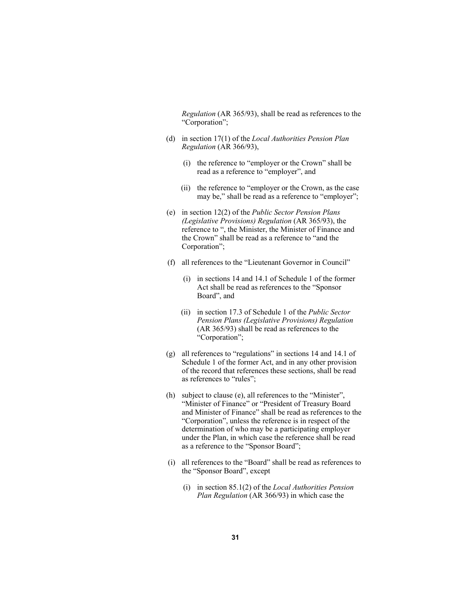*Regulation* (AR 365/93), shall be read as references to the "Corporation";

- (d) in section 17(1) of the *Local Authorities Pension Plan Regulation* (AR 366/93),
	- (i) the reference to "employer or the Crown" shall be read as a reference to "employer", and
	- (ii) the reference to "employer or the Crown, as the case may be," shall be read as a reference to "employer";
- (e) in section 12(2) of the *Public Sector Pension Plans (Legislative Provisions) Regulation* (AR 365/93), the reference to ", the Minister, the Minister of Finance and the Crown" shall be read as a reference to "and the Corporation";
- (f) all references to the "Lieutenant Governor in Council"
	- (i) in sections 14 and 14.1 of Schedule 1 of the former Act shall be read as references to the "Sponsor Board", and
	- (ii) in section 17.3 of Schedule 1 of the *Public Sector Pension Plans (Legislative Provisions) Regulation* (AR 365/93) shall be read as references to the "Corporation";
- (g) all references to "regulations" in sections 14 and 14.1 of Schedule 1 of the former Act, and in any other provision of the record that references these sections, shall be read as references to "rules";
- (h) subject to clause (e), all references to the "Minister", "Minister of Finance" or "President of Treasury Board and Minister of Finance" shall be read as references to the "Corporation", unless the reference is in respect of the determination of who may be a participating employer under the Plan, in which case the reference shall be read as a reference to the "Sponsor Board";
- (i) all references to the "Board" shall be read as references to the "Sponsor Board", except
	- (i) in section 85.1(2) of the *Local Authorities Pension Plan Regulation* (AR 366/93) in which case the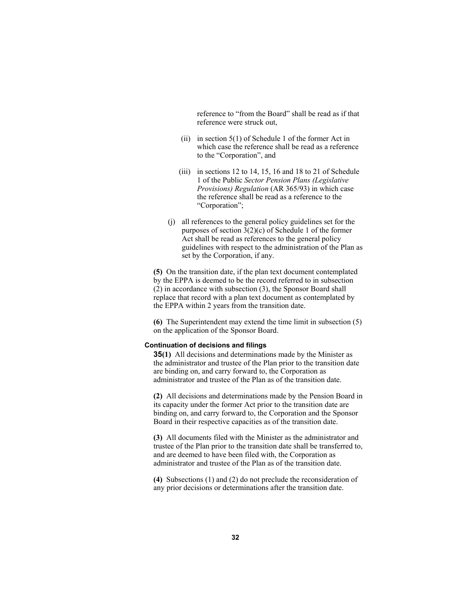reference to "from the Board" shall be read as if that reference were struck out,

- (ii) in section  $5(1)$  of Schedule 1 of the former Act in which case the reference shall be read as a reference to the "Corporation", and
- (iii) in sections 12 to 14, 15, 16 and 18 to 21 of Schedule 1 of the Public *Sector Pension Plans (Legislative Provisions) Regulation* (AR 365/93) in which case the reference shall be read as a reference to the "Corporation";
- (j) all references to the general policy guidelines set for the purposes of section 3(2)(c) of Schedule 1 of the former Act shall be read as references to the general policy guidelines with respect to the administration of the Plan as set by the Corporation, if any.

**(5)** On the transition date, if the plan text document contemplated by the EPPA is deemed to be the record referred to in subsection (2) in accordance with subsection (3), the Sponsor Board shall replace that record with a plan text document as contemplated by the EPPA within 2 years from the transition date.

**(6)** The Superintendent may extend the time limit in subsection (5) on the application of the Sponsor Board.

#### **Continuation of decisions and filings**

**35(1)** All decisions and determinations made by the Minister as the administrator and trustee of the Plan prior to the transition date are binding on, and carry forward to, the Corporation as administrator and trustee of the Plan as of the transition date.

**(2)** All decisions and determinations made by the Pension Board in its capacity under the former Act prior to the transition date are binding on, and carry forward to, the Corporation and the Sponsor Board in their respective capacities as of the transition date.

**(3)** All documents filed with the Minister as the administrator and trustee of the Plan prior to the transition date shall be transferred to, and are deemed to have been filed with, the Corporation as administrator and trustee of the Plan as of the transition date.

**(4)** Subsections (1) and (2) do not preclude the reconsideration of any prior decisions or determinations after the transition date.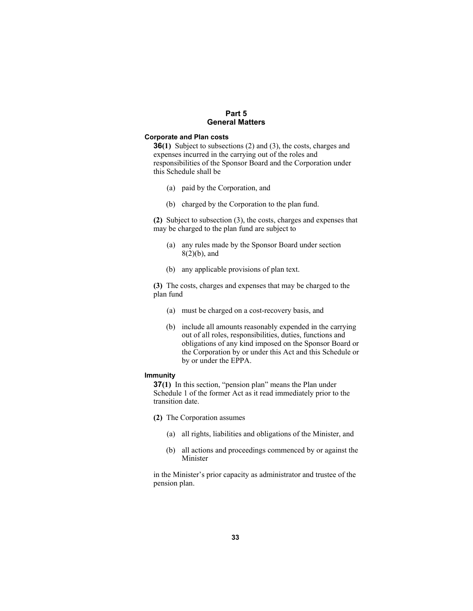# **Part 5 General Matters**

#### **Corporate and Plan costs**

**36(1)** Subject to subsections (2) and (3), the costs, charges and expenses incurred in the carrying out of the roles and responsibilities of the Sponsor Board and the Corporation under this Schedule shall be

- (a) paid by the Corporation, and
- (b) charged by the Corporation to the plan fund.

**(2)** Subject to subsection (3), the costs, charges and expenses that may be charged to the plan fund are subject to

- (a) any rules made by the Sponsor Board under section 8(2)(b), and
- (b) any applicable provisions of plan text.

**(3)** The costs, charges and expenses that may be charged to the plan fund

- (a) must be charged on a cost-recovery basis, and
- (b) include all amounts reasonably expended in the carrying out of all roles, responsibilities, duties, functions and obligations of any kind imposed on the Sponsor Board or the Corporation by or under this Act and this Schedule or by or under the EPPA.

#### **Immunity**

**37(1)** In this section, "pension plan" means the Plan under Schedule 1 of the former Act as it read immediately prior to the transition date.

- **(2)** The Corporation assumes
	- (a) all rights, liabilities and obligations of the Minister, and
	- (b) all actions and proceedings commenced by or against the Minister

in the Minister's prior capacity as administrator and trustee of the pension plan.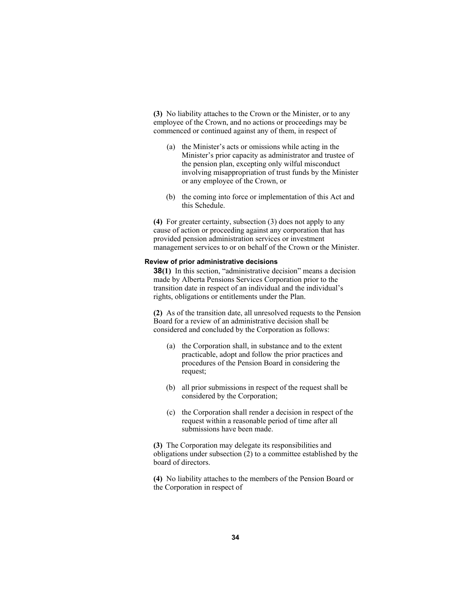**(3)** No liability attaches to the Crown or the Minister, or to any employee of the Crown, and no actions or proceedings may be commenced or continued against any of them, in respect of

- (a) the Minister's acts or omissions while acting in the Minister's prior capacity as administrator and trustee of the pension plan, excepting only wilful misconduct involving misappropriation of trust funds by the Minister or any employee of the Crown, or
- (b) the coming into force or implementation of this Act and this Schedule.

**(4)** For greater certainty, subsection (3) does not apply to any cause of action or proceeding against any corporation that has provided pension administration services or investment management services to or on behalf of the Crown or the Minister.

# **Review of prior administrative decisions**

**38(1)** In this section, "administrative decision" means a decision made by Alberta Pensions Services Corporation prior to the transition date in respect of an individual and the individual's rights, obligations or entitlements under the Plan.

**(2)** As of the transition date, all unresolved requests to the Pension Board for a review of an administrative decision shall be considered and concluded by the Corporation as follows:

- (a) the Corporation shall, in substance and to the extent practicable, adopt and follow the prior practices and procedures of the Pension Board in considering the request;
- (b) all prior submissions in respect of the request shall be considered by the Corporation;
- (c) the Corporation shall render a decision in respect of the request within a reasonable period of time after all submissions have been made.

**(3)** The Corporation may delegate its responsibilities and obligations under subsection (2) to a committee established by the board of directors.

**(4)** No liability attaches to the members of the Pension Board or the Corporation in respect of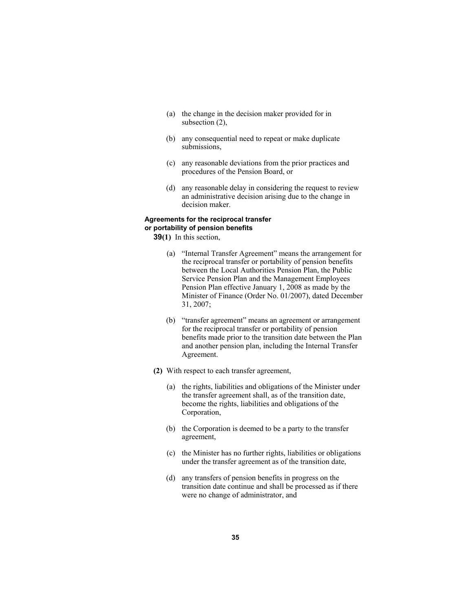- (a) the change in the decision maker provided for in subsection (2),
- (b) any consequential need to repeat or make duplicate submissions,
- (c) any reasonable deviations from the prior practices and procedures of the Pension Board, or
- (d) any reasonable delay in considering the request to review an administrative decision arising due to the change in decision maker.

### **Agreements for the reciprocal transfer or portability of pension benefits**

**39(1)** In this section,

- (a) "Internal Transfer Agreement" means the arrangement for the reciprocal transfer or portability of pension benefits between the Local Authorities Pension Plan, the Public Service Pension Plan and the Management Employees Pension Plan effective January 1, 2008 as made by the Minister of Finance (Order No. 01/2007), dated December 31, 2007;
- (b) "transfer agreement" means an agreement or arrangement for the reciprocal transfer or portability of pension benefits made prior to the transition date between the Plan and another pension plan, including the Internal Transfer Agreement.
- **(2)** With respect to each transfer agreement,
	- (a) the rights, liabilities and obligations of the Minister under the transfer agreement shall, as of the transition date, become the rights, liabilities and obligations of the Corporation,
	- (b) the Corporation is deemed to be a party to the transfer agreement,
	- (c) the Minister has no further rights, liabilities or obligations under the transfer agreement as of the transition date,
	- (d) any transfers of pension benefits in progress on the transition date continue and shall be processed as if there were no change of administrator, and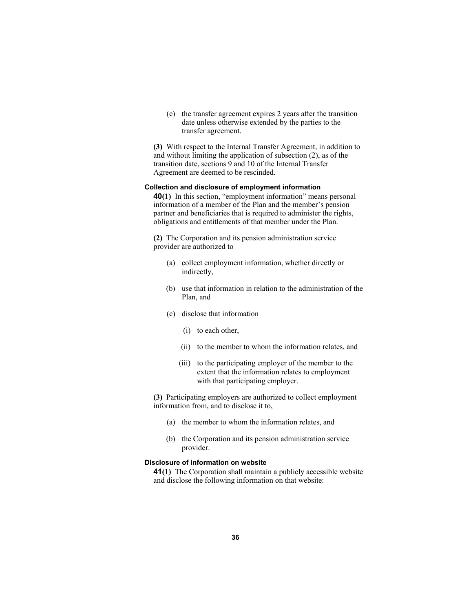(e) the transfer agreement expires 2 years after the transition date unless otherwise extended by the parties to the transfer agreement.

**(3)** With respect to the Internal Transfer Agreement, in addition to and without limiting the application of subsection (2), as of the transition date, sections 9 and 10 of the Internal Transfer Agreement are deemed to be rescinded.

### **Collection and disclosure of employment information**

**40(1)** In this section, "employment information" means personal information of a member of the Plan and the member's pension partner and beneficiaries that is required to administer the rights, obligations and entitlements of that member under the Plan.

**(2)** The Corporation and its pension administration service provider are authorized to

- (a) collect employment information, whether directly or indirectly,
- (b) use that information in relation to the administration of the Plan, and
- (c) disclose that information
	- (i) to each other,
	- (ii) to the member to whom the information relates, and
	- (iii) to the participating employer of the member to the extent that the information relates to employment with that participating employer.

**(3)** Participating employers are authorized to collect employment information from, and to disclose it to,

- (a) the member to whom the information relates, and
- (b) the Corporation and its pension administration service provider.

# **Disclosure of information on website**

**41(1)** The Corporation shall maintain a publicly accessible website and disclose the following information on that website: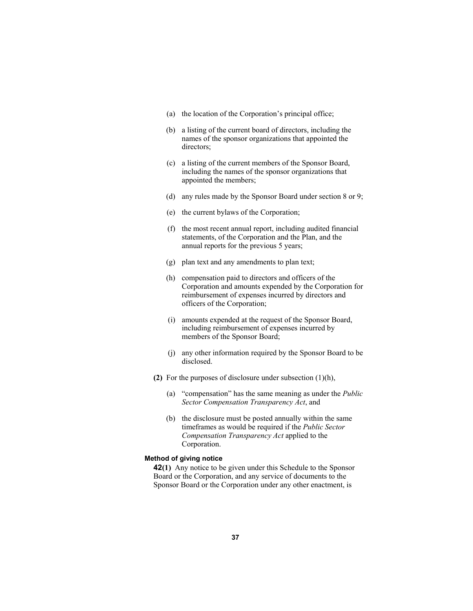- (a) the location of the Corporation's principal office;
- (b) a listing of the current board of directors, including the names of the sponsor organizations that appointed the directors;
- (c) a listing of the current members of the Sponsor Board, including the names of the sponsor organizations that appointed the members;
- (d) any rules made by the Sponsor Board under section 8 or 9;
- (e) the current bylaws of the Corporation;
- (f) the most recent annual report, including audited financial statements, of the Corporation and the Plan, and the annual reports for the previous 5 years;
- (g) plan text and any amendments to plan text;
- (h) compensation paid to directors and officers of the Corporation and amounts expended by the Corporation for reimbursement of expenses incurred by directors and officers of the Corporation;
- (i) amounts expended at the request of the Sponsor Board, including reimbursement of expenses incurred by members of the Sponsor Board;
- (j) any other information required by the Sponsor Board to be disclosed.
- **(2)** For the purposes of disclosure under subsection (1)(h),
	- (a) "compensation" has the same meaning as under the *Public Sector Compensation Transparency Act*, and
	- (b) the disclosure must be posted annually within the same timeframes as would be required if the *Public Sector Compensation Transparency Act* applied to the Corporation.

# **Method of giving notice**

**42(1)** Any notice to be given under this Schedule to the Sponsor Board or the Corporation, and any service of documents to the Sponsor Board or the Corporation under any other enactment, is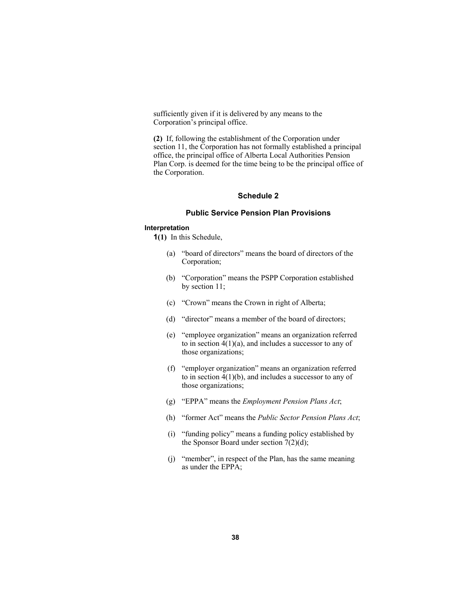sufficiently given if it is delivered by any means to the Corporation's principal office.

**(2)** If, following the establishment of the Corporation under section 11, the Corporation has not formally established a principal office, the principal office of Alberta Local Authorities Pension Plan Corp. is deemed for the time being to be the principal office of the Corporation.

# **Schedule 2**

# **Public Service Pension Plan Provisions**

### **Interpretation**

**1(1)** In this Schedule,

- (a) "board of directors" means the board of directors of the Corporation;
- (b) "Corporation" means the PSPP Corporation established by section 11;
- (c) "Crown" means the Crown in right of Alberta;
- (d) "director" means a member of the board of directors;
- (e) "employee organization" means an organization referred to in section  $4(1)(a)$ , and includes a successor to any of those organizations;
- (f) "employer organization" means an organization referred to in section  $4(1)(b)$ , and includes a successor to any of those organizations;
- (g) "EPPA" means the *Employment Pension Plans Act*;
- (h) "former Act" means the *Public Sector Pension Plans Act*;
- (i) "funding policy" means a funding policy established by the Sponsor Board under section  $7(2)(d)$ ;
- (j) "member", in respect of the Plan, has the same meaning as under the EPPA;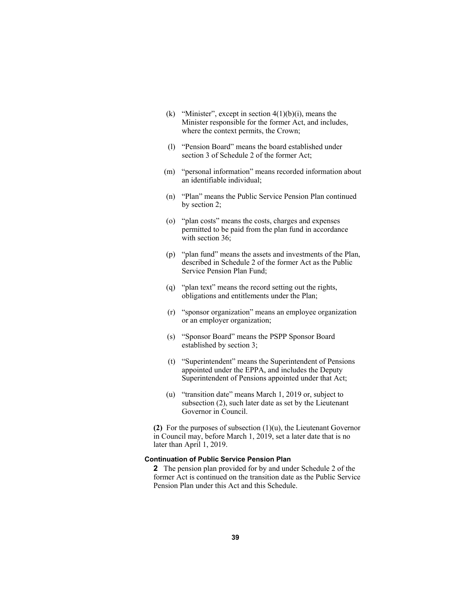- (k) "Minister", except in section  $4(1)(b)(i)$ , means the Minister responsible for the former Act, and includes, where the context permits, the Crown;
- (l) "Pension Board" means the board established under section 3 of Schedule 2 of the former Act;
- (m) "personal information" means recorded information about an identifiable individual;
- (n) "Plan" means the Public Service Pension Plan continued by section 2;
- (o) "plan costs" means the costs, charges and expenses permitted to be paid from the plan fund in accordance with section 36;
- (p) "plan fund" means the assets and investments of the Plan, described in Schedule 2 of the former Act as the Public Service Pension Plan Fund;
- (q) "plan text" means the record setting out the rights, obligations and entitlements under the Plan;
- (r) "sponsor organization" means an employee organization or an employer organization;
- (s) "Sponsor Board" means the PSPP Sponsor Board established by section 3;
- (t) "Superintendent" means the Superintendent of Pensions appointed under the EPPA, and includes the Deputy Superintendent of Pensions appointed under that Act;
- (u) "transition date" means March 1, 2019 or, subject to subsection (2), such later date as set by the Lieutenant Governor in Council.

**(2)** For the purposes of subsection (1)(u), the Lieutenant Governor in Council may, before March 1, 2019, set a later date that is no later than April 1, 2019.

# **Continuation of Public Service Pension Plan**

**2** The pension plan provided for by and under Schedule 2 of the former Act is continued on the transition date as the Public Service Pension Plan under this Act and this Schedule.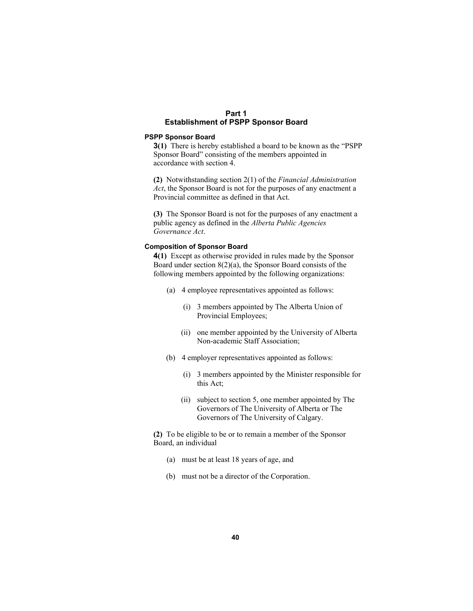# **Part 1 Establishment of PSPP Sponsor Board**

# **PSPP Sponsor Board**

**3(1)** There is hereby established a board to be known as the "PSPP Sponsor Board" consisting of the members appointed in accordance with section 4.

**(2)** Notwithstanding section 2(1) of the *Financial Administration Act*, the Sponsor Board is not for the purposes of any enactment a Provincial committee as defined in that Act.

**(3)** The Sponsor Board is not for the purposes of any enactment a public agency as defined in the *Alberta Public Agencies Governance Act*.

## **Composition of Sponsor Board**

**4(1)** Except as otherwise provided in rules made by the Sponsor Board under section 8(2)(a), the Sponsor Board consists of the following members appointed by the following organizations:

- (a) 4 employee representatives appointed as follows:
	- (i) 3 members appointed by The Alberta Union of Provincial Employees;
	- (ii) one member appointed by the University of Alberta Non-academic Staff Association;
- (b) 4 employer representatives appointed as follows:
	- (i) 3 members appointed by the Minister responsible for this Act;
	- (ii) subject to section 5, one member appointed by The Governors of The University of Alberta or The Governors of The University of Calgary.

**(2)** To be eligible to be or to remain a member of the Sponsor Board, an individual

- (a) must be at least 18 years of age, and
- (b) must not be a director of the Corporation.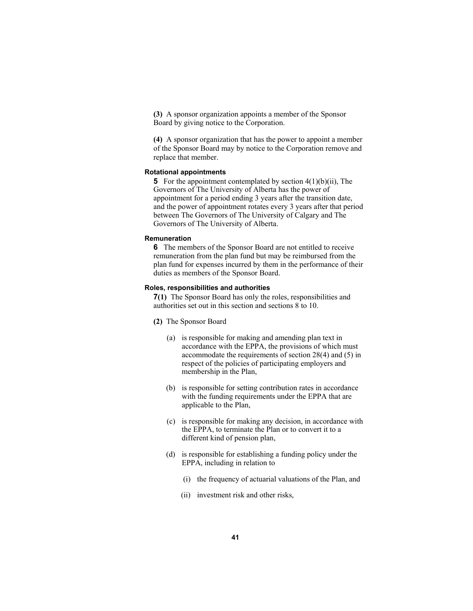**(3)** A sponsor organization appoints a member of the Sponsor Board by giving notice to the Corporation.

**(4)** A sponsor organization that has the power to appoint a member of the Sponsor Board may by notice to the Corporation remove and replace that member.

### **Rotational appointments**

**5** For the appointment contemplated by section 4(1)(b)(ii), The Governors of The University of Alberta has the power of appointment for a period ending 3 years after the transition date, and the power of appointment rotates every 3 years after that period between The Governors of The University of Calgary and The Governors of The University of Alberta.

### **Remuneration**

**6** The members of the Sponsor Board are not entitled to receive remuneration from the plan fund but may be reimbursed from the plan fund for expenses incurred by them in the performance of their duties as members of the Sponsor Board.

# **Roles, responsibilities and authorities**

**7(1)** The Sponsor Board has only the roles, responsibilities and authorities set out in this section and sections 8 to 10.

- **(2)** The Sponsor Board
	- (a) is responsible for making and amending plan text in accordance with the EPPA, the provisions of which must accommodate the requirements of section 28(4) and (5) in respect of the policies of participating employers and membership in the Plan,
	- (b) is responsible for setting contribution rates in accordance with the funding requirements under the EPPA that are applicable to the Plan,
	- (c) is responsible for making any decision, in accordance with the EPPA, to terminate the Plan or to convert it to a different kind of pension plan,
	- (d) is responsible for establishing a funding policy under the EPPA, including in relation to
		- (i) the frequency of actuarial valuations of the Plan, and
		- (ii) investment risk and other risks,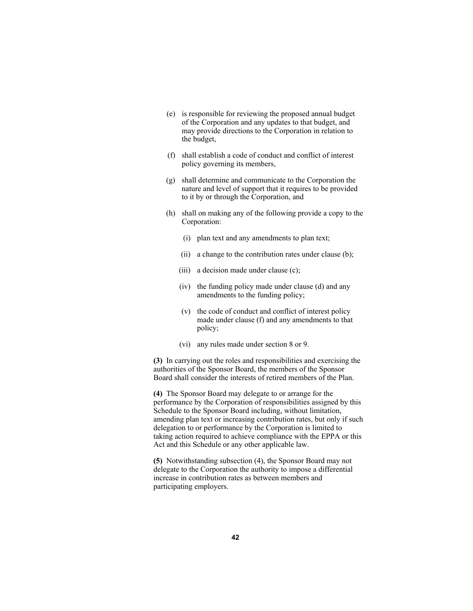- (e) is responsible for reviewing the proposed annual budget of the Corporation and any updates to that budget, and may provide directions to the Corporation in relation to the budget,
- (f) shall establish a code of conduct and conflict of interest policy governing its members,
- (g) shall determine and communicate to the Corporation the nature and level of support that it requires to be provided to it by or through the Corporation, and
- (h) shall on making any of the following provide a copy to the Corporation:
	- (i) plan text and any amendments to plan text;
	- (ii) a change to the contribution rates under clause (b);
	- (iii) a decision made under clause (c);
	- (iv) the funding policy made under clause (d) and any amendments to the funding policy;
	- (v) the code of conduct and conflict of interest policy made under clause (f) and any amendments to that policy;
	- (vi) any rules made under section 8 or 9.

**(3)** In carrying out the roles and responsibilities and exercising the authorities of the Sponsor Board, the members of the Sponsor Board shall consider the interests of retired members of the Plan.

**(4)** The Sponsor Board may delegate to or arrange for the performance by the Corporation of responsibilities assigned by this Schedule to the Sponsor Board including, without limitation, amending plan text or increasing contribution rates, but only if such delegation to or performance by the Corporation is limited to taking action required to achieve compliance with the EPPA or this Act and this Schedule or any other applicable law.

**(5)** Notwithstanding subsection (4), the Sponsor Board may not delegate to the Corporation the authority to impose a differential increase in contribution rates as between members and participating employers.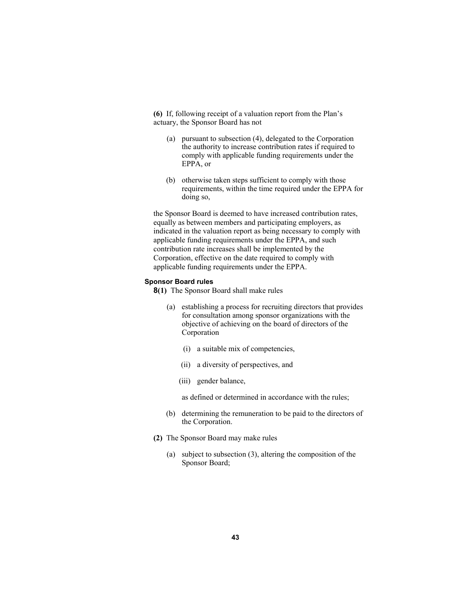**(6)** If, following receipt of a valuation report from the Plan's actuary, the Sponsor Board has not

- (a) pursuant to subsection (4), delegated to the Corporation the authority to increase contribution rates if required to comply with applicable funding requirements under the EPPA, or
- (b) otherwise taken steps sufficient to comply with those requirements, within the time required under the EPPA for doing so,

the Sponsor Board is deemed to have increased contribution rates, equally as between members and participating employers, as indicated in the valuation report as being necessary to comply with applicable funding requirements under the EPPA, and such contribution rate increases shall be implemented by the Corporation, effective on the date required to comply with applicable funding requirements under the EPPA.

### **Sponsor Board rules**

- **8(1)** The Sponsor Board shall make rules
	- (a) establishing a process for recruiting directors that provides for consultation among sponsor organizations with the objective of achieving on the board of directors of the Corporation
		- (i) a suitable mix of competencies,
		- (ii) a diversity of perspectives, and
		- (iii) gender balance,

as defined or determined in accordance with the rules;

- (b) determining the remuneration to be paid to the directors of the Corporation.
- **(2)** The Sponsor Board may make rules
	- (a) subject to subsection (3), altering the composition of the Sponsor Board;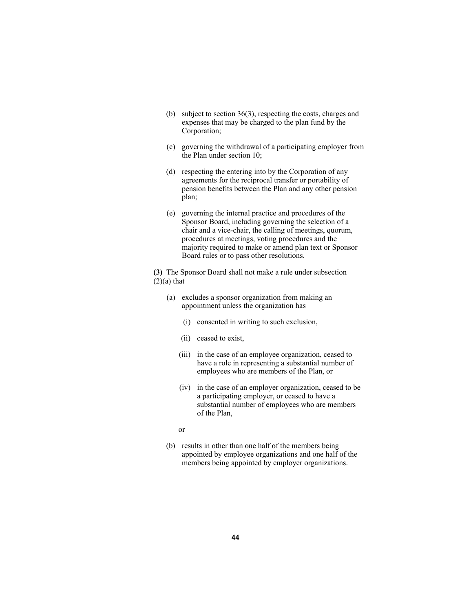- (b) subject to section 36(3), respecting the costs, charges and expenses that may be charged to the plan fund by the Corporation;
- (c) governing the withdrawal of a participating employer from the Plan under section 10;
- (d) respecting the entering into by the Corporation of any agreements for the reciprocal transfer or portability of pension benefits between the Plan and any other pension plan;
- (e) governing the internal practice and procedures of the Sponsor Board, including governing the selection of a chair and a vice-chair, the calling of meetings, quorum, procedures at meetings, voting procedures and the majority required to make or amend plan text or Sponsor Board rules or to pass other resolutions.

**(3)** The Sponsor Board shall not make a rule under subsection  $(2)(a)$  that

- (a) excludes a sponsor organization from making an appointment unless the organization has
	- (i) consented in writing to such exclusion,
	- (ii) ceased to exist,
	- (iii) in the case of an employee organization, ceased to have a role in representing a substantial number of employees who are members of the Plan, or
	- (iv) in the case of an employer organization, ceased to be a participating employer, or ceased to have a substantial number of employees who are members of the Plan,
- or
	- (b) results in other than one half of the members being appointed by employee organizations and one half of the members being appointed by employer organizations.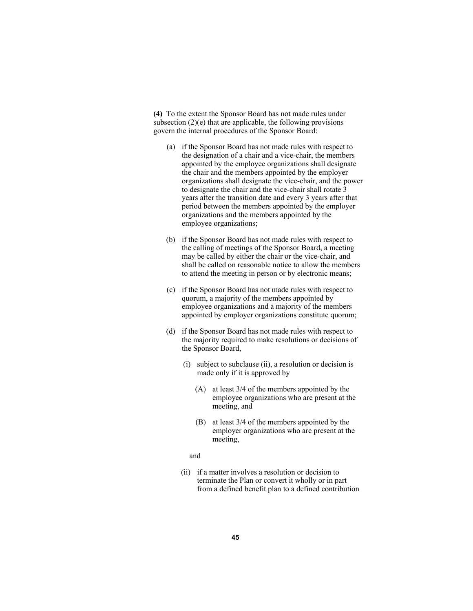**(4)** To the extent the Sponsor Board has not made rules under subsection  $(2)(e)$  that are applicable, the following provisions govern the internal procedures of the Sponsor Board:

- (a) if the Sponsor Board has not made rules with respect to the designation of a chair and a vice-chair, the members appointed by the employee organizations shall designate the chair and the members appointed by the employer organizations shall designate the vice-chair, and the power to designate the chair and the vice-chair shall rotate 3 years after the transition date and every 3 years after that period between the members appointed by the employer organizations and the members appointed by the employee organizations;
- (b) if the Sponsor Board has not made rules with respect to the calling of meetings of the Sponsor Board, a meeting may be called by either the chair or the vice-chair, and shall be called on reasonable notice to allow the members to attend the meeting in person or by electronic means;
- (c) if the Sponsor Board has not made rules with respect to quorum, a majority of the members appointed by employee organizations and a majority of the members appointed by employer organizations constitute quorum;
- (d) if the Sponsor Board has not made rules with respect to the majority required to make resolutions or decisions of the Sponsor Board,
	- (i) subject to subclause (ii), a resolution or decision is made only if it is approved by
		- (A) at least 3/4 of the members appointed by the employee organizations who are present at the meeting, and
		- (B) at least 3/4 of the members appointed by the employer organizations who are present at the meeting,

### and

 (ii) if a matter involves a resolution or decision to terminate the Plan or convert it wholly or in part from a defined benefit plan to a defined contribution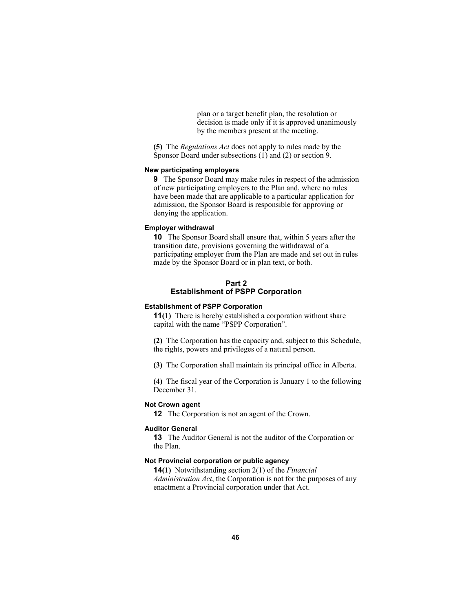plan or a target benefit plan, the resolution or decision is made only if it is approved unanimously by the members present at the meeting.

**(5)** The *Regulations Act* does not apply to rules made by the Sponsor Board under subsections (1) and (2) or section 9.

# **New participating employers**

**9** The Sponsor Board may make rules in respect of the admission of new participating employers to the Plan and, where no rules have been made that are applicable to a particular application for admission, the Sponsor Board is responsible for approving or denying the application.

### **Employer withdrawal**

**10** The Sponsor Board shall ensure that, within 5 years after the transition date, provisions governing the withdrawal of a participating employer from the Plan are made and set out in rules made by the Sponsor Board or in plan text, or both.

# **Part 2 Establishment of PSPP Corporation**

# **Establishment of PSPP Corporation**

**11(1)** There is hereby established a corporation without share capital with the name "PSPP Corporation".

**(2)** The Corporation has the capacity and, subject to this Schedule, the rights, powers and privileges of a natural person.

**(3)** The Corporation shall maintain its principal office in Alberta.

**(4)** The fiscal year of the Corporation is January 1 to the following December 31.

## **Not Crown agent**

**12** The Corporation is not an agent of the Crown.

### **Auditor General**

**13** The Auditor General is not the auditor of the Corporation or the Plan.

# **Not Provincial corporation or public agency**

**14(1)** Notwithstanding section 2(1) of the *Financial Administration Act*, the Corporation is not for the purposes of any enactment a Provincial corporation under that Act.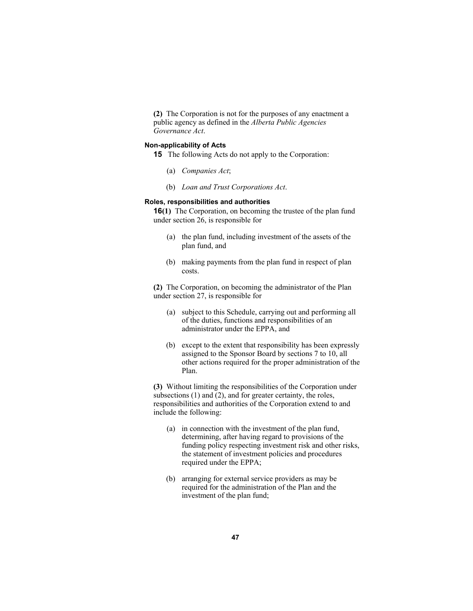**(2)** The Corporation is not for the purposes of any enactment a public agency as defined in the *Alberta Public Agencies Governance Act*.

### **Non-applicability of Acts**

**15** The following Acts do not apply to the Corporation:

- (a) *Companies Act*;
- (b) *Loan and Trust Corporations Act*.

### **Roles, responsibilities and authorities**

**16(1)** The Corporation, on becoming the trustee of the plan fund under section 26, is responsible for

- (a) the plan fund, including investment of the assets of the plan fund, and
- (b) making payments from the plan fund in respect of plan costs.

**(2)** The Corporation, on becoming the administrator of the Plan under section 27, is responsible for

- (a) subject to this Schedule, carrying out and performing all of the duties, functions and responsibilities of an administrator under the EPPA, and
- (b) except to the extent that responsibility has been expressly assigned to the Sponsor Board by sections 7 to 10, all other actions required for the proper administration of the Plan.

**(3)** Without limiting the responsibilities of the Corporation under subsections (1) and (2), and for greater certainty, the roles, responsibilities and authorities of the Corporation extend to and include the following:

- (a) in connection with the investment of the plan fund, determining, after having regard to provisions of the funding policy respecting investment risk and other risks, the statement of investment policies and procedures required under the EPPA;
- (b) arranging for external service providers as may be required for the administration of the Plan and the investment of the plan fund;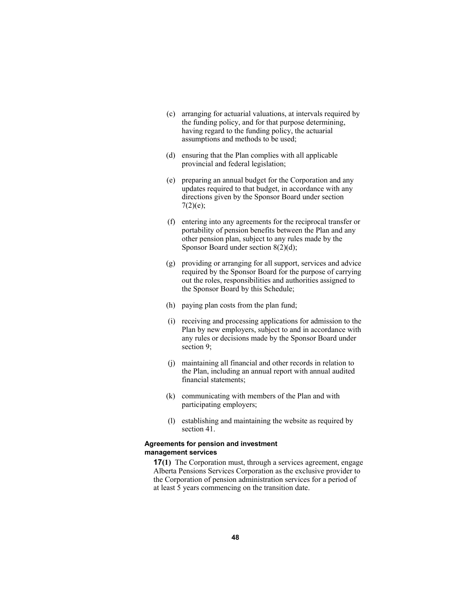- (c) arranging for actuarial valuations, at intervals required by the funding policy, and for that purpose determining, having regard to the funding policy, the actuarial assumptions and methods to be used;
- (d) ensuring that the Plan complies with all applicable provincial and federal legislation;
- (e) preparing an annual budget for the Corporation and any updates required to that budget, in accordance with any directions given by the Sponsor Board under section  $7(2)(e);$
- (f) entering into any agreements for the reciprocal transfer or portability of pension benefits between the Plan and any other pension plan, subject to any rules made by the Sponsor Board under section 8(2)(d);
- (g) providing or arranging for all support, services and advice required by the Sponsor Board for the purpose of carrying out the roles, responsibilities and authorities assigned to the Sponsor Board by this Schedule;
- (h) paying plan costs from the plan fund;
- (i) receiving and processing applications for admission to the Plan by new employers, subject to and in accordance with any rules or decisions made by the Sponsor Board under section 9;
- (j) maintaining all financial and other records in relation to the Plan, including an annual report with annual audited financial statements;
- (k) communicating with members of the Plan and with participating employers;
- (l) establishing and maintaining the website as required by section 41.

## **Agreements for pension and investment management services**

**17(1)** The Corporation must, through a services agreement, engage Alberta Pensions Services Corporation as the exclusive provider to the Corporation of pension administration services for a period of at least 5 years commencing on the transition date.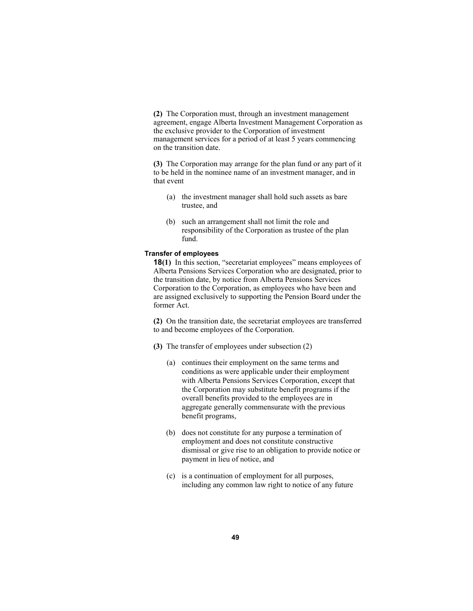**(2)** The Corporation must, through an investment management agreement, engage Alberta Investment Management Corporation as the exclusive provider to the Corporation of investment management services for a period of at least 5 years commencing on the transition date.

**(3)** The Corporation may arrange for the plan fund or any part of it to be held in the nominee name of an investment manager, and in that event

- (a) the investment manager shall hold such assets as bare trustee, and
- (b) such an arrangement shall not limit the role and responsibility of the Corporation as trustee of the plan fund.

### **Transfer of employees**

**18(1)** In this section, "secretariat employees" means employees of Alberta Pensions Services Corporation who are designated, prior to the transition date, by notice from Alberta Pensions Services Corporation to the Corporation, as employees who have been and are assigned exclusively to supporting the Pension Board under the former Act.

**(2)** On the transition date, the secretariat employees are transferred to and become employees of the Corporation.

- **(3)** The transfer of employees under subsection (2)
	- (a) continues their employment on the same terms and conditions as were applicable under their employment with Alberta Pensions Services Corporation, except that the Corporation may substitute benefit programs if the overall benefits provided to the employees are in aggregate generally commensurate with the previous benefit programs,
	- (b) does not constitute for any purpose a termination of employment and does not constitute constructive dismissal or give rise to an obligation to provide notice or payment in lieu of notice, and
	- (c) is a continuation of employment for all purposes, including any common law right to notice of any future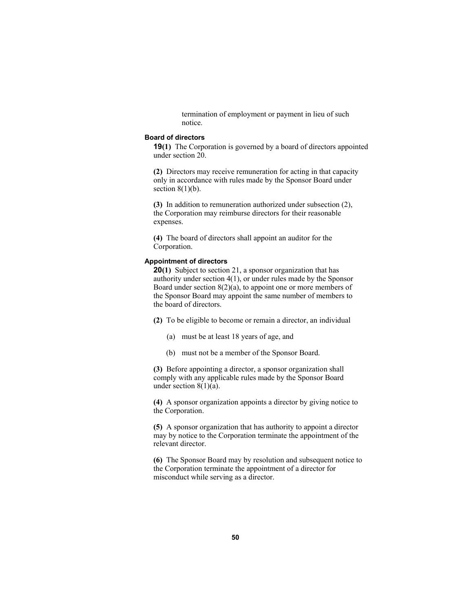termination of employment or payment in lieu of such notice.

## **Board of directors**

**19(1)** The Corporation is governed by a board of directors appointed under section 20.

**(2)** Directors may receive remuneration for acting in that capacity only in accordance with rules made by the Sponsor Board under section  $8(1)(b)$ .

**(3)** In addition to remuneration authorized under subsection (2), the Corporation may reimburse directors for their reasonable expenses.

**(4)** The board of directors shall appoint an auditor for the Corporation.

## **Appointment of directors**

**20(1)** Subject to section 21, a sponsor organization that has authority under section 4(1), or under rules made by the Sponsor Board under section 8(2)(a), to appoint one or more members of the Sponsor Board may appoint the same number of members to the board of directors.

- **(2)** To be eligible to become or remain a director, an individual
	- (a) must be at least 18 years of age, and
	- (b) must not be a member of the Sponsor Board.

**(3)** Before appointing a director, a sponsor organization shall comply with any applicable rules made by the Sponsor Board under section  $8(1)(a)$ .

**(4)** A sponsor organization appoints a director by giving notice to the Corporation.

**(5)** A sponsor organization that has authority to appoint a director may by notice to the Corporation terminate the appointment of the relevant director.

**(6)** The Sponsor Board may by resolution and subsequent notice to the Corporation terminate the appointment of a director for misconduct while serving as a director.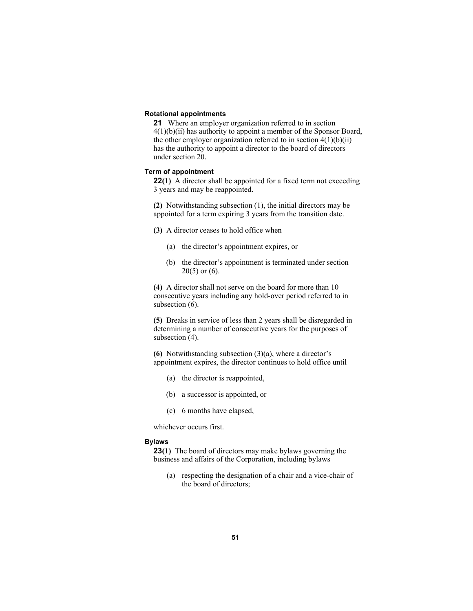## **Rotational appointments**

**21** Where an employer organization referred to in section 4(1)(b)(ii) has authority to appoint a member of the Sponsor Board, the other employer organization referred to in section  $4(1)(b)(ii)$ has the authority to appoint a director to the board of directors under section 20.

### **Term of appointment**

**22(1)** A director shall be appointed for a fixed term not exceeding 3 years and may be reappointed.

**(2)** Notwithstanding subsection (1), the initial directors may be appointed for a term expiring 3 years from the transition date.

- **(3)** A director ceases to hold office when
	- (a) the director's appointment expires, or
	- (b) the director's appointment is terminated under section  $20(5)$  or  $(6)$ .

**(4)** A director shall not serve on the board for more than 10 consecutive years including any hold-over period referred to in subsection  $(6)$ .

**(5)** Breaks in service of less than 2 years shall be disregarded in determining a number of consecutive years for the purposes of subsection (4).

**(6)** Notwithstanding subsection (3)(a), where a director's appointment expires, the director continues to hold office until

- (a) the director is reappointed,
- (b) a successor is appointed, or
- (c) 6 months have elapsed,

whichever occurs first.

### **Bylaws**

**23(1)** The board of directors may make bylaws governing the business and affairs of the Corporation, including bylaws

 (a) respecting the designation of a chair and a vice-chair of the board of directors;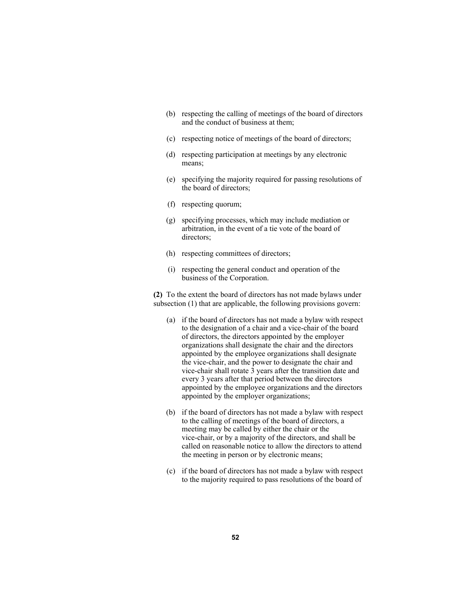- (b) respecting the calling of meetings of the board of directors and the conduct of business at them;
- (c) respecting notice of meetings of the board of directors;
- (d) respecting participation at meetings by any electronic means;
- (e) specifying the majority required for passing resolutions of the board of directors;
- (f) respecting quorum;
- (g) specifying processes, which may include mediation or arbitration, in the event of a tie vote of the board of directors;
- (h) respecting committees of directors;
- (i) respecting the general conduct and operation of the business of the Corporation.

**(2)** To the extent the board of directors has not made bylaws under subsection (1) that are applicable, the following provisions govern:

- (a) if the board of directors has not made a bylaw with respect to the designation of a chair and a vice-chair of the board of directors, the directors appointed by the employer organizations shall designate the chair and the directors appointed by the employee organizations shall designate the vice-chair, and the power to designate the chair and vice-chair shall rotate 3 years after the transition date and every 3 years after that period between the directors appointed by the employee organizations and the directors appointed by the employer organizations;
- (b) if the board of directors has not made a bylaw with respect to the calling of meetings of the board of directors, a meeting may be called by either the chair or the vice-chair, or by a majority of the directors, and shall be called on reasonable notice to allow the directors to attend the meeting in person or by electronic means;
- (c) if the board of directors has not made a bylaw with respect to the majority required to pass resolutions of the board of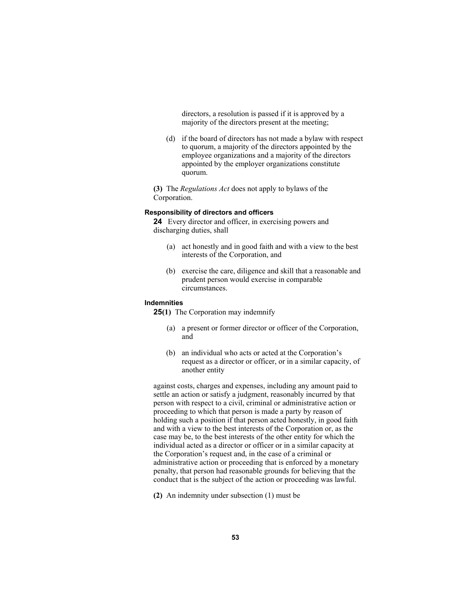directors, a resolution is passed if it is approved by a majority of the directors present at the meeting;

 (d) if the board of directors has not made a bylaw with respect to quorum, a majority of the directors appointed by the employee organizations and a majority of the directors appointed by the employer organizations constitute quorum.

**(3)** The *Regulations Act* does not apply to bylaws of the Corporation.

# **Responsibility of directors and officers**

**24** Every director and officer, in exercising powers and discharging duties, shall

- (a) act honestly and in good faith and with a view to the best interests of the Corporation, and
- (b) exercise the care, diligence and skill that a reasonable and prudent person would exercise in comparable circumstances.

### **Indemnities**

**25(1)** The Corporation may indemnify

- (a) a present or former director or officer of the Corporation, and
- (b) an individual who acts or acted at the Corporation's request as a director or officer, or in a similar capacity, of another entity

against costs, charges and expenses, including any amount paid to settle an action or satisfy a judgment, reasonably incurred by that person with respect to a civil, criminal or administrative action or proceeding to which that person is made a party by reason of holding such a position if that person acted honestly, in good faith and with a view to the best interests of the Corporation or, as the case may be, to the best interests of the other entity for which the individual acted as a director or officer or in a similar capacity at the Corporation's request and, in the case of a criminal or administrative action or proceeding that is enforced by a monetary penalty, that person had reasonable grounds for believing that the conduct that is the subject of the action or proceeding was lawful.

**(2)** An indemnity under subsection (1) must be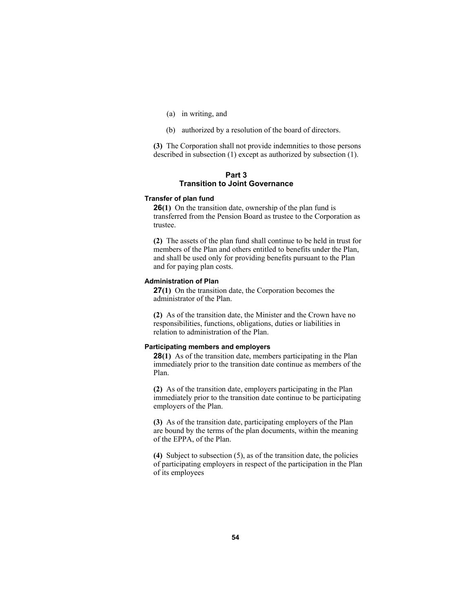- (a) in writing, and
- (b) authorized by a resolution of the board of directors.

**(3)** The Corporation shall not provide indemnities to those persons described in subsection (1) except as authorized by subsection (1).

## **Part 3 Transition to Joint Governance**

#### **Transfer of plan fund**

**26(1)** On the transition date, ownership of the plan fund is transferred from the Pension Board as trustee to the Corporation as trustee.

**(2)** The assets of the plan fund shall continue to be held in trust for members of the Plan and others entitled to benefits under the Plan, and shall be used only for providing benefits pursuant to the Plan and for paying plan costs.

### **Administration of Plan**

**27(1)** On the transition date, the Corporation becomes the administrator of the Plan.

**(2)** As of the transition date, the Minister and the Crown have no responsibilities, functions, obligations, duties or liabilities in relation to administration of the Plan.

### **Participating members and employers**

**28(1)** As of the transition date, members participating in the Plan immediately prior to the transition date continue as members of the Plan.

**(2)** As of the transition date, employers participating in the Plan immediately prior to the transition date continue to be participating employers of the Plan.

**(3)** As of the transition date, participating employers of the Plan are bound by the terms of the plan documents, within the meaning of the EPPA, of the Plan.

**(4)** Subject to subsection (5), as of the transition date, the policies of participating employers in respect of the participation in the Plan of its employees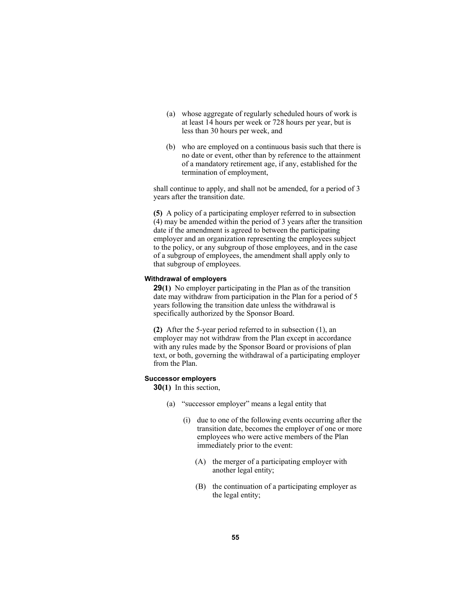- (a) whose aggregate of regularly scheduled hours of work is at least 14 hours per week or 728 hours per year, but is less than 30 hours per week, and
- (b) who are employed on a continuous basis such that there is no date or event, other than by reference to the attainment of a mandatory retirement age, if any, established for the termination of employment,

shall continue to apply, and shall not be amended, for a period of 3 years after the transition date.

**(5)** A policy of a participating employer referred to in subsection (4) may be amended within the period of 3 years after the transition date if the amendment is agreed to between the participating employer and an organization representing the employees subject to the policy, or any subgroup of those employees, and in the case of a subgroup of employees, the amendment shall apply only to that subgroup of employees.

# **Withdrawal of employers**

**29(1)** No employer participating in the Plan as of the transition date may withdraw from participation in the Plan for a period of 5 years following the transition date unless the withdrawal is specifically authorized by the Sponsor Board.

**(2)** After the 5-year period referred to in subsection (1), an employer may not withdraw from the Plan except in accordance with any rules made by the Sponsor Board or provisions of plan text, or both, governing the withdrawal of a participating employer from the Plan.

## **Successor employers**

**30(1)** In this section,

- (a) "successor employer" means a legal entity that
	- (i) due to one of the following events occurring after the transition date, becomes the employer of one or more employees who were active members of the Plan immediately prior to the event:
		- (A) the merger of a participating employer with another legal entity;
		- (B) the continuation of a participating employer as the legal entity;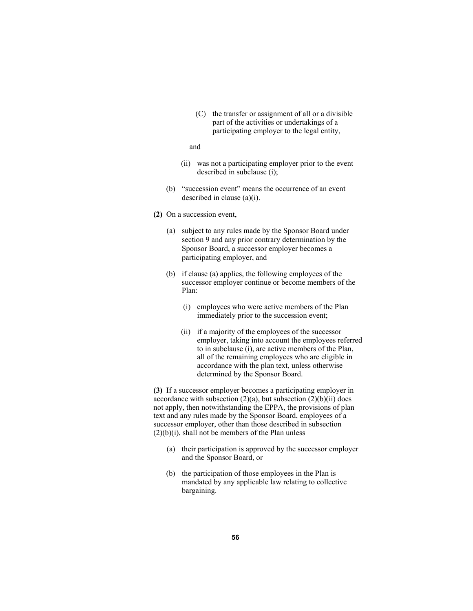(C) the transfer or assignment of all or a divisible part of the activities or undertakings of a participating employer to the legal entity,

### and

- (ii) was not a participating employer prior to the event described in subclause (i);
- (b) "succession event" means the occurrence of an event described in clause (a)(i).
- **(2)** On a succession event,
	- (a) subject to any rules made by the Sponsor Board under section 9 and any prior contrary determination by the Sponsor Board, a successor employer becomes a participating employer, and
	- (b) if clause (a) applies, the following employees of the successor employer continue or become members of the Plan:
		- (i) employees who were active members of the Plan immediately prior to the succession event;
		- (ii) if a majority of the employees of the successor employer, taking into account the employees referred to in subclause (i), are active members of the Plan, all of the remaining employees who are eligible in accordance with the plan text, unless otherwise determined by the Sponsor Board.

**(3)** If a successor employer becomes a participating employer in accordance with subsection  $(2)(a)$ , but subsection  $(2)(b)(ii)$  does not apply, then notwithstanding the EPPA, the provisions of plan text and any rules made by the Sponsor Board, employees of a successor employer, other than those described in subsection  $(2)(b)(i)$ , shall not be members of the Plan unless

- (a) their participation is approved by the successor employer and the Sponsor Board, or
- (b) the participation of those employees in the Plan is mandated by any applicable law relating to collective bargaining.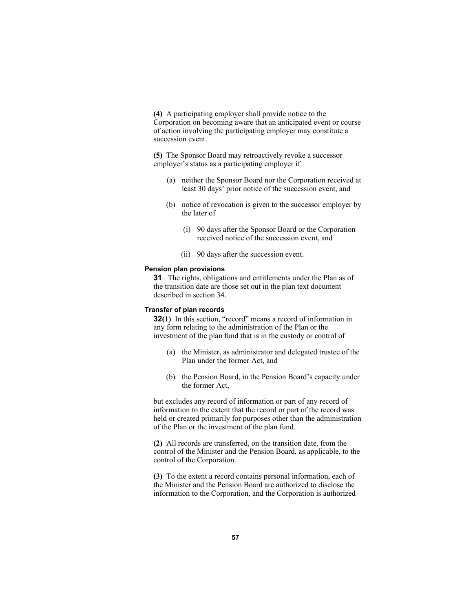**(4)** A participating employer shall provide notice to the Corporation on becoming aware that an anticipated event or course of action involving the participating employer may constitute a succession event.

**(5)** The Sponsor Board may retroactively revoke a successor employer's status as a participating employer if

- (a) neither the Sponsor Board nor the Corporation received at least 30 days' prior notice of the succession event, and
- (b) notice of revocation is given to the successor employer by the later of
	- (i) 90 days after the Sponsor Board or the Corporation received notice of the succession event, and
	- (ii) 90 days after the succession event.

## **Pension plan provisions**

**31** The rights, obligations and entitlements under the Plan as of the transition date are those set out in the plan text document described in section 34.

# **Transfer of plan records**

**32(1)** In this section, "record" means a record of information in any form relating to the administration of the Plan or the investment of the plan fund that is in the custody or control of

- (a) the Minister, as administrator and delegated trustee of the Plan under the former Act, and
- (b) the Pension Board, in the Pension Board's capacity under the former Act,

but excludes any record of information or part of any record of information to the extent that the record or part of the record was held or created primarily for purposes other than the administration of the Plan or the investment of the plan fund.

**(2)** All records are transferred, on the transition date, from the control of the Minister and the Pension Board, as applicable, to the control of the Corporation.

**(3)** To the extent a record contains personal information, each of the Minister and the Pension Board are authorized to disclose the information to the Corporation, and the Corporation is authorized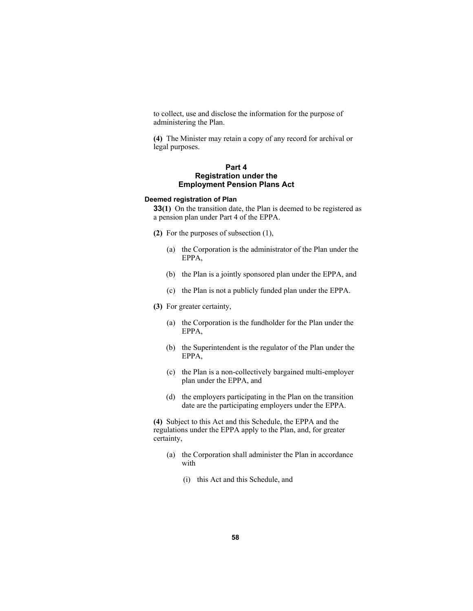to collect, use and disclose the information for the purpose of administering the Plan.

**(4)** The Minister may retain a copy of any record for archival or legal purposes.

# **Part 4 Registration under the Employment Pension Plans Act**

## **Deemed registration of Plan**

**33(1)** On the transition date, the Plan is deemed to be registered as a pension plan under Part 4 of the EPPA.

- **(2)** For the purposes of subsection (1),
	- (a) the Corporation is the administrator of the Plan under the EPPA,
	- (b) the Plan is a jointly sponsored plan under the EPPA, and
	- (c) the Plan is not a publicly funded plan under the EPPA.
- **(3)** For greater certainty,
	- (a) the Corporation is the fundholder for the Plan under the EPPA,
	- (b) the Superintendent is the regulator of the Plan under the EPPA,
	- (c) the Plan is a non-collectively bargained multi-employer plan under the EPPA, and
	- (d) the employers participating in the Plan on the transition date are the participating employers under the EPPA.

**(4)** Subject to this Act and this Schedule, the EPPA and the regulations under the EPPA apply to the Plan, and, for greater certainty,

- (a) the Corporation shall administer the Plan in accordance with
	- (i) this Act and this Schedule, and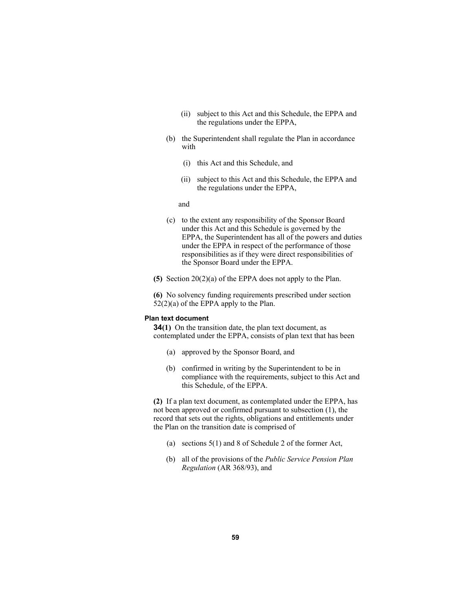- (ii) subject to this Act and this Schedule, the EPPA and the regulations under the EPPA,
- (b) the Superintendent shall regulate the Plan in accordance with
	- (i) this Act and this Schedule, and
	- (ii) subject to this Act and this Schedule, the EPPA and the regulations under the EPPA,

and

- (c) to the extent any responsibility of the Sponsor Board under this Act and this Schedule is governed by the EPPA, the Superintendent has all of the powers and duties under the EPPA in respect of the performance of those responsibilities as if they were direct responsibilities of the Sponsor Board under the EPPA.
- **(5)** Section 20(2)(a) of the EPPA does not apply to the Plan.

**(6)** No solvency funding requirements prescribed under section  $52(2)(a)$  of the EPPA apply to the Plan.

# **Plan text document**

**34(1)** On the transition date, the plan text document, as contemplated under the EPPA, consists of plan text that has been

- (a) approved by the Sponsor Board, and
- (b) confirmed in writing by the Superintendent to be in compliance with the requirements, subject to this Act and this Schedule, of the EPPA.

**(2)** If a plan text document, as contemplated under the EPPA, has not been approved or confirmed pursuant to subsection (1), the record that sets out the rights, obligations and entitlements under the Plan on the transition date is comprised of

- (a) sections 5(1) and 8 of Schedule 2 of the former Act,
- (b) all of the provisions of the *Public Service Pension Plan Regulation* (AR 368/93), and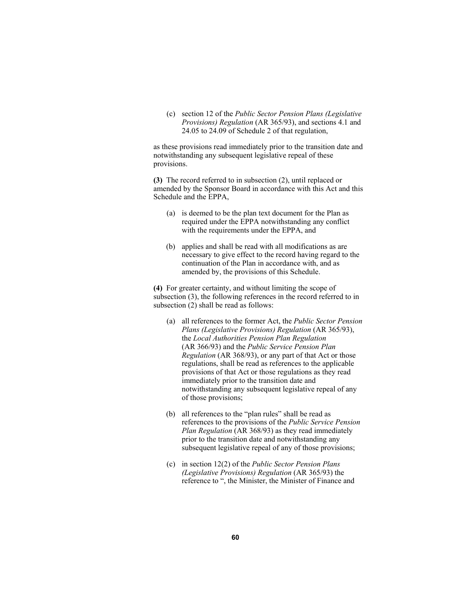(c) section 12 of the *Public Sector Pension Plans (Legislative Provisions) Regulation* (AR 365/93), and sections 4.1 and 24.05 to 24.09 of Schedule 2 of that regulation,

as these provisions read immediately prior to the transition date and notwithstanding any subsequent legislative repeal of these provisions.

**(3)** The record referred to in subsection (2), until replaced or amended by the Sponsor Board in accordance with this Act and this Schedule and the EPPA,

- (a) is deemed to be the plan text document for the Plan as required under the EPPA notwithstanding any conflict with the requirements under the EPPA, and
- (b) applies and shall be read with all modifications as are necessary to give effect to the record having regard to the continuation of the Plan in accordance with, and as amended by, the provisions of this Schedule.

**(4)** For greater certainty, and without limiting the scope of subsection (3), the following references in the record referred to in subsection (2) shall be read as follows:

- (a) all references to the former Act, the *Public Sector Pension Plans (Legislative Provisions) Regulation* (AR 365/93), the *Local Authorities Pension Plan Regulation* (AR 366/93) and the *Public Service Pension Plan Regulation* (AR 368/93), or any part of that Act or those regulations, shall be read as references to the applicable provisions of that Act or those regulations as they read immediately prior to the transition date and notwithstanding any subsequent legislative repeal of any of those provisions;
- (b) all references to the "plan rules" shall be read as references to the provisions of the *Public Service Pension Plan Regulation* (AR 368/93) as they read immediately prior to the transition date and notwithstanding any subsequent legislative repeal of any of those provisions;
- (c) in section 12(2) of the *Public Sector Pension Plans (Legislative Provisions) Regulation* (AR 365/93) the reference to ", the Minister, the Minister of Finance and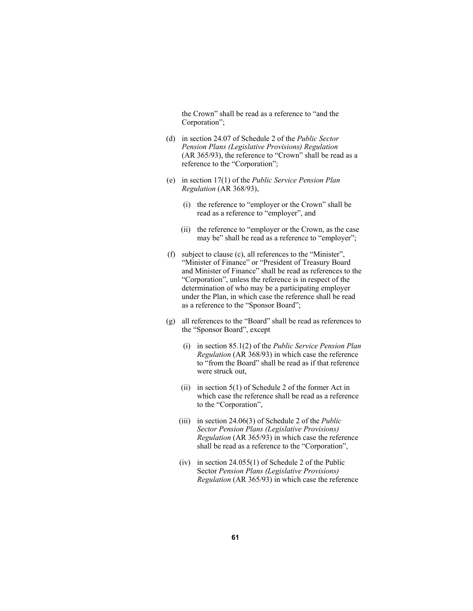the Crown" shall be read as a reference to "and the Corporation";

- (d) in section 24.07 of Schedule 2 of the *Public Sector Pension Plans (Legislative Provisions) Regulation* (AR 365/93), the reference to "Crown" shall be read as a reference to the "Corporation";
- (e) in section 17(1) of the *Public Service Pension Plan Regulation* (AR 368/93),
	- (i) the reference to "employer or the Crown" shall be read as a reference to "employer", and
	- (ii) the reference to "employer or the Crown, as the case may be" shall be read as a reference to "employer";
- (f) subject to clause (c), all references to the "Minister", "Minister of Finance" or "President of Treasury Board and Minister of Finance" shall be read as references to the "Corporation", unless the reference is in respect of the determination of who may be a participating employer under the Plan, in which case the reference shall be read as a reference to the "Sponsor Board";
- (g) all references to the "Board" shall be read as references to the "Sponsor Board", except
	- (i) in section 85.1(2) of the *Public Service Pension Plan Regulation* (AR 368/93) in which case the reference to "from the Board" shall be read as if that reference were struck out,
	- (ii) in section  $5(1)$  of Schedule 2 of the former Act in which case the reference shall be read as a reference to the "Corporation",
	- (iii) in section 24.06(3) of Schedule 2 of the *Public Sector Pension Plans (Legislative Provisions) Regulation* (AR 365/93) in which case the reference shall be read as a reference to the "Corporation",
	- (iv) in section 24.055(1) of Schedule 2 of the Public Sector *Pension Plans (Legislative Provisions) Regulation* (AR 365/93) in which case the reference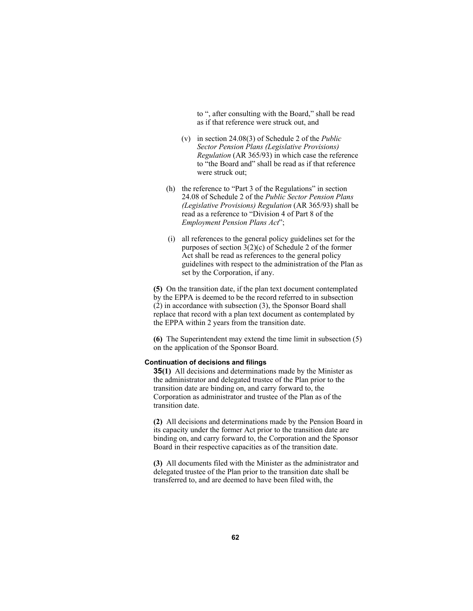to ", after consulting with the Board," shall be read as if that reference were struck out, and

- (v) in section 24.08(3) of Schedule 2 of the *Public Sector Pension Plans (Legislative Provisions) Regulation* (AR 365/93) in which case the reference to "the Board and" shall be read as if that reference were struck out;
- (h) the reference to "Part 3 of the Regulations" in section 24.08 of Schedule 2 of the *Public Sector Pension Plans (Legislative Provisions) Regulation* (AR 365/93) shall be read as a reference to "Division 4 of Part 8 of the *Employment Pension Plans Act*";
- (i) all references to the general policy guidelines set for the purposes of section 3(2)(c) of Schedule 2 of the former Act shall be read as references to the general policy guidelines with respect to the administration of the Plan as set by the Corporation, if any.

**(5)** On the transition date, if the plan text document contemplated by the EPPA is deemed to be the record referred to in subsection (2) in accordance with subsection (3), the Sponsor Board shall replace that record with a plan text document as contemplated by the EPPA within 2 years from the transition date.

**(6)** The Superintendent may extend the time limit in subsection (5) on the application of the Sponsor Board.

## **Continuation of decisions and filings**

**35(1)** All decisions and determinations made by the Minister as the administrator and delegated trustee of the Plan prior to the transition date are binding on, and carry forward to, the Corporation as administrator and trustee of the Plan as of the transition date.

**(2)** All decisions and determinations made by the Pension Board in its capacity under the former Act prior to the transition date are binding on, and carry forward to, the Corporation and the Sponsor Board in their respective capacities as of the transition date.

**(3)** All documents filed with the Minister as the administrator and delegated trustee of the Plan prior to the transition date shall be transferred to, and are deemed to have been filed with, the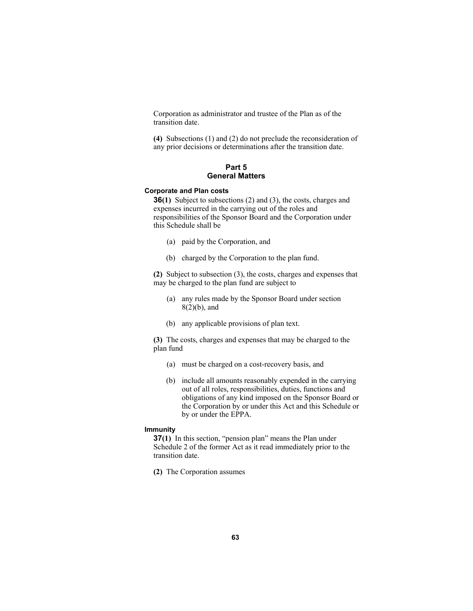Corporation as administrator and trustee of the Plan as of the transition date.

**(4)** Subsections (1) and (2) do not preclude the reconsideration of any prior decisions or determinations after the transition date.

# **Part 5 General Matters**

## **Corporate and Plan costs**

**36(1)** Subject to subsections (2) and (3), the costs, charges and expenses incurred in the carrying out of the roles and responsibilities of the Sponsor Board and the Corporation under this Schedule shall be

- (a) paid by the Corporation, and
- (b) charged by the Corporation to the plan fund.

**(2)** Subject to subsection (3), the costs, charges and expenses that may be charged to the plan fund are subject to

- (a) any rules made by the Sponsor Board under section 8(2)(b), and
- (b) any applicable provisions of plan text.

**(3)** The costs, charges and expenses that may be charged to the plan fund

- (a) must be charged on a cost-recovery basis, and
- (b) include all amounts reasonably expended in the carrying out of all roles, responsibilities, duties, functions and obligations of any kind imposed on the Sponsor Board or the Corporation by or under this Act and this Schedule or by or under the EPPA.

### **Immunity**

**37(1)** In this section, "pension plan" means the Plan under Schedule 2 of the former Act as it read immediately prior to the transition date.

**(2)** The Corporation assumes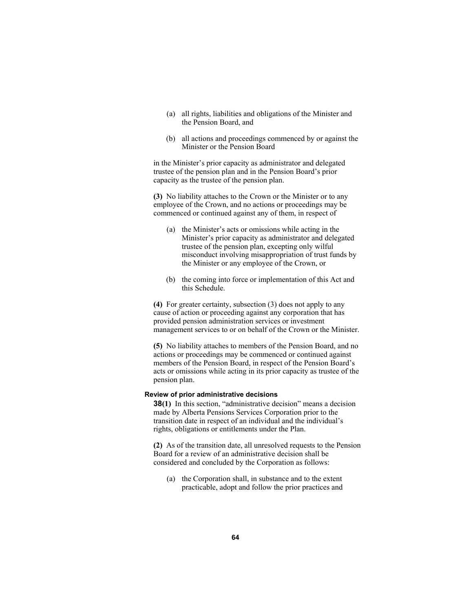- (a) all rights, liabilities and obligations of the Minister and the Pension Board, and
- (b) all actions and proceedings commenced by or against the Minister or the Pension Board

in the Minister's prior capacity as administrator and delegated trustee of the pension plan and in the Pension Board's prior capacity as the trustee of the pension plan.

**(3)** No liability attaches to the Crown or the Minister or to any employee of the Crown, and no actions or proceedings may be commenced or continued against any of them, in respect of

- (a) the Minister's acts or omissions while acting in the Minister's prior capacity as administrator and delegated trustee of the pension plan, excepting only wilful misconduct involving misappropriation of trust funds by the Minister or any employee of the Crown, or
- (b) the coming into force or implementation of this Act and this Schedule.

**(4)** For greater certainty, subsection (3) does not apply to any cause of action or proceeding against any corporation that has provided pension administration services or investment management services to or on behalf of the Crown or the Minister.

**(5)** No liability attaches to members of the Pension Board, and no actions or proceedings may be commenced or continued against members of the Pension Board, in respect of the Pension Board's acts or omissions while acting in its prior capacity as trustee of the pension plan.

### **Review of prior administrative decisions**

**38(1)** In this section, "administrative decision" means a decision made by Alberta Pensions Services Corporation prior to the transition date in respect of an individual and the individual's rights, obligations or entitlements under the Plan.

**(2)** As of the transition date, all unresolved requests to the Pension Board for a review of an administrative decision shall be considered and concluded by the Corporation as follows:

 (a) the Corporation shall, in substance and to the extent practicable, adopt and follow the prior practices and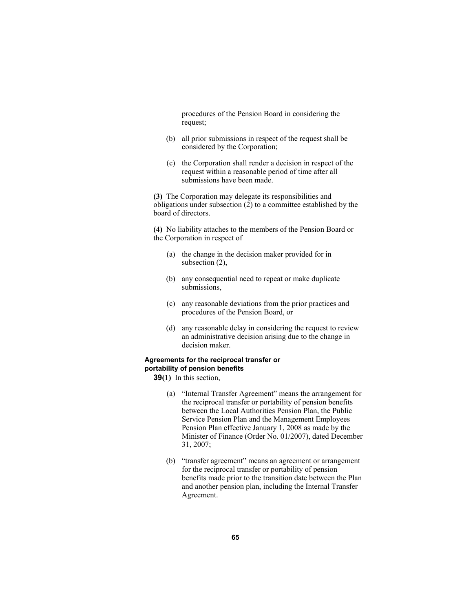procedures of the Pension Board in considering the request;

- (b) all prior submissions in respect of the request shall be considered by the Corporation;
- (c) the Corporation shall render a decision in respect of the request within a reasonable period of time after all submissions have been made.

**(3)** The Corporation may delegate its responsibilities and obligations under subsection  $(2)$  to a committee established by the board of directors.

**(4)** No liability attaches to the members of the Pension Board or the Corporation in respect of

- (a) the change in the decision maker provided for in subsection  $(2)$ ,
- (b) any consequential need to repeat or make duplicate submissions,
- (c) any reasonable deviations from the prior practices and procedures of the Pension Board, or
- (d) any reasonable delay in considering the request to review an administrative decision arising due to the change in decision maker.

## **Agreements for the reciprocal transfer or portability of pension benefits**

**39(1)** In this section,

- (a) "Internal Transfer Agreement" means the arrangement for the reciprocal transfer or portability of pension benefits between the Local Authorities Pension Plan, the Public Service Pension Plan and the Management Employees Pension Plan effective January 1, 2008 as made by the Minister of Finance (Order No. 01/2007), dated December 31, 2007;
- (b) "transfer agreement" means an agreement or arrangement for the reciprocal transfer or portability of pension benefits made prior to the transition date between the Plan and another pension plan, including the Internal Transfer Agreement.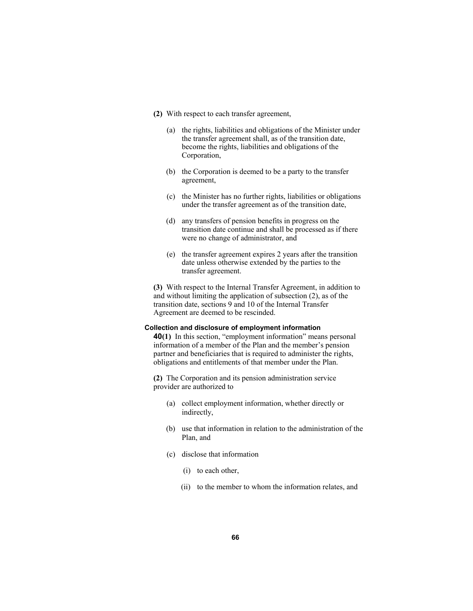- **(2)** With respect to each transfer agreement,
	- (a) the rights, liabilities and obligations of the Minister under the transfer agreement shall, as of the transition date, become the rights, liabilities and obligations of the Corporation,
	- (b) the Corporation is deemed to be a party to the transfer agreement,
	- (c) the Minister has no further rights, liabilities or obligations under the transfer agreement as of the transition date,
	- (d) any transfers of pension benefits in progress on the transition date continue and shall be processed as if there were no change of administrator, and
	- (e) the transfer agreement expires 2 years after the transition date unless otherwise extended by the parties to the transfer agreement.

**(3)** With respect to the Internal Transfer Agreement, in addition to and without limiting the application of subsection (2), as of the transition date, sections 9 and 10 of the Internal Transfer Agreement are deemed to be rescinded.

### **Collection and disclosure of employment information**

**40(1)** In this section, "employment information" means personal information of a member of the Plan and the member's pension partner and beneficiaries that is required to administer the rights, obligations and entitlements of that member under the Plan.

**(2)** The Corporation and its pension administration service provider are authorized to

- (a) collect employment information, whether directly or indirectly,
- (b) use that information in relation to the administration of the Plan, and
- (c) disclose that information
	- (i) to each other,
	- (ii) to the member to whom the information relates, and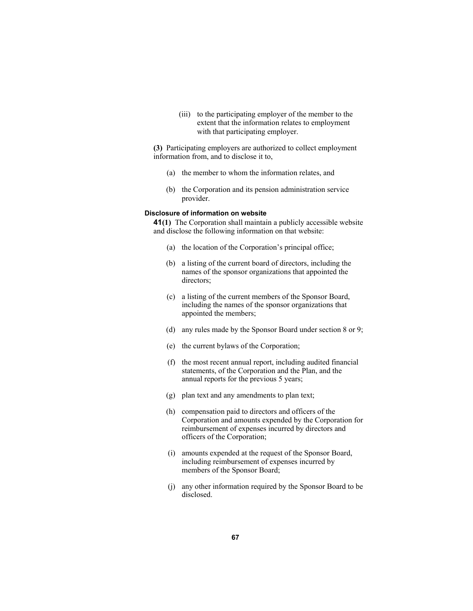(iii) to the participating employer of the member to the extent that the information relates to employment with that participating employer.

**(3)** Participating employers are authorized to collect employment information from, and to disclose it to,

- (a) the member to whom the information relates, and
- (b) the Corporation and its pension administration service provider.

### **Disclosure of information on website**

**41(1)** The Corporation shall maintain a publicly accessible website and disclose the following information on that website:

- (a) the location of the Corporation's principal office;
- (b) a listing of the current board of directors, including the names of the sponsor organizations that appointed the directors;
- (c) a listing of the current members of the Sponsor Board, including the names of the sponsor organizations that appointed the members;
- (d) any rules made by the Sponsor Board under section 8 or 9;
- (e) the current bylaws of the Corporation;
- (f) the most recent annual report, including audited financial statements, of the Corporation and the Plan, and the annual reports for the previous 5 years;
- (g) plan text and any amendments to plan text;
- (h) compensation paid to directors and officers of the Corporation and amounts expended by the Corporation for reimbursement of expenses incurred by directors and officers of the Corporation;
- (i) amounts expended at the request of the Sponsor Board, including reimbursement of expenses incurred by members of the Sponsor Board;
- (j) any other information required by the Sponsor Board to be disclosed.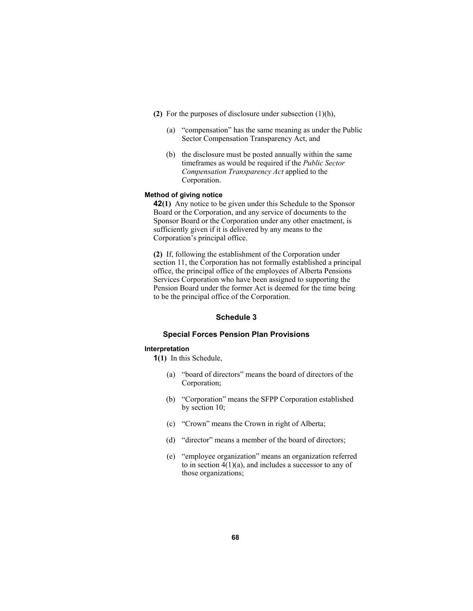- **(2)** For the purposes of disclosure under subsection (1)(h),
	- (a) "compensation" has the same meaning as under the Public Sector Compensation Transparency Act, and
	- (b) the disclosure must be posted annually within the same timeframes as would be required if the *Public Sector Compensation Transparency Act* applied to the Corporation.

### **Method of giving notice**

**42(1)** Any notice to be given under this Schedule to the Sponsor Board or the Corporation, and any service of documents to the Sponsor Board or the Corporation under any other enactment, is sufficiently given if it is delivered by any means to the Corporation's principal office.

**(2)** If, following the establishment of the Corporation under section 11, the Corporation has not formally established a principal office, the principal office of the employees of Alberta Pensions Services Corporation who have been assigned to supporting the Pension Board under the former Act is deemed for the time being to be the principal office of the Corporation.

## **Schedule 3**

### **Special Forces Pension Plan Provisions**

#### **Interpretation**

**1(1)** In this Schedule,

- (a) "board of directors" means the board of directors of the Corporation;
- (b) "Corporation" means the SFPP Corporation established by section 10;
- (c) "Crown" means the Crown in right of Alberta;
- (d) "director" means a member of the board of directors;
- (e) "employee organization" means an organization referred to in section  $4(1)(a)$ , and includes a successor to any of those organizations;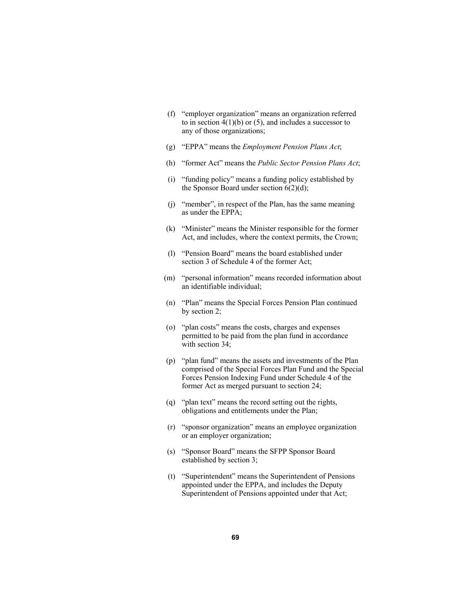- (f) "employer organization" means an organization referred to in section  $4(1)(b)$  or  $(5)$ , and includes a successor to any of those organizations;
- (g) "EPPA" means the *Employment Pension Plans Act*;
- (h) "former Act" means the *Public Sector Pension Plans Act*;
- (i) "funding policy" means a funding policy established by the Sponsor Board under section  $6(2)(d)$ ;
- (j) "member", in respect of the Plan, has the same meaning as under the EPPA;
- (k) "Minister" means the Minister responsible for the former Act, and includes, where the context permits, the Crown;
- (l) "Pension Board" means the board established under section 3 of Schedule 4 of the former Act;
- (m) "personal information" means recorded information about an identifiable individual;
- (n) "Plan" means the Special Forces Pension Plan continued by section 2;
- (o) "plan costs" means the costs, charges and expenses permitted to be paid from the plan fund in accordance with section 34;
- (p) "plan fund" means the assets and investments of the Plan comprised of the Special Forces Plan Fund and the Special Forces Pension Indexing Fund under Schedule 4 of the former Act as merged pursuant to section 24;
- (q) "plan text" means the record setting out the rights, obligations and entitlements under the Plan;
- (r) "sponsor organization" means an employee organization or an employer organization;
- (s) "Sponsor Board" means the SFPP Sponsor Board established by section 3;
- (t) "Superintendent" means the Superintendent of Pensions appointed under the EPPA, and includes the Deputy Superintendent of Pensions appointed under that Act;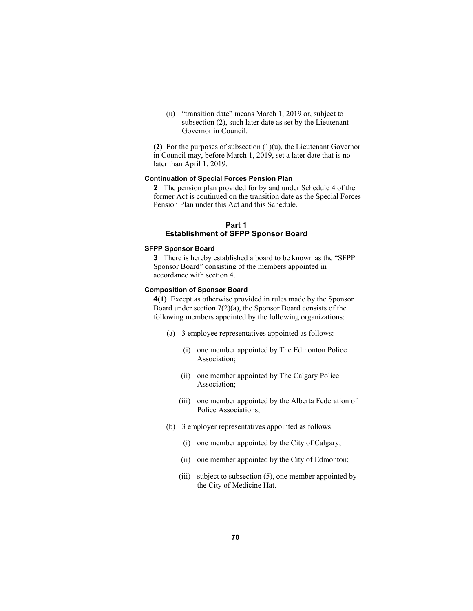(u) "transition date" means March 1, 2019 or, subject to subsection (2), such later date as set by the Lieutenant Governor in Council.

**(2)** For the purposes of subsection (1)(u), the Lieutenant Governor in Council may, before March 1, 2019, set a later date that is no later than April 1, 2019.

# **Continuation of Special Forces Pension Plan**

**2** The pension plan provided for by and under Schedule 4 of the former Act is continued on the transition date as the Special Forces Pension Plan under this Act and this Schedule.

# **Part 1 Establishment of SFPP Sponsor Board**

#### **SFPP Sponsor Board**

**3** There is hereby established a board to be known as the "SFPP Sponsor Board" consisting of the members appointed in accordance with section 4.

# **Composition of Sponsor Board**

**4(1)** Except as otherwise provided in rules made by the Sponsor Board under section 7(2)(a), the Sponsor Board consists of the following members appointed by the following organizations:

- (a) 3 employee representatives appointed as follows:
	- (i) one member appointed by The Edmonton Police Association;
	- (ii) one member appointed by The Calgary Police Association;
	- (iii) one member appointed by the Alberta Federation of Police Associations;
- (b) 3 employer representatives appointed as follows:
	- (i) one member appointed by the City of Calgary;
	- (ii) one member appointed by the City of Edmonton;
	- (iii) subject to subsection (5), one member appointed by the City of Medicine Hat.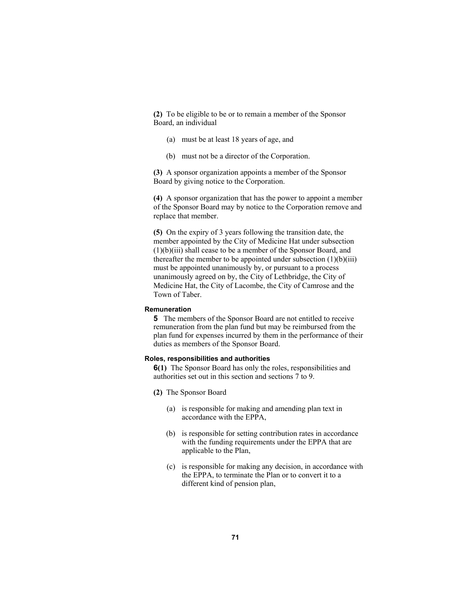**(2)** To be eligible to be or to remain a member of the Sponsor Board, an individual

- (a) must be at least 18 years of age, and
- (b) must not be a director of the Corporation.

**(3)** A sponsor organization appoints a member of the Sponsor Board by giving notice to the Corporation.

**(4)** A sponsor organization that has the power to appoint a member of the Sponsor Board may by notice to the Corporation remove and replace that member.

**(5)** On the expiry of 3 years following the transition date, the member appointed by the City of Medicine Hat under subsection (1)(b)(iii) shall cease to be a member of the Sponsor Board, and thereafter the member to be appointed under subsection  $(1)(b)(iii)$ must be appointed unanimously by, or pursuant to a process unanimously agreed on by, the City of Lethbridge, the City of Medicine Hat, the City of Lacombe, the City of Camrose and the Town of Taber.

### **Remuneration**

**5** The members of the Sponsor Board are not entitled to receive remuneration from the plan fund but may be reimbursed from the plan fund for expenses incurred by them in the performance of their duties as members of the Sponsor Board.

### **Roles, responsibilities and authorities**

**6(1)** The Sponsor Board has only the roles, responsibilities and authorities set out in this section and sections 7 to 9.

- **(2)** The Sponsor Board
	- (a) is responsible for making and amending plan text in accordance with the EPPA,
	- (b) is responsible for setting contribution rates in accordance with the funding requirements under the EPPA that are applicable to the Plan,
	- (c) is responsible for making any decision, in accordance with the EPPA, to terminate the Plan or to convert it to a different kind of pension plan,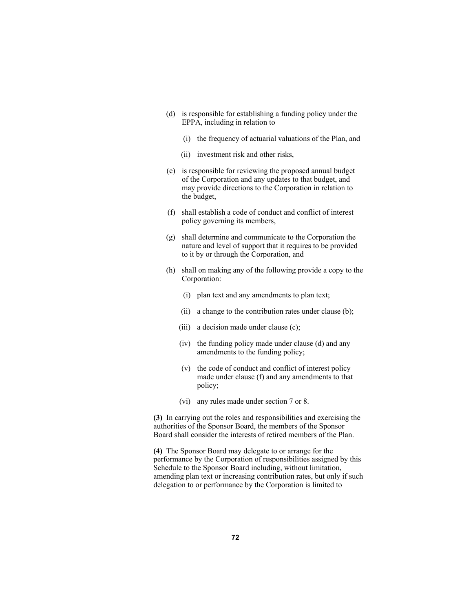- (d) is responsible for establishing a funding policy under the EPPA, including in relation to
	- (i) the frequency of actuarial valuations of the Plan, and
	- (ii) investment risk and other risks,
- (e) is responsible for reviewing the proposed annual budget of the Corporation and any updates to that budget, and may provide directions to the Corporation in relation to the budget,
- (f) shall establish a code of conduct and conflict of interest policy governing its members,
- (g) shall determine and communicate to the Corporation the nature and level of support that it requires to be provided to it by or through the Corporation, and
- (h) shall on making any of the following provide a copy to the Corporation:
	- (i) plan text and any amendments to plan text;
	- (ii) a change to the contribution rates under clause (b);
	- (iii) a decision made under clause (c);
	- (iv) the funding policy made under clause (d) and any amendments to the funding policy;
	- (v) the code of conduct and conflict of interest policy made under clause (f) and any amendments to that policy;
	- (vi) any rules made under section 7 or 8.

**(3)** In carrying out the roles and responsibilities and exercising the authorities of the Sponsor Board, the members of the Sponsor Board shall consider the interests of retired members of the Plan.

**(4)** The Sponsor Board may delegate to or arrange for the performance by the Corporation of responsibilities assigned by this Schedule to the Sponsor Board including, without limitation, amending plan text or increasing contribution rates, but only if such delegation to or performance by the Corporation is limited to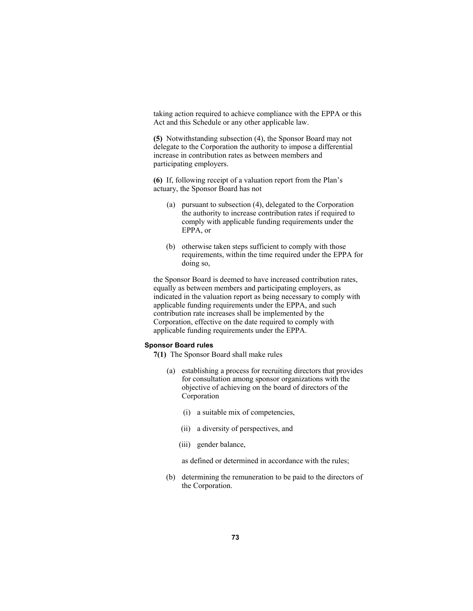taking action required to achieve compliance with the EPPA or this Act and this Schedule or any other applicable law.

**(5)** Notwithstanding subsection (4), the Sponsor Board may not delegate to the Corporation the authority to impose a differential increase in contribution rates as between members and participating employers.

**(6)** If, following receipt of a valuation report from the Plan's actuary, the Sponsor Board has not

- (a) pursuant to subsection (4), delegated to the Corporation the authority to increase contribution rates if required to comply with applicable funding requirements under the EPPA, or
- (b) otherwise taken steps sufficient to comply with those requirements, within the time required under the EPPA for doing so,

the Sponsor Board is deemed to have increased contribution rates, equally as between members and participating employers, as indicated in the valuation report as being necessary to comply with applicable funding requirements under the EPPA, and such contribution rate increases shall be implemented by the Corporation, effective on the date required to comply with applicable funding requirements under the EPPA.

#### **Sponsor Board rules**

- **7(1)** The Sponsor Board shall make rules
	- (a) establishing a process for recruiting directors that provides for consultation among sponsor organizations with the objective of achieving on the board of directors of the Corporation
		- (i) a suitable mix of competencies,
		- (ii) a diversity of perspectives, and
		- (iii) gender balance,

as defined or determined in accordance with the rules;

 (b) determining the remuneration to be paid to the directors of the Corporation.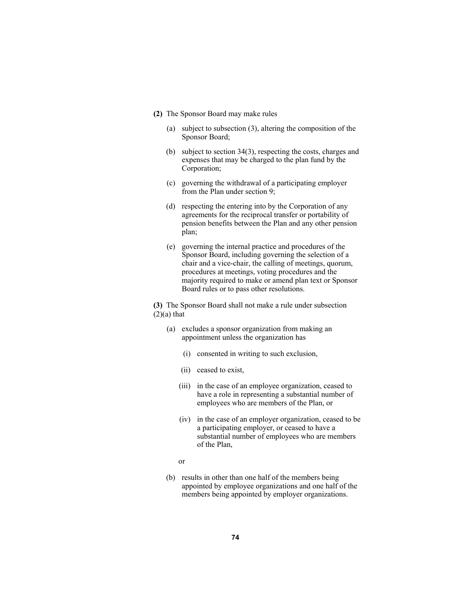- **(2)** The Sponsor Board may make rules
	- (a) subject to subsection (3), altering the composition of the Sponsor Board;
	- (b) subject to section 34(3), respecting the costs, charges and expenses that may be charged to the plan fund by the Corporation;
	- (c) governing the withdrawal of a participating employer from the Plan under section 9;
	- (d) respecting the entering into by the Corporation of any agreements for the reciprocal transfer or portability of pension benefits between the Plan and any other pension plan;
	- (e) governing the internal practice and procedures of the Sponsor Board, including governing the selection of a chair and a vice-chair, the calling of meetings, quorum, procedures at meetings, voting procedures and the majority required to make or amend plan text or Sponsor Board rules or to pass other resolutions.

**(3)** The Sponsor Board shall not make a rule under subsection  $(2)(a)$  that

- (a) excludes a sponsor organization from making an appointment unless the organization has
	- (i) consented in writing to such exclusion,
	- (ii) ceased to exist,
	- (iii) in the case of an employee organization, ceased to have a role in representing a substantial number of employees who are members of the Plan, or
	- (iv) in the case of an employer organization, ceased to be a participating employer, or ceased to have a substantial number of employees who are members of the Plan,
- or
	- (b) results in other than one half of the members being appointed by employee organizations and one half of the members being appointed by employer organizations.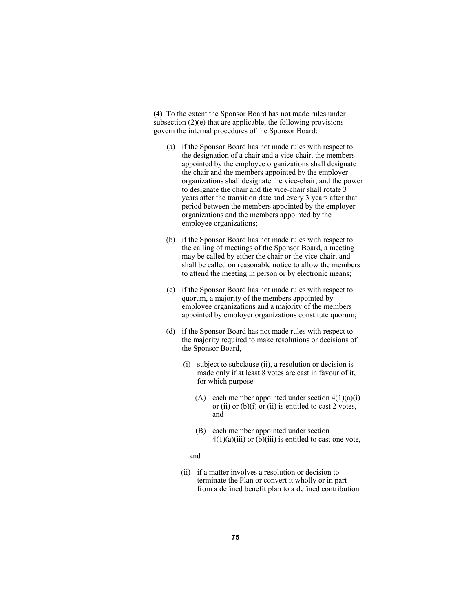**(4)** To the extent the Sponsor Board has not made rules under subsection  $(2)(e)$  that are applicable, the following provisions govern the internal procedures of the Sponsor Board:

- (a) if the Sponsor Board has not made rules with respect to the designation of a chair and a vice-chair, the members appointed by the employee organizations shall designate the chair and the members appointed by the employer organizations shall designate the vice-chair, and the power to designate the chair and the vice-chair shall rotate 3 years after the transition date and every 3 years after that period between the members appointed by the employer organizations and the members appointed by the employee organizations;
- (b) if the Sponsor Board has not made rules with respect to the calling of meetings of the Sponsor Board, a meeting may be called by either the chair or the vice-chair, and shall be called on reasonable notice to allow the members to attend the meeting in person or by electronic means;
- (c) if the Sponsor Board has not made rules with respect to quorum, a majority of the members appointed by employee organizations and a majority of the members appointed by employer organizations constitute quorum;
- (d) if the Sponsor Board has not made rules with respect to the majority required to make resolutions or decisions of the Sponsor Board,
	- (i) subject to subclause (ii), a resolution or decision is made only if at least 8 votes are cast in favour of it, for which purpose
		- (A) each member appointed under section  $4(1)(a)(i)$ or (ii) or (b)(i) or (ii) is entitled to cast 2 votes, and
		- (B) each member appointed under section  $4(1)(a)(iii)$  or (b)(iii) is entitled to cast one vote,

#### and

 (ii) if a matter involves a resolution or decision to terminate the Plan or convert it wholly or in part from a defined benefit plan to a defined contribution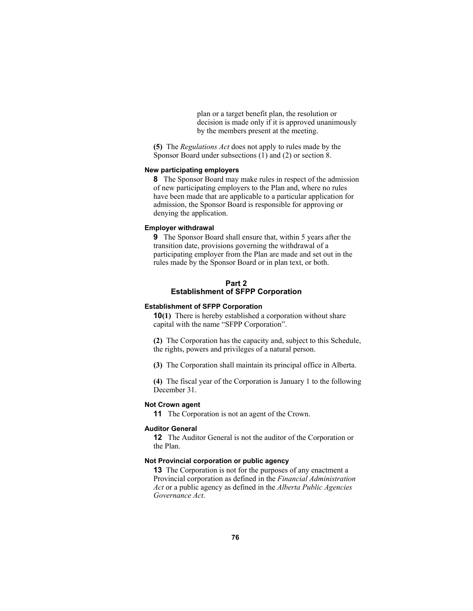plan or a target benefit plan, the resolution or decision is made only if it is approved unanimously by the members present at the meeting.

**(5)** The *Regulations Act* does not apply to rules made by the Sponsor Board under subsections (1) and (2) or section 8.

# **New participating employers**

**8** The Sponsor Board may make rules in respect of the admission of new participating employers to the Plan and, where no rules have been made that are applicable to a particular application for admission, the Sponsor Board is responsible for approving or denying the application.

### **Employer withdrawal**

**9** The Sponsor Board shall ensure that, within 5 years after the transition date, provisions governing the withdrawal of a participating employer from the Plan are made and set out in the rules made by the Sponsor Board or in plan text, or both.

## **Part 2 Establishment of SFPP Corporation**

## **Establishment of SFPP Corporation**

**10(1)** There is hereby established a corporation without share capital with the name "SFPP Corporation".

**(2)** The Corporation has the capacity and, subject to this Schedule, the rights, powers and privileges of a natural person.

**(3)** The Corporation shall maintain its principal office in Alberta.

**(4)** The fiscal year of the Corporation is January 1 to the following December 31.

# **Not Crown agent**

**11** The Corporation is not an agent of the Crown.

### **Auditor General**

**12** The Auditor General is not the auditor of the Corporation or the Plan.

## **Not Provincial corporation or public agency**

**13** The Corporation is not for the purposes of any enactment a Provincial corporation as defined in the *Financial Administration Act* or a public agency as defined in the *Alberta Public Agencies Governance Act*.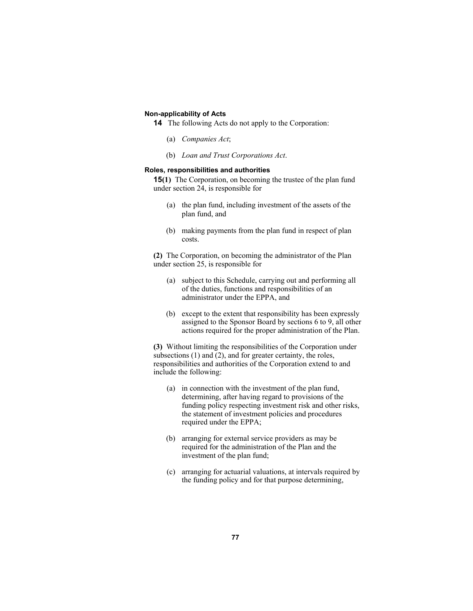## **Non-applicability of Acts**

- **14** The following Acts do not apply to the Corporation:
	- (a) *Companies Act*;
	- (b) *Loan and Trust Corporations Act*.

## **Roles, responsibilities and authorities**

**15(1)** The Corporation, on becoming the trustee of the plan fund under section 24, is responsible for

- (a) the plan fund, including investment of the assets of the plan fund, and
- (b) making payments from the plan fund in respect of plan costs.

**(2)** The Corporation, on becoming the administrator of the Plan under section 25, is responsible for

- (a) subject to this Schedule, carrying out and performing all of the duties, functions and responsibilities of an administrator under the EPPA, and
- (b) except to the extent that responsibility has been expressly assigned to the Sponsor Board by sections 6 to 9, all other actions required for the proper administration of the Plan.

**(3)** Without limiting the responsibilities of the Corporation under subsections (1) and (2), and for greater certainty, the roles, responsibilities and authorities of the Corporation extend to and include the following:

- (a) in connection with the investment of the plan fund, determining, after having regard to provisions of the funding policy respecting investment risk and other risks, the statement of investment policies and procedures required under the EPPA;
- (b) arranging for external service providers as may be required for the administration of the Plan and the investment of the plan fund;
- (c) arranging for actuarial valuations, at intervals required by the funding policy and for that purpose determining,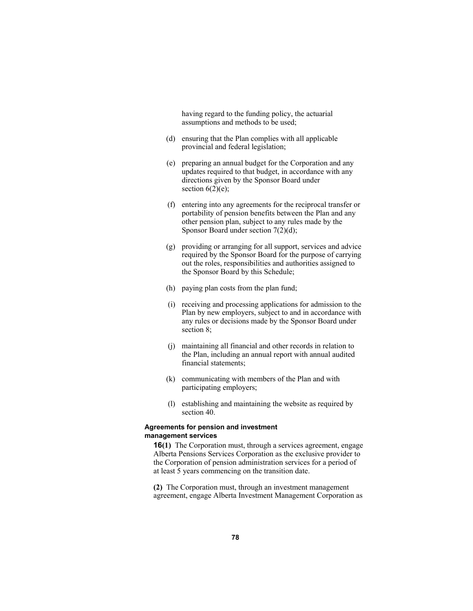having regard to the funding policy, the actuarial assumptions and methods to be used;

- (d) ensuring that the Plan complies with all applicable provincial and federal legislation;
- (e) preparing an annual budget for the Corporation and any updates required to that budget, in accordance with any directions given by the Sponsor Board under section  $6(2)(e)$ ;
- (f) entering into any agreements for the reciprocal transfer or portability of pension benefits between the Plan and any other pension plan, subject to any rules made by the Sponsor Board under section 7(2)(d);
- (g) providing or arranging for all support, services and advice required by the Sponsor Board for the purpose of carrying out the roles, responsibilities and authorities assigned to the Sponsor Board by this Schedule;
- (h) paying plan costs from the plan fund;
- (i) receiving and processing applications for admission to the Plan by new employers, subject to and in accordance with any rules or decisions made by the Sponsor Board under section 8;
- (j) maintaining all financial and other records in relation to the Plan, including an annual report with annual audited financial statements;
- (k) communicating with members of the Plan and with participating employers;
- (l) establishing and maintaining the website as required by section 40.

## **Agreements for pension and investment management services**

**16(1)** The Corporation must, through a services agreement, engage Alberta Pensions Services Corporation as the exclusive provider to the Corporation of pension administration services for a period of at least 5 years commencing on the transition date.

**(2)** The Corporation must, through an investment management agreement, engage Alberta Investment Management Corporation as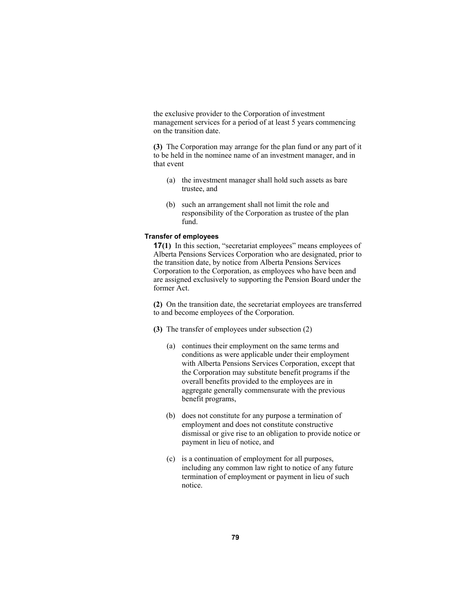the exclusive provider to the Corporation of investment management services for a period of at least 5 years commencing on the transition date.

**(3)** The Corporation may arrange for the plan fund or any part of it to be held in the nominee name of an investment manager, and in that event

- (a) the investment manager shall hold such assets as bare trustee, and
- (b) such an arrangement shall not limit the role and responsibility of the Corporation as trustee of the plan fund.

### **Transfer of employees**

**17(1)** In this section, "secretariat employees" means employees of Alberta Pensions Services Corporation who are designated, prior to the transition date, by notice from Alberta Pensions Services Corporation to the Corporation, as employees who have been and are assigned exclusively to supporting the Pension Board under the former Act.

**(2)** On the transition date, the secretariat employees are transferred to and become employees of the Corporation.

- **(3)** The transfer of employees under subsection (2)
	- (a) continues their employment on the same terms and conditions as were applicable under their employment with Alberta Pensions Services Corporation, except that the Corporation may substitute benefit programs if the overall benefits provided to the employees are in aggregate generally commensurate with the previous benefit programs,
	- (b) does not constitute for any purpose a termination of employment and does not constitute constructive dismissal or give rise to an obligation to provide notice or payment in lieu of notice, and
	- (c) is a continuation of employment for all purposes, including any common law right to notice of any future termination of employment or payment in lieu of such notice.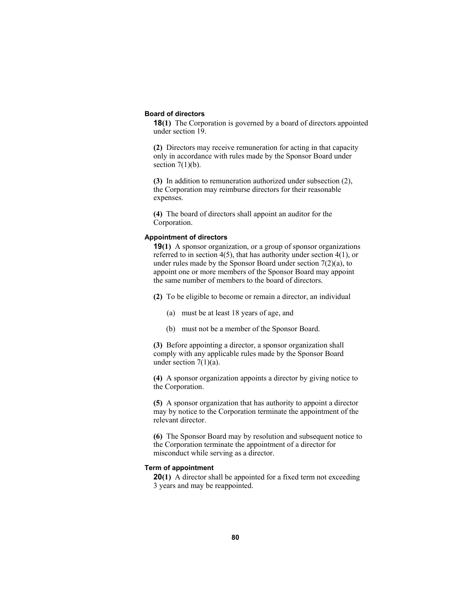#### **Board of directors**

**18(1)** The Corporation is governed by a board of directors appointed under section 19.

**(2)** Directors may receive remuneration for acting in that capacity only in accordance with rules made by the Sponsor Board under section  $7(1)(b)$ .

**(3)** In addition to remuneration authorized under subsection (2), the Corporation may reimburse directors for their reasonable expenses.

**(4)** The board of directors shall appoint an auditor for the Corporation.

# **Appointment of directors**

**19(1)** A sponsor organization, or a group of sponsor organizations referred to in section 4(5), that has authority under section 4(1), or under rules made by the Sponsor Board under section 7(2)(a), to appoint one or more members of the Sponsor Board may appoint the same number of members to the board of directors.

**(2)** To be eligible to become or remain a director, an individual

- (a) must be at least 18 years of age, and
- (b) must not be a member of the Sponsor Board.

**(3)** Before appointing a director, a sponsor organization shall comply with any applicable rules made by the Sponsor Board under section  $7(1)(a)$ .

**(4)** A sponsor organization appoints a director by giving notice to the Corporation.

**(5)** A sponsor organization that has authority to appoint a director may by notice to the Corporation terminate the appointment of the relevant director.

**(6)** The Sponsor Board may by resolution and subsequent notice to the Corporation terminate the appointment of a director for misconduct while serving as a director.

## **Term of appointment**

**20(1)** A director shall be appointed for a fixed term not exceeding 3 years and may be reappointed.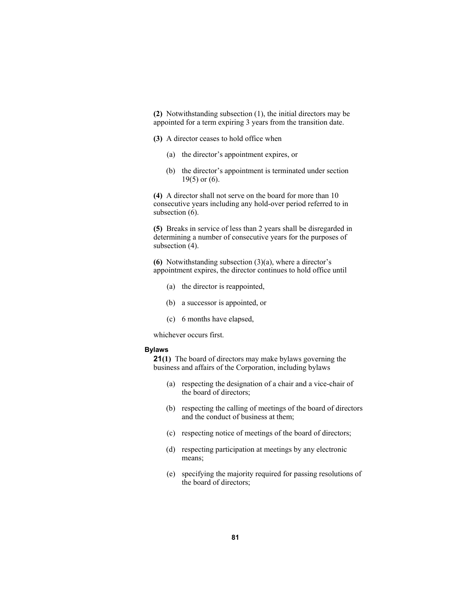**(2)** Notwithstanding subsection (1), the initial directors may be appointed for a term expiring 3 years from the transition date.

**(3)** A director ceases to hold office when

- (a) the director's appointment expires, or
- (b) the director's appointment is terminated under section  $19(5)$  or  $(6)$ .

**(4)** A director shall not serve on the board for more than 10 consecutive years including any hold-over period referred to in subsection  $(6)$ .

**(5)** Breaks in service of less than 2 years shall be disregarded in determining a number of consecutive years for the purposes of subsection  $(4)$ .

**(6)** Notwithstanding subsection (3)(a), where a director's appointment expires, the director continues to hold office until

- (a) the director is reappointed,
- (b) a successor is appointed, or
- (c) 6 months have elapsed,

whichever occurs first.

#### **Bylaws**

**21(1)** The board of directors may make bylaws governing the business and affairs of the Corporation, including bylaws

- (a) respecting the designation of a chair and a vice-chair of the board of directors;
- (b) respecting the calling of meetings of the board of directors and the conduct of business at them;
- (c) respecting notice of meetings of the board of directors;
- (d) respecting participation at meetings by any electronic means;
- (e) specifying the majority required for passing resolutions of the board of directors;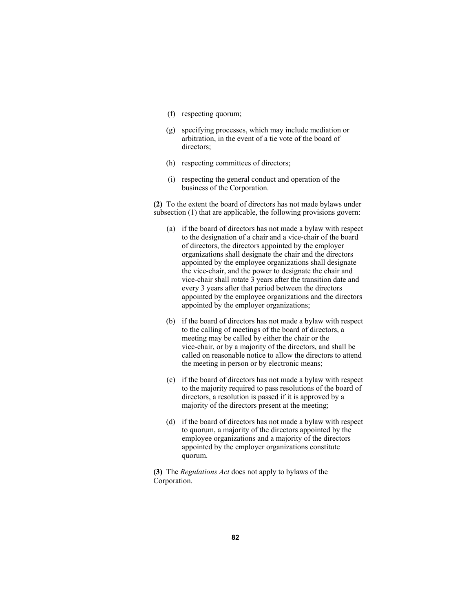- (f) respecting quorum;
- (g) specifying processes, which may include mediation or arbitration, in the event of a tie vote of the board of directors;
- (h) respecting committees of directors;
- (i) respecting the general conduct and operation of the business of the Corporation.

**(2)** To the extent the board of directors has not made bylaws under subsection (1) that are applicable, the following provisions govern:

- (a) if the board of directors has not made a bylaw with respect to the designation of a chair and a vice-chair of the board of directors, the directors appointed by the employer organizations shall designate the chair and the directors appointed by the employee organizations shall designate the vice-chair, and the power to designate the chair and vice-chair shall rotate 3 years after the transition date and every 3 years after that period between the directors appointed by the employee organizations and the directors appointed by the employer organizations;
- (b) if the board of directors has not made a bylaw with respect to the calling of meetings of the board of directors, a meeting may be called by either the chair or the vice-chair, or by a majority of the directors, and shall be called on reasonable notice to allow the directors to attend the meeting in person or by electronic means;
- (c) if the board of directors has not made a bylaw with respect to the majority required to pass resolutions of the board of directors, a resolution is passed if it is approved by a majority of the directors present at the meeting;
- (d) if the board of directors has not made a bylaw with respect to quorum, a majority of the directors appointed by the employee organizations and a majority of the directors appointed by the employer organizations constitute quorum.

**(3)** The *Regulations Act* does not apply to bylaws of the Corporation.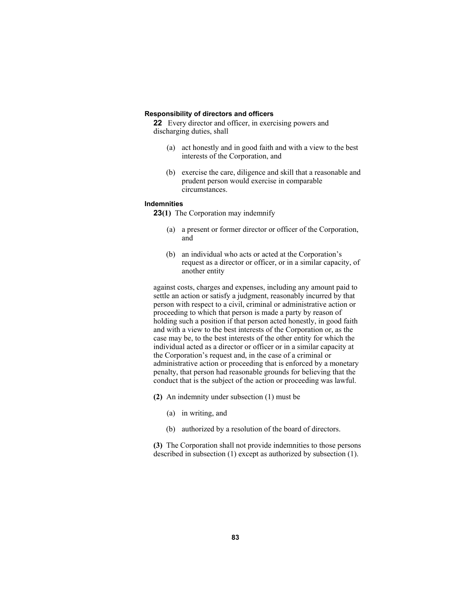#### **Responsibility of directors and officers**

**22** Every director and officer, in exercising powers and discharging duties, shall

- (a) act honestly and in good faith and with a view to the best interests of the Corporation, and
- (b) exercise the care, diligence and skill that a reasonable and prudent person would exercise in comparable circumstances.

## **Indemnities**

**23(1)** The Corporation may indemnify

- (a) a present or former director or officer of the Corporation, and
- (b) an individual who acts or acted at the Corporation's request as a director or officer, or in a similar capacity, of another entity

against costs, charges and expenses, including any amount paid to settle an action or satisfy a judgment, reasonably incurred by that person with respect to a civil, criminal or administrative action or proceeding to which that person is made a party by reason of holding such a position if that person acted honestly, in good faith and with a view to the best interests of the Corporation or, as the case may be, to the best interests of the other entity for which the individual acted as a director or officer or in a similar capacity at the Corporation's request and, in the case of a criminal or administrative action or proceeding that is enforced by a monetary penalty, that person had reasonable grounds for believing that the conduct that is the subject of the action or proceeding was lawful.

- **(2)** An indemnity under subsection (1) must be
	- (a) in writing, and
	- (b) authorized by a resolution of the board of directors.

**(3)** The Corporation shall not provide indemnities to those persons described in subsection (1) except as authorized by subsection (1).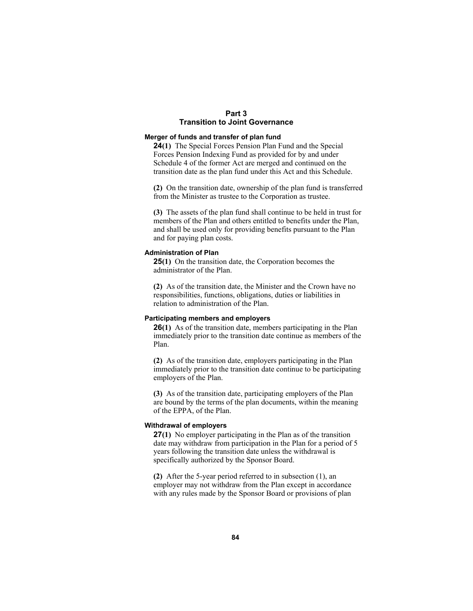# **Part 3 Transition to Joint Governance**

### **Merger of funds and transfer of plan fund**

**24(1)** The Special Forces Pension Plan Fund and the Special Forces Pension Indexing Fund as provided for by and under Schedule 4 of the former Act are merged and continued on the transition date as the plan fund under this Act and this Schedule.

**(2)** On the transition date, ownership of the plan fund is transferred from the Minister as trustee to the Corporation as trustee.

**(3)** The assets of the plan fund shall continue to be held in trust for members of the Plan and others entitled to benefits under the Plan, and shall be used only for providing benefits pursuant to the Plan and for paying plan costs.

### **Administration of Plan**

**25(1)** On the transition date, the Corporation becomes the administrator of the Plan.

**(2)** As of the transition date, the Minister and the Crown have no responsibilities, functions, obligations, duties or liabilities in relation to administration of the Plan.

### **Participating members and employers**

**26(1)** As of the transition date, members participating in the Plan immediately prior to the transition date continue as members of the Plan.

**(2)** As of the transition date, employers participating in the Plan immediately prior to the transition date continue to be participating employers of the Plan.

**(3)** As of the transition date, participating employers of the Plan are bound by the terms of the plan documents, within the meaning of the EPPA, of the Plan.

### **Withdrawal of employers**

**27(1)** No employer participating in the Plan as of the transition date may withdraw from participation in the Plan for a period of 5 years following the transition date unless the withdrawal is specifically authorized by the Sponsor Board.

**(2)** After the 5-year period referred to in subsection (1), an employer may not withdraw from the Plan except in accordance with any rules made by the Sponsor Board or provisions of plan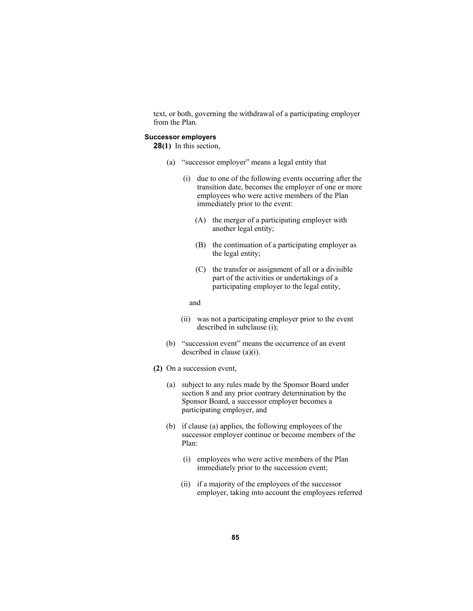text, or both, governing the withdrawal of a participating employer from the Plan.

## **Successor employers**

**28(1)** In this section,

- (a) "successor employer" means a legal entity that
	- (i) due to one of the following events occurring after the transition date, becomes the employer of one or more employees who were active members of the Plan immediately prior to the event:
		- (A) the merger of a participating employer with another legal entity;
		- (B) the continuation of a participating employer as the legal entity;
		- (C) the transfer or assignment of all or a divisible part of the activities or undertakings of a participating employer to the legal entity,

#### and

- (ii) was not a participating employer prior to the event described in subclause (i);
- (b) "succession event" means the occurrence of an event described in clause (a)(i).
- **(2)** On a succession event,
	- (a) subject to any rules made by the Sponsor Board under section 8 and any prior contrary determination by the Sponsor Board, a successor employer becomes a participating employer, and
	- (b) if clause (a) applies, the following employees of the successor employer continue or become members of the Plan:
		- (i) employees who were active members of the Plan immediately prior to the succession event;
		- (ii) if a majority of the employees of the successor employer, taking into account the employees referred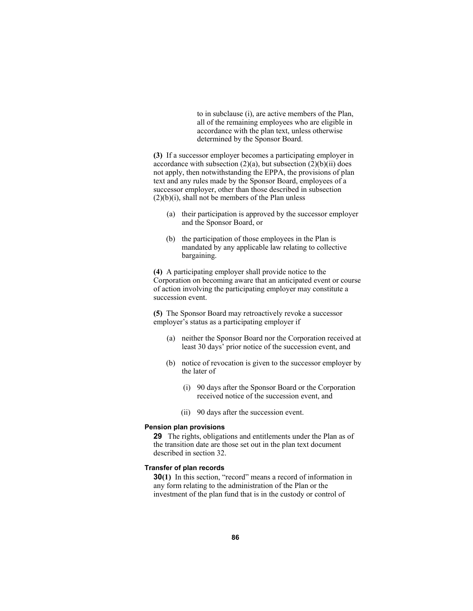to in subclause (i), are active members of the Plan, all of the remaining employees who are eligible in accordance with the plan text, unless otherwise determined by the Sponsor Board.

**(3)** If a successor employer becomes a participating employer in accordance with subsection  $(2)(a)$ , but subsection  $(2)(b)(ii)$  does not apply, then notwithstanding the EPPA, the provisions of plan text and any rules made by the Sponsor Board, employees of a successor employer, other than those described in subsection  $(2)(b)(i)$ , shall not be members of the Plan unless

- (a) their participation is approved by the successor employer and the Sponsor Board, or
- (b) the participation of those employees in the Plan is mandated by any applicable law relating to collective bargaining.

**(4)** A participating employer shall provide notice to the Corporation on becoming aware that an anticipated event or course of action involving the participating employer may constitute a succession event.

**(5)** The Sponsor Board may retroactively revoke a successor employer's status as a participating employer if

- (a) neither the Sponsor Board nor the Corporation received at least 30 days' prior notice of the succession event, and
- (b) notice of revocation is given to the successor employer by the later of
	- (i) 90 days after the Sponsor Board or the Corporation received notice of the succession event, and
	- (ii) 90 days after the succession event.

#### **Pension plan provisions**

**29** The rights, obligations and entitlements under the Plan as of the transition date are those set out in the plan text document described in section 32.

## **Transfer of plan records**

**30(1)** In this section, "record" means a record of information in any form relating to the administration of the Plan or the investment of the plan fund that is in the custody or control of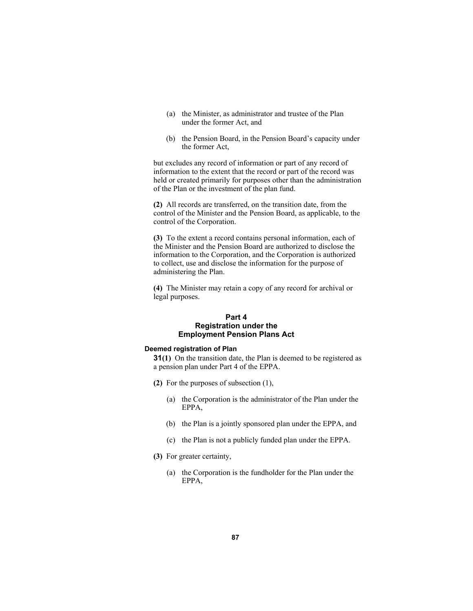- (a) the Minister, as administrator and trustee of the Plan under the former Act, and
- (b) the Pension Board, in the Pension Board's capacity under the former Act,

but excludes any record of information or part of any record of information to the extent that the record or part of the record was held or created primarily for purposes other than the administration of the Plan or the investment of the plan fund.

**(2)** All records are transferred, on the transition date, from the control of the Minister and the Pension Board, as applicable, to the control of the Corporation.

**(3)** To the extent a record contains personal information, each of the Minister and the Pension Board are authorized to disclose the information to the Corporation, and the Corporation is authorized to collect, use and disclose the information for the purpose of administering the Plan.

**(4)** The Minister may retain a copy of any record for archival or legal purposes.

## **Part 4 Registration under the Employment Pension Plans Act**

### **Deemed registration of Plan**

**31(1)** On the transition date, the Plan is deemed to be registered as a pension plan under Part 4 of the EPPA.

- **(2)** For the purposes of subsection (1),
	- (a) the Corporation is the administrator of the Plan under the EPPA,
	- (b) the Plan is a jointly sponsored plan under the EPPA, and
	- (c) the Plan is not a publicly funded plan under the EPPA.
- **(3)** For greater certainty,
	- (a) the Corporation is the fundholder for the Plan under the EPPA,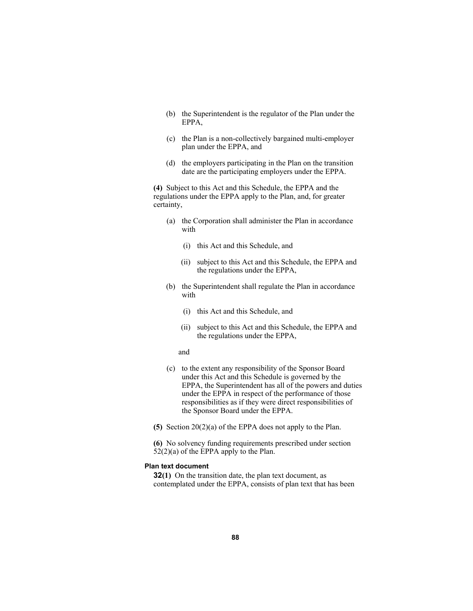- (b) the Superintendent is the regulator of the Plan under the EPPA,
- (c) the Plan is a non-collectively bargained multi-employer plan under the EPPA, and
- (d) the employers participating in the Plan on the transition date are the participating employers under the EPPA.

**(4)** Subject to this Act and this Schedule, the EPPA and the regulations under the EPPA apply to the Plan, and, for greater certainty,

- (a) the Corporation shall administer the Plan in accordance with
	- (i) this Act and this Schedule, and
	- (ii) subject to this Act and this Schedule, the EPPA and the regulations under the EPPA,
- (b) the Superintendent shall regulate the Plan in accordance with
	- (i) this Act and this Schedule, and
	- (ii) subject to this Act and this Schedule, the EPPA and the regulations under the EPPA,
	- and
- (c) to the extent any responsibility of the Sponsor Board under this Act and this Schedule is governed by the EPPA, the Superintendent has all of the powers and duties under the EPPA in respect of the performance of those responsibilities as if they were direct responsibilities of the Sponsor Board under the EPPA.
- **(5)** Section 20(2)(a) of the EPPA does not apply to the Plan.

**(6)** No solvency funding requirements prescribed under section  $52(2)(a)$  of the EPPA apply to the Plan.

## **Plan text document**

**32(1)** On the transition date, the plan text document, as contemplated under the EPPA, consists of plan text that has been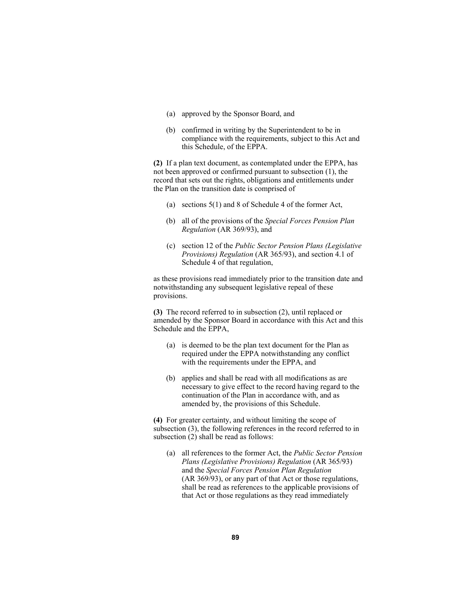- (a) approved by the Sponsor Board, and
- (b) confirmed in writing by the Superintendent to be in compliance with the requirements, subject to this Act and this Schedule, of the EPPA.

**(2)** If a plan text document, as contemplated under the EPPA, has not been approved or confirmed pursuant to subsection (1), the record that sets out the rights, obligations and entitlements under the Plan on the transition date is comprised of

- (a) sections 5(1) and 8 of Schedule 4 of the former Act,
- (b) all of the provisions of the *Special Forces Pension Plan Regulation* (AR 369/93), and
- (c) section 12 of the *Public Sector Pension Plans (Legislative Provisions) Regulation* (AR 365/93), and section 4.1 of Schedule 4 of that regulation,

as these provisions read immediately prior to the transition date and notwithstanding any subsequent legislative repeal of these provisions.

**(3)** The record referred to in subsection (2), until replaced or amended by the Sponsor Board in accordance with this Act and this Schedule and the EPPA,

- (a) is deemed to be the plan text document for the Plan as required under the EPPA notwithstanding any conflict with the requirements under the EPPA, and
- (b) applies and shall be read with all modifications as are necessary to give effect to the record having regard to the continuation of the Plan in accordance with, and as amended by, the provisions of this Schedule.

**(4)** For greater certainty, and without limiting the scope of subsection (3), the following references in the record referred to in subsection (2) shall be read as follows:

 (a) all references to the former Act, the *Public Sector Pension Plans (Legislative Provisions) Regulation* (AR 365/93) and the *Special Forces Pension Plan Regulation* (AR 369/93), or any part of that Act or those regulations, shall be read as references to the applicable provisions of that Act or those regulations as they read immediately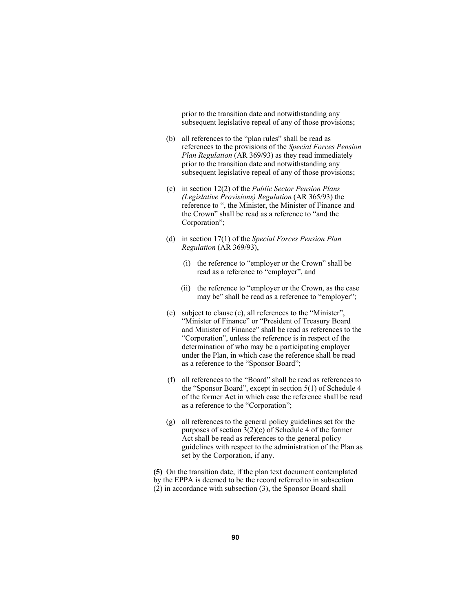prior to the transition date and notwithstanding any subsequent legislative repeal of any of those provisions;

- (b) all references to the "plan rules" shall be read as references to the provisions of the *Special Forces Pension Plan Regulation* (AR 369/93) as they read immediately prior to the transition date and notwithstanding any subsequent legislative repeal of any of those provisions;
- (c) in section 12(2) of the *Public Sector Pension Plans (Legislative Provisions) Regulation* (AR 365/93) the reference to ", the Minister, the Minister of Finance and the Crown" shall be read as a reference to "and the Corporation";
- (d) in section 17(1) of the *Special Forces Pension Plan Regulation* (AR 369/93),
	- (i) the reference to "employer or the Crown" shall be read as a reference to "employer", and
	- (ii) the reference to "employer or the Crown, as the case may be" shall be read as a reference to "employer";
- (e) subject to clause (c), all references to the "Minister", "Minister of Finance" or "President of Treasury Board and Minister of Finance" shall be read as references to the "Corporation", unless the reference is in respect of the determination of who may be a participating employer under the Plan, in which case the reference shall be read as a reference to the "Sponsor Board";
- (f) all references to the "Board" shall be read as references to the "Sponsor Board", except in section 5(1) of Schedule 4 of the former Act in which case the reference shall be read as a reference to the "Corporation";
- (g) all references to the general policy guidelines set for the purposes of section 3(2)(c) of Schedule 4 of the former Act shall be read as references to the general policy guidelines with respect to the administration of the Plan as set by the Corporation, if any.

**(5)** On the transition date, if the plan text document contemplated by the EPPA is deemed to be the record referred to in subsection (2) in accordance with subsection (3), the Sponsor Board shall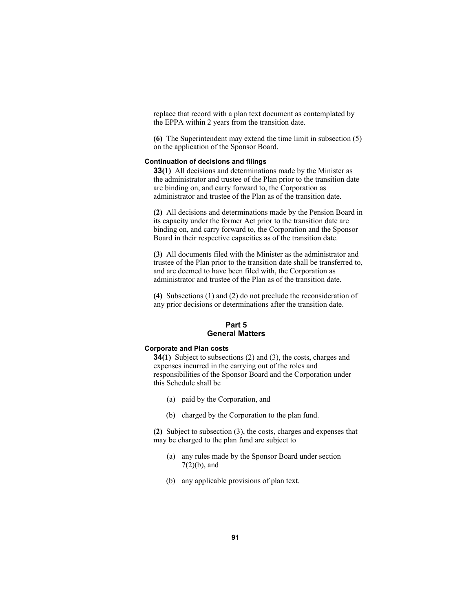replace that record with a plan text document as contemplated by the EPPA within 2 years from the transition date.

**(6)** The Superintendent may extend the time limit in subsection (5) on the application of the Sponsor Board.

## **Continuation of decisions and filings**

**33(1)** All decisions and determinations made by the Minister as the administrator and trustee of the Plan prior to the transition date are binding on, and carry forward to, the Corporation as administrator and trustee of the Plan as of the transition date.

**(2)** All decisions and determinations made by the Pension Board in its capacity under the former Act prior to the transition date are binding on, and carry forward to, the Corporation and the Sponsor Board in their respective capacities as of the transition date.

**(3)** All documents filed with the Minister as the administrator and trustee of the Plan prior to the transition date shall be transferred to, and are deemed to have been filed with, the Corporation as administrator and trustee of the Plan as of the transition date.

**(4)** Subsections (1) and (2) do not preclude the reconsideration of any prior decisions or determinations after the transition date.

## **Part 5 General Matters**

#### **Corporate and Plan costs**

**34(1)** Subject to subsections (2) and (3), the costs, charges and expenses incurred in the carrying out of the roles and responsibilities of the Sponsor Board and the Corporation under this Schedule shall be

- (a) paid by the Corporation, and
- (b) charged by the Corporation to the plan fund.

**(2)** Subject to subsection (3), the costs, charges and expenses that may be charged to the plan fund are subject to

- (a) any rules made by the Sponsor Board under section  $7(2)(b)$ , and
- (b) any applicable provisions of plan text.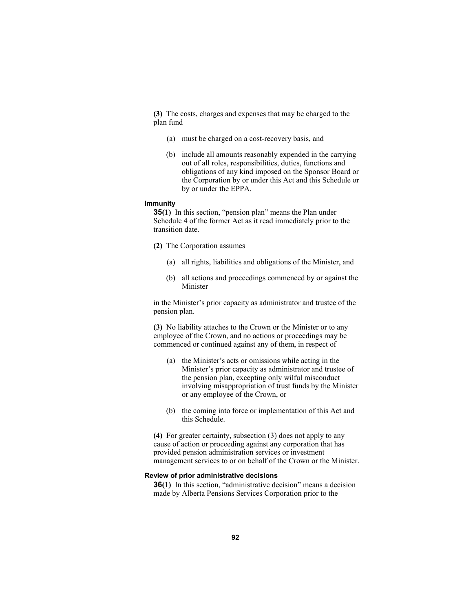**(3)** The costs, charges and expenses that may be charged to the plan fund

- (a) must be charged on a cost-recovery basis, and
- (b) include all amounts reasonably expended in the carrying out of all roles, responsibilities, duties, functions and obligations of any kind imposed on the Sponsor Board or the Corporation by or under this Act and this Schedule or by or under the EPPA.

### **Immunity**

**35(1)** In this section, "pension plan" means the Plan under Schedule 4 of the former Act as it read immediately prior to the transition date.

- **(2)** The Corporation assumes
	- (a) all rights, liabilities and obligations of the Minister, and
	- (b) all actions and proceedings commenced by or against the Minister

in the Minister's prior capacity as administrator and trustee of the pension plan.

**(3)** No liability attaches to the Crown or the Minister or to any employee of the Crown, and no actions or proceedings may be commenced or continued against any of them, in respect of

- (a) the Minister's acts or omissions while acting in the Minister's prior capacity as administrator and trustee of the pension plan, excepting only wilful misconduct involving misappropriation of trust funds by the Minister or any employee of the Crown, or
- (b) the coming into force or implementation of this Act and this Schedule.

**(4)** For greater certainty, subsection (3) does not apply to any cause of action or proceeding against any corporation that has provided pension administration services or investment management services to or on behalf of the Crown or the Minister.

### **Review of prior administrative decisions**

**36(1)** In this section, "administrative decision" means a decision made by Alberta Pensions Services Corporation prior to the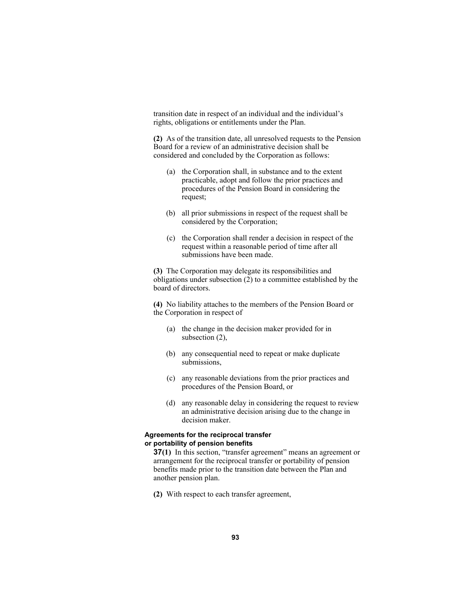transition date in respect of an individual and the individual's rights, obligations or entitlements under the Plan.

**(2)** As of the transition date, all unresolved requests to the Pension Board for a review of an administrative decision shall be considered and concluded by the Corporation as follows:

- (a) the Corporation shall, in substance and to the extent practicable, adopt and follow the prior practices and procedures of the Pension Board in considering the request;
- (b) all prior submissions in respect of the request shall be considered by the Corporation;
- (c) the Corporation shall render a decision in respect of the request within a reasonable period of time after all submissions have been made.

**(3)** The Corporation may delegate its responsibilities and obligations under subsection (2) to a committee established by the board of directors.

**(4)** No liability attaches to the members of the Pension Board or the Corporation in respect of

- (a) the change in the decision maker provided for in subsection (2),
- (b) any consequential need to repeat or make duplicate submissions,
- (c) any reasonable deviations from the prior practices and procedures of the Pension Board, or
- (d) any reasonable delay in considering the request to review an administrative decision arising due to the change in decision maker.

## **Agreements for the reciprocal transfer or portability of pension benefits**

**37(1)** In this section, "transfer agreement" means an agreement or arrangement for the reciprocal transfer or portability of pension benefits made prior to the transition date between the Plan and another pension plan.

**(2)** With respect to each transfer agreement,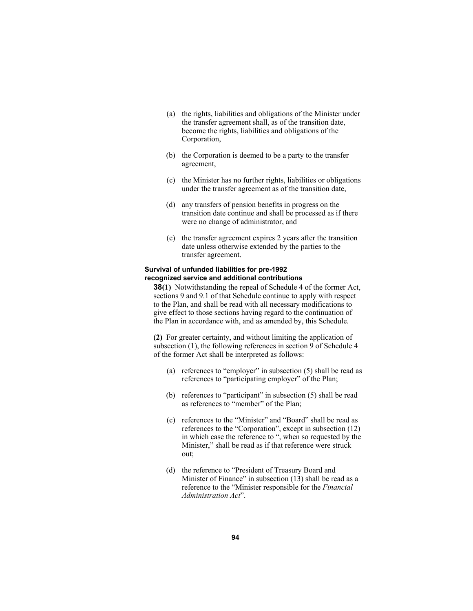- (a) the rights, liabilities and obligations of the Minister under the transfer agreement shall, as of the transition date, become the rights, liabilities and obligations of the Corporation,
- (b) the Corporation is deemed to be a party to the transfer agreement,
- (c) the Minister has no further rights, liabilities or obligations under the transfer agreement as of the transition date,
- (d) any transfers of pension benefits in progress on the transition date continue and shall be processed as if there were no change of administrator, and
- (e) the transfer agreement expires 2 years after the transition date unless otherwise extended by the parties to the transfer agreement.

## **Survival of unfunded liabilities for pre-1992 recognized service and additional contributions**

**38(1)** Notwithstanding the repeal of Schedule 4 of the former Act, sections 9 and 9.1 of that Schedule continue to apply with respect to the Plan, and shall be read with all necessary modifications to give effect to those sections having regard to the continuation of the Plan in accordance with, and as amended by, this Schedule.

**(2)** For greater certainty, and without limiting the application of subsection (1), the following references in section 9 of Schedule 4 of the former Act shall be interpreted as follows:

- (a) references to "employer" in subsection (5) shall be read as references to "participating employer" of the Plan;
- (b) references to "participant" in subsection (5) shall be read as references to "member" of the Plan;
- (c) references to the "Minister" and "Board" shall be read as references to the "Corporation", except in subsection (12) in which case the reference to ", when so requested by the Minister," shall be read as if that reference were struck out;
- (d) the reference to "President of Treasury Board and Minister of Finance" in subsection (13) shall be read as a reference to the "Minister responsible for the *Financial Administration Act*".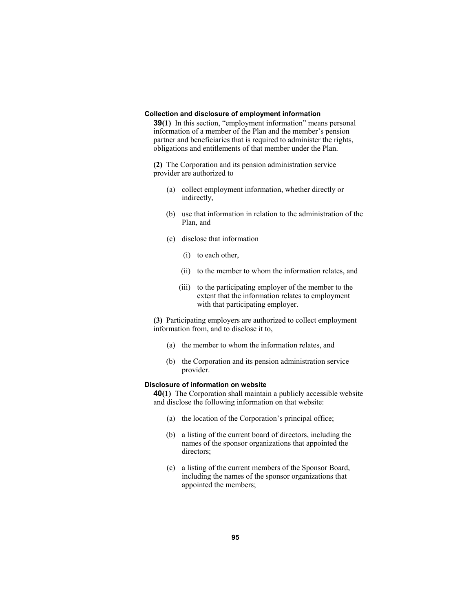#### **Collection and disclosure of employment information**

**39(1)** In this section, "employment information" means personal information of a member of the Plan and the member's pension partner and beneficiaries that is required to administer the rights, obligations and entitlements of that member under the Plan.

**(2)** The Corporation and its pension administration service provider are authorized to

- (a) collect employment information, whether directly or indirectly,
- (b) use that information in relation to the administration of the Plan, and
- (c) disclose that information
	- (i) to each other,
	- (ii) to the member to whom the information relates, and
	- (iii) to the participating employer of the member to the extent that the information relates to employment with that participating employer.

**(3)** Participating employers are authorized to collect employment information from, and to disclose it to,

- (a) the member to whom the information relates, and
- (b) the Corporation and its pension administration service provider.

### **Disclosure of information on website**

**40(1)** The Corporation shall maintain a publicly accessible website and disclose the following information on that website:

- (a) the location of the Corporation's principal office;
- (b) a listing of the current board of directors, including the names of the sponsor organizations that appointed the directors;
- (c) a listing of the current members of the Sponsor Board, including the names of the sponsor organizations that appointed the members;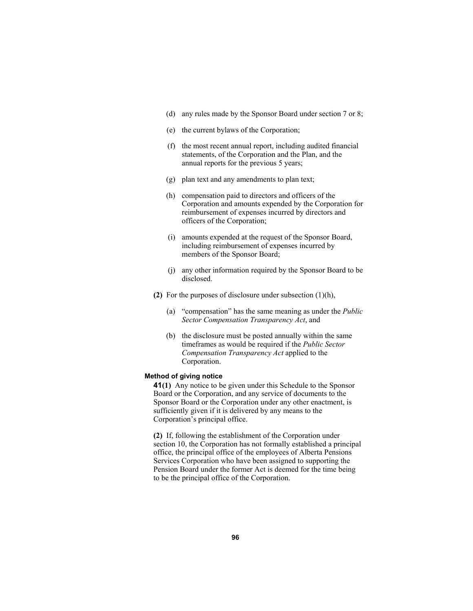- (d) any rules made by the Sponsor Board under section 7 or 8;
- (e) the current bylaws of the Corporation;
- (f) the most recent annual report, including audited financial statements, of the Corporation and the Plan, and the annual reports for the previous 5 years;
- (g) plan text and any amendments to plan text;
- (h) compensation paid to directors and officers of the Corporation and amounts expended by the Corporation for reimbursement of expenses incurred by directors and officers of the Corporation;
- (i) amounts expended at the request of the Sponsor Board, including reimbursement of expenses incurred by members of the Sponsor Board;
- (j) any other information required by the Sponsor Board to be disclosed.
- **(2)** For the purposes of disclosure under subsection (1)(h),
	- (a) "compensation" has the same meaning as under the *Public Sector Compensation Transparency Act*, and
	- (b) the disclosure must be posted annually within the same timeframes as would be required if the *Public Sector Compensation Transparency Act* applied to the Corporation.

### **Method of giving notice**

**41(1)** Any notice to be given under this Schedule to the Sponsor Board or the Corporation, and any service of documents to the Sponsor Board or the Corporation under any other enactment, is sufficiently given if it is delivered by any means to the Corporation's principal office.

**(2)** If, following the establishment of the Corporation under section 10, the Corporation has not formally established a principal office, the principal office of the employees of Alberta Pensions Services Corporation who have been assigned to supporting the Pension Board under the former Act is deemed for the time being to be the principal office of the Corporation.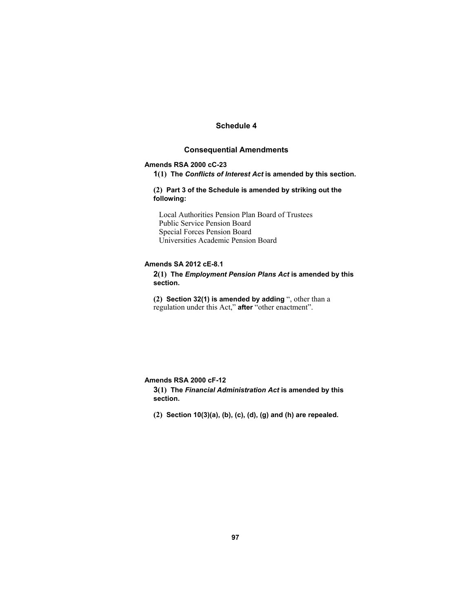# **Schedule 4**

# **Consequential Amendments**

## **Amends RSA 2000 cC-23**

**1(1) The** *Conflicts of Interest Act* **is amended by this section.** 

**(2) Part 3 of the Schedule is amended by striking out the following:**

Local Authorities Pension Plan Board of Trustees Public Service Pension Board Special Forces Pension Board Universities Academic Pension Board

# **Amends SA 2012 cE-8.1**

**2(1) The** *Employment Pension Plans Act* **is amended by this section.** 

**(2) Section 32(1) is amended by adding** ", other than a regulation under this Act," **after** "other enactment".

### **Amends RSA 2000 cF-12**

**3(1) The** *Financial Administration Act* **is amended by this section.** 

**(2) Section 10(3)(a), (b), (c), (d), (g) and (h) are repealed.**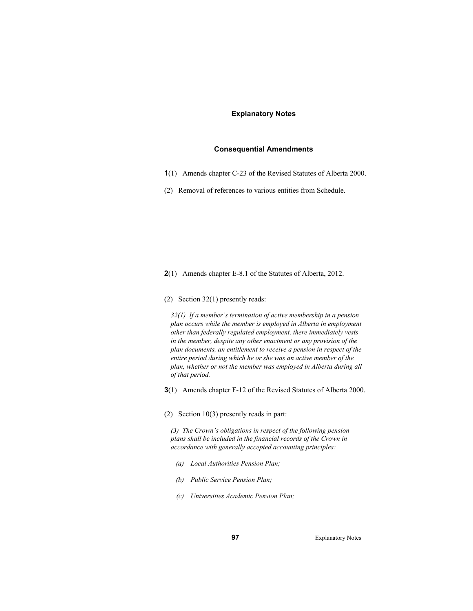## **Explanatory Notes**

## **Consequential Amendments**

- **1**(1) Amends chapter C-23 of the Revised Statutes of Alberta 2000.
- (2) Removal of references to various entities from Schedule.

**2**(1) Amends chapter E-8.1 of the Statutes of Alberta, 2012.

(2) Section 32(1) presently reads:

*32(1) If a member's termination of active membership in a pension plan occurs while the member is employed in Alberta in employment other than federally regulated employment, there immediately vests in the member, despite any other enactment or any provision of the plan documents, an entitlement to receive a pension in respect of the entire period during which he or she was an active member of the plan, whether or not the member was employed in Alberta during all of that period.* 

**3**(1) Amends chapter F-12 of the Revised Statutes of Alberta 2000.

(2) Section 10(3) presently reads in part:

*(3) The Crown's obligations in respect of the following pension plans shall be included in the financial records of the Crown in accordance with generally accepted accounting principles:* 

- *(a) Local Authorities Pension Plan;*
- *(b) Public Service Pension Plan;*
- *(c) Universities Academic Pension Plan;*

**97** Explanatory Notes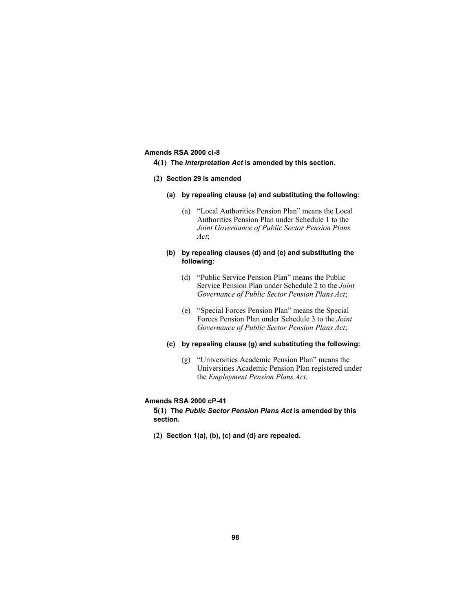## **Amends RSA 2000 cI-8**

- **4(1) The** *Interpretation Act* **is amended by this section.**
- **(2) Section 29 is amended** 
	- **(a) by repealing clause (a) and substituting the following:**
		- (a) "Local Authorities Pension Plan" means the Local Authorities Pension Plan under Schedule 1 to the *Joint Governance of Public Sector Pension Plans Act*;

## **(b) by repealing clauses (d) and (e) and substituting the following:**

- (d) "Public Service Pension Plan" means the Public Service Pension Plan under Schedule 2 to the *Joint Governance of Public Sector Pension Plans Act*;
- (e) "Special Forces Pension Plan" means the Special Forces Pension Plan under Schedule 3 to the *Joint Governance of Public Sector Pension Plans Act*;

### **(c) by repealing clause (g) and substituting the following:**

 (g) "Universities Academic Pension Plan" means the Universities Academic Pension Plan registered under the *Employment Pension Plans Act*.

#### **Amends RSA 2000 cP-41**

**5(1) The** *Public Sector Pension Plans Act* **is amended by this section.**

**(2) Section 1(a), (b), (c) and (d) are repealed.**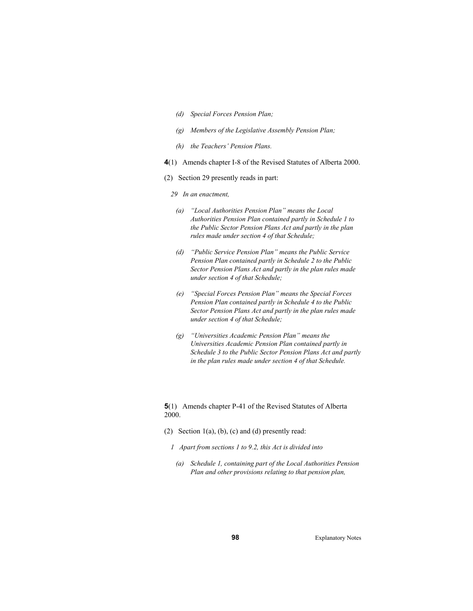- *(d) Special Forces Pension Plan;*
- *(g) Members of the Legislative Assembly Pension Plan;*
- *(h) the Teachers' Pension Plans.*
- **4**(1) Amends chapter I-8 of the Revised Statutes of Alberta 2000.
- (2) Section 29 presently reads in part:
	- *29 In an enactment,*
	- *(a) "Local Authorities Pension Plan" means the Local Authorities Pension Plan contained partly in Schedule 1 to the Public Sector Pension Plans Act and partly in the plan rules made under section 4 of that Schedule;*
	- *(d) "Public Service Pension Plan" means the Public Service Pension Plan contained partly in Schedule 2 to the Public Sector Pension Plans Act and partly in the plan rules made under section 4 of that Schedule;*
	- *(e) "Special Forces Pension Plan" means the Special Forces Pension Plan contained partly in Schedule 4 to the Public Sector Pension Plans Act and partly in the plan rules made under section 4 of that Schedule;*
	- *(g) "Universities Academic Pension Plan" means the Universities Academic Pension Plan contained partly in Schedule 3 to the Public Sector Pension Plans Act and partly in the plan rules made under section 4 of that Schedule.*

**5**(1) Amends chapter P-41 of the Revised Statutes of Alberta 2000.

- (2) Section  $1(a)$ , (b), (c) and (d) presently read:
	- *1 Apart from sections 1 to 9.2, this Act is divided into*
	- *(a) Schedule 1, containing part of the Local Authorities Pension Plan and other provisions relating to that pension plan,*

**98** Explanatory Notes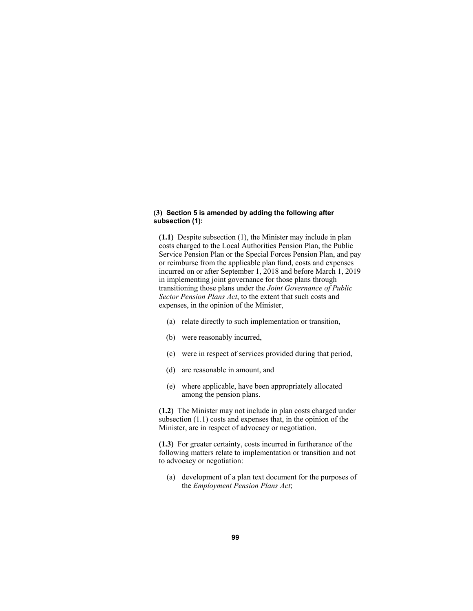### **(3) Section 5 is amended by adding the following after subsection (1):**

**(1.1)** Despite subsection (1), the Minister may include in plan costs charged to the Local Authorities Pension Plan, the Public Service Pension Plan or the Special Forces Pension Plan, and pay or reimburse from the applicable plan fund, costs and expenses incurred on or after September 1, 2018 and before March 1, 2019 in implementing joint governance for those plans through transitioning those plans under the *Joint Governance of Public Sector Pension Plans Act*, to the extent that such costs and expenses, in the opinion of the Minister,

- (a) relate directly to such implementation or transition,
- (b) were reasonably incurred,
- (c) were in respect of services provided during that period,
- (d) are reasonable in amount, and
- (e) where applicable, have been appropriately allocated among the pension plans.

**(1.2)** The Minister may not include in plan costs charged under subsection (1.1) costs and expenses that, in the opinion of the Minister, are in respect of advocacy or negotiation.

**(1.3)** For greater certainty, costs incurred in furtherance of the following matters relate to implementation or transition and not to advocacy or negotiation:

 (a) development of a plan text document for the purposes of the *Employment Pension Plans Act*;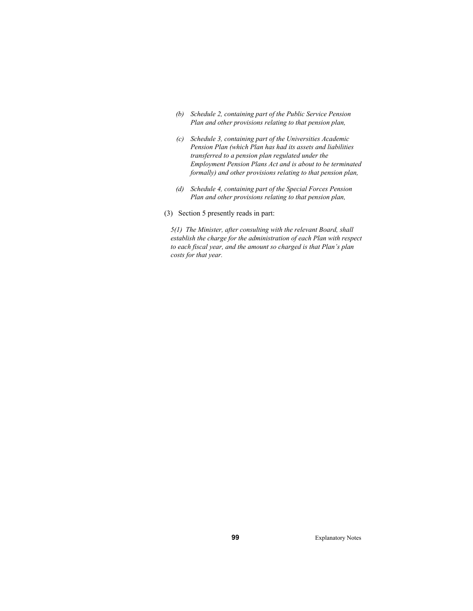- *(b) Schedule 2, containing part of the Public Service Pension Plan and other provisions relating to that pension plan,*
- *(c) Schedule 3, containing part of the Universities Academic Pension Plan (which Plan has had its assets and liabilities transferred to a pension plan regulated under the Employment Pension Plans Act and is about to be terminated formally) and other provisions relating to that pension plan,*
- *(d) Schedule 4, containing part of the Special Forces Pension Plan and other provisions relating to that pension plan,*
- (3) Section 5 presently reads in part:

*5(1) The Minister, after consulting with the relevant Board, shall establish the charge for the administration of each Plan with respect to each fiscal year, and the amount so charged is that Plan's plan costs for that year.* 

**99** Explanatory Notes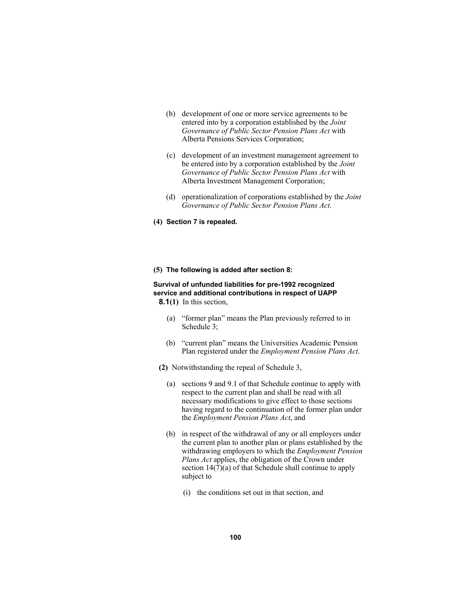- (b) development of one or more service agreements to be entered into by a corporation established by the *Joint Governance of Public Sector Pension Plans Act* with Alberta Pensions Services Corporation;
- (c) development of an investment management agreement to be entered into by a corporation established by the *Joint Governance of Public Sector Pension Plans Act* with Alberta Investment Management Corporation;
- (d) operationalization of corporations established by the *Joint Governance of Public Sector Pension Plans Act*.
- **(4) Section 7 is repealed.**

### **(5) The following is added after section 8:**

### **Survival of unfunded liabilities for pre-1992 recognized service and additional contributions in respect of UAPP 8.1(1)** In this section,

- - (a) "former plan" means the Plan previously referred to in Schedule 3;
	- (b) "current plan" means the Universities Academic Pension Plan registered under the *Employment Pension Plans Act*.
- **(2)** Notwithstanding the repeal of Schedule 3,
	- (a) sections 9 and 9.1 of that Schedule continue to apply with respect to the current plan and shall be read with all necessary modifications to give effect to those sections having regard to the continuation of the former plan under the *Employment Pension Plans Act*, and
	- (b) in respect of the withdrawal of any or all employers under the current plan to another plan or plans established by the withdrawing employers to which the *Employment Pension Plans Act* applies, the obligation of the Crown under section 14(7)(a) of that Schedule shall continue to apply subject to
		- (i) the conditions set out in that section, and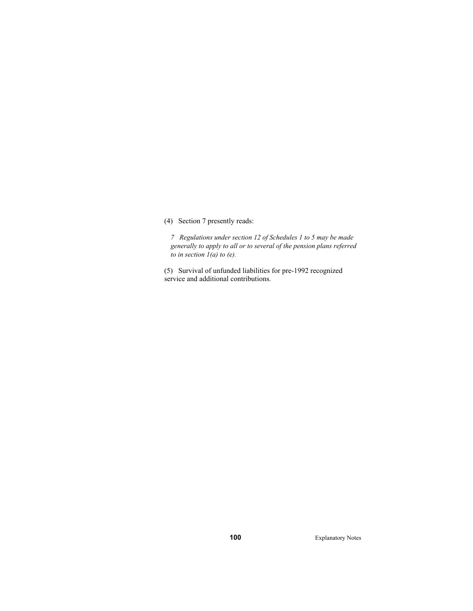(4) Section 7 presently reads:

*7 Regulations under section 12 of Schedules 1 to 5 may be made generally to apply to all or to several of the pension plans referred to in section 1(a) to (e).* 

(5) Survival of unfunded liabilities for pre-1992 recognized service and additional contributions.

**100** Explanatory Notes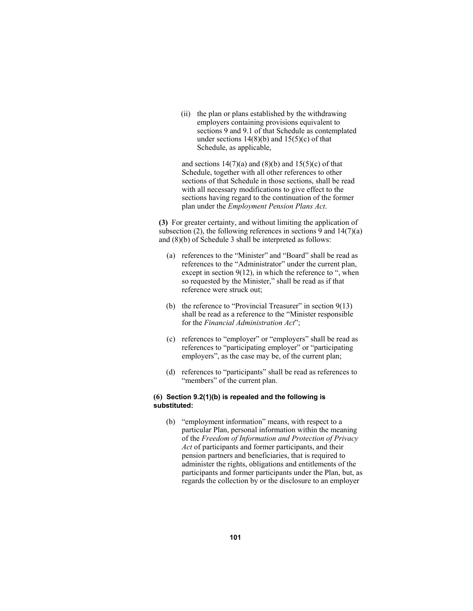(ii) the plan or plans established by the withdrawing employers containing provisions equivalent to sections 9 and 9.1 of that Schedule as contemplated under sections  $14(8)(b)$  and  $15(5)(c)$  of that Schedule, as applicable,

and sections  $14(7)(a)$  and  $(8)(b)$  and  $15(5)(c)$  of that Schedule, together with all other references to other sections of that Schedule in those sections, shall be read with all necessary modifications to give effect to the sections having regard to the continuation of the former plan under the *Employment Pension Plans Act*.

**(3)** For greater certainty, and without limiting the application of subsection (2), the following references in sections 9 and  $14(7)(a)$ and (8)(b) of Schedule 3 shall be interpreted as follows:

- (a) references to the "Minister" and "Board" shall be read as references to the "Administrator" under the current plan, except in section 9(12), in which the reference to ", when so requested by the Minister," shall be read as if that reference were struck out;
- (b) the reference to "Provincial Treasurer" in section  $9(13)$ shall be read as a reference to the "Minister responsible for the *Financial Administration Act*";
- (c) references to "employer" or "employers" shall be read as references to "participating employer" or "participating employers", as the case may be, of the current plan;
- (d) references to "participants" shall be read as references to "members" of the current plan.

# **(6) Section 9.2(1)(b) is repealed and the following is substituted:**

 (b) "employment information" means, with respect to a particular Plan, personal information within the meaning of the *Freedom of Information and Protection of Privacy Act* of participants and former participants, and their pension partners and beneficiaries, that is required to administer the rights, obligations and entitlements of the participants and former participants under the Plan, but, as regards the collection by or the disclosure to an employer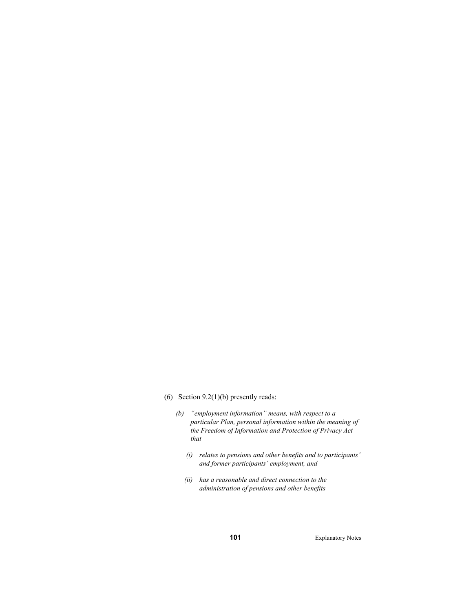- (6) Section 9.2(1)(b) presently reads:
	- *(b) "employment information" means, with respect to a particular Plan, personal information within the meaning of the Freedom of Information and Protection of Privacy Act that* 
		- *(i) relates to pensions and other benefits and to participants' and former participants' employment, and*
		- *(ii) has a reasonable and direct connection to the administration of pensions and other benefits*

**101** Explanatory Notes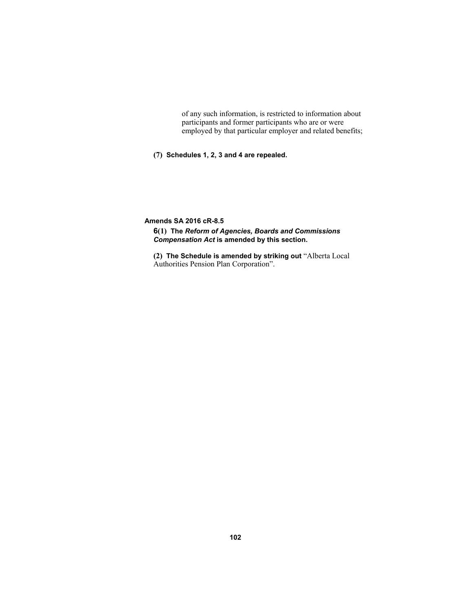of any such information, is restricted to information about participants and former participants who are or were employed by that particular employer and related benefits;

**(7) Schedules 1, 2, 3 and 4 are repealed.** 

**Amends SA 2016 cR-8.5** 

**6(1) The** *Reform of Agencies, Boards and Commissions Compensation Act* **is amended by this section.** 

**(2) The Schedule is amended by striking out** "Alberta Local Authorities Pension Plan Corporation".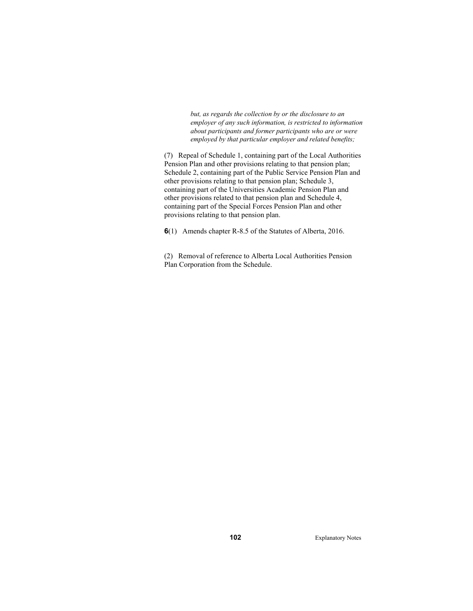*but, as regards the collection by or the disclosure to an employer of any such information, is restricted to information about participants and former participants who are or were employed by that particular employer and related benefits;* 

(7) Repeal of Schedule 1, containing part of the Local Authorities Pension Plan and other provisions relating to that pension plan; Schedule 2, containing part of the Public Service Pension Plan and other provisions relating to that pension plan; Schedule 3, containing part of the Universities Academic Pension Plan and other provisions related to that pension plan and Schedule 4, containing part of the Special Forces Pension Plan and other provisions relating to that pension plan.

**6**(1) Amends chapter R-8.5 of the Statutes of Alberta, 2016.

(2) Removal of reference to Alberta Local Authorities Pension Plan Corporation from the Schedule.

**102** Explanatory Notes